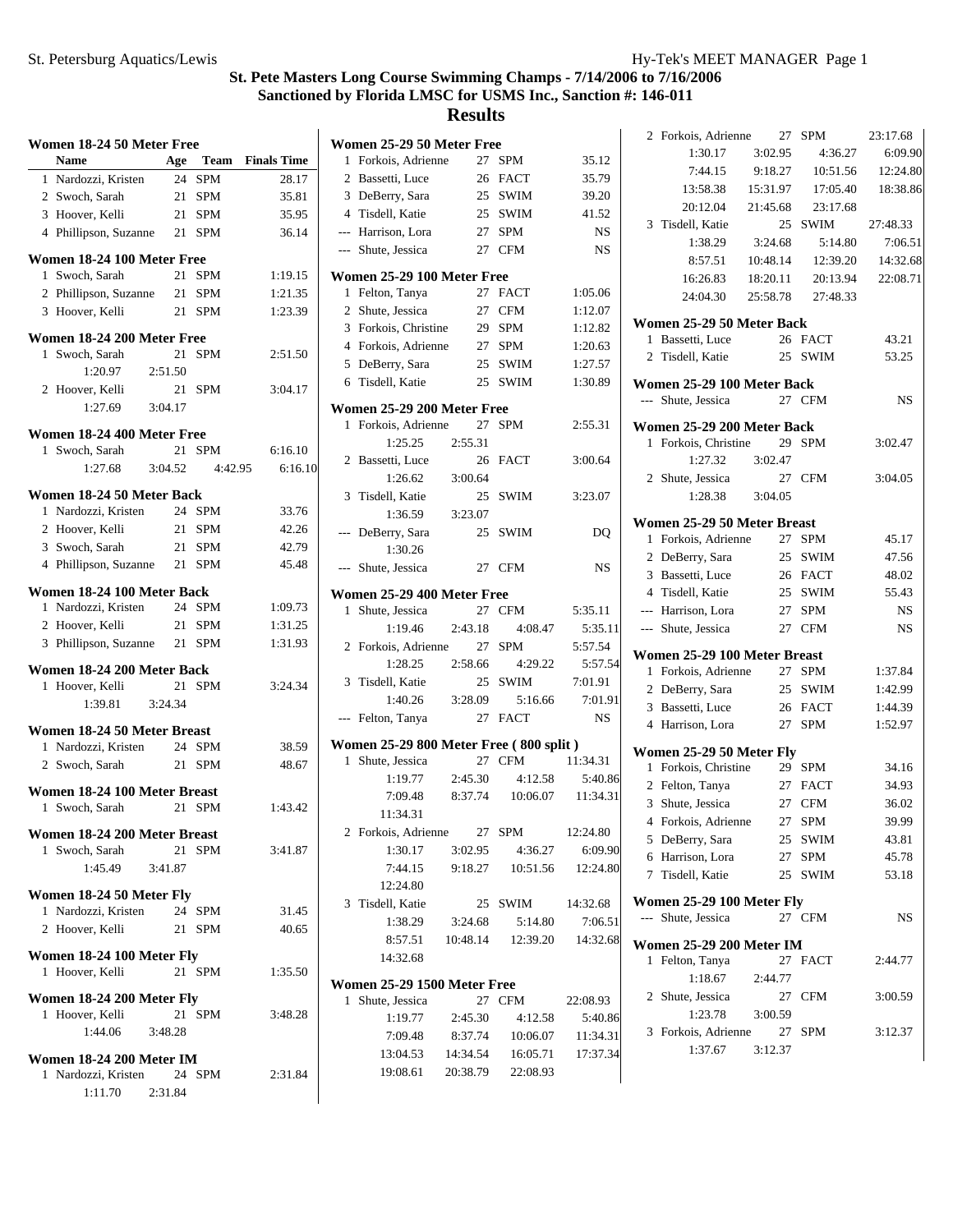| Women 18-24 50 Meter Free    |                     |            |                    |  |  |  |
|------------------------------|---------------------|------------|--------------------|--|--|--|
| <b>Name</b>                  |                     | Age Team   | <b>Finals Time</b> |  |  |  |
| Nardozzi, Kristen<br>1       | 24                  | <b>SPM</b> | 28.17              |  |  |  |
| 2 Swoch, Sarah               |                     | 21 SPM     | 35.81              |  |  |  |
| 3 Hoover, Kelli              |                     | 21 SPM     | 35.95              |  |  |  |
| 4 Phillipson, Suzanne        | 21                  | <b>SPM</b> | 36.14              |  |  |  |
| Women 18-24 100 Meter Free   |                     |            |                    |  |  |  |
| Swoch, Sarah<br>1            | 21                  | <b>SPM</b> | 1:19.15            |  |  |  |
| 2 Phillipson, Suzanne        | 21                  | <b>SPM</b> | 1:21.35            |  |  |  |
| 3 Hoover, Kelli              |                     | 21 SPM     | 1:23.39            |  |  |  |
| Women 18-24 200 Meter Free   |                     |            |                    |  |  |  |
| 1 Swoch, Sarah               | 21                  | <b>SPM</b> | 2:51.50            |  |  |  |
| 1:20.97                      | 2:51.50             |            |                    |  |  |  |
| 2 Hoover, Kelli              | 21                  | <b>SPM</b> | 3:04.17            |  |  |  |
| 1:27.69                      | 3:04.17             |            |                    |  |  |  |
| Women 18-24 400 Meter Free   |                     |            |                    |  |  |  |
| Swoch, Sarah<br>1            |                     | 21 SPM     | 6:16.10            |  |  |  |
| 1:27.68                      | 3:04.52             | 4:42.95    | 6:16.10            |  |  |  |
| Women 18-24 50 Meter Back    |                     |            |                    |  |  |  |
| 1 Nardozzi, Kristen          |                     | 24 SPM     | 33.76              |  |  |  |
| 2 Hoover, Kelli              |                     | 21 SPM     | 42.26              |  |  |  |
| 3 Swoch, Sarah               |                     | 21 SPM     | 42.79              |  |  |  |
| 4 Phillipson, Suzanne        |                     | 21 SPM     | 45.48              |  |  |  |
| Women 18-24 100 Meter Back   |                     |            |                    |  |  |  |
| 1 Nardozzi, Kristen          |                     | 24 SPM     | 1:09.73            |  |  |  |
| 2 Hoover, Kelli              |                     | 21 SPM     | 1:31.25            |  |  |  |
| Phillipson, Suzanne<br>3     | 21                  | <b>SPM</b> | 1:31.93            |  |  |  |
| Women 18-24 200 Meter Back   |                     |            |                    |  |  |  |
| 1 Hoover, Kelli              | 21                  | <b>SPM</b> | 3:24.34            |  |  |  |
| 1:39.81                      | 3:24.34             |            |                    |  |  |  |
| Women 18-24 50 Meter Breast  |                     |            |                    |  |  |  |
| 1 Nardozzi, Kristen          | 24                  | <b>SPM</b> | 38.59              |  |  |  |
| 2 Swoch, Sarah               | 21                  | <b>SPM</b> | 48.67              |  |  |  |
| Women 18-24 100 Meter Breast |                     |            |                    |  |  |  |
| Swoch, Sarah<br>1.           | 21                  | <b>SPM</b> | 1:43.42            |  |  |  |
| Women 18-24 200 Meter Breast |                     |            |                    |  |  |  |
| 1 Swoch, Sarah               |                     | 21 SPM     | 3:41.87            |  |  |  |
|                              | $1:45.49$ $3:41.87$ |            |                    |  |  |  |
| Women 18-24 50 Meter Fly     |                     |            |                    |  |  |  |
| 1 Nardozzi, Kristen 24 SPM   |                     |            | 31.45              |  |  |  |
| 2 Hoover, Kelli              |                     | 21 SPM     | 40.65              |  |  |  |
|                              |                     |            |                    |  |  |  |
| Women 18-24 100 Meter Fly    |                     |            |                    |  |  |  |
| 1 Hoover, Kelli              |                     | 21 SPM     | 1:35.50            |  |  |  |
| Women 18-24 200 Meter Fly    |                     |            |                    |  |  |  |
| 1 Hoover, Kelli              |                     | 21 SPM     | 3:48.28            |  |  |  |
|                              | 1:44.06 3:48.28     |            |                    |  |  |  |
| Women 18-24 200 Meter IM     |                     |            |                    |  |  |  |
| 1 Nardozzi, Kristen 24 SPM   |                     |            | 2:31.84            |  |  |  |
|                              | $1:11.70$ $2:31.84$ |            |                    |  |  |  |

| Women 25-29 50 Meter Free                                 |                    |                                       |                 |
|-----------------------------------------------------------|--------------------|---------------------------------------|-----------------|
| 1 Forkois, Adrienne                                       | 27                 | <b>SPM</b>                            | 35.12           |
| 2 Bassetti, Luce                                          |                    | 26 FACT                               | 35.79           |
| 3 DeBerry, Sara                                           |                    | $25\;$ SWIM                           | 39.20           |
| 4 Tisdell, Katie                                          |                    | 25 SWIM                               | 41.52           |
| --- Harrison, Lora                                        |                    | 27 SPM                                | <b>NS</b>       |
| --- Shute, Jessica                                        |                    | 27 CFM                                | NS              |
| Women 25-29 100 Meter Free                                |                    |                                       |                 |
| 1 Felton, Tanya                                           |                    | 27 FACT                               | 1:05.06         |
| 2 Shute, Jessica                                          |                    | 27 CFM                                | 1:12.07         |
| 3 Forkois, Christine                                      |                    | 29 SPM                                | 1:12.82         |
| 4 Forkois, Adrienne                                       |                    | 27 SPM                                | 1:20.63         |
| 5 DeBerry, Sara                                           |                    | 25 SWIM                               | 1:27.57         |
| 6 Tisdell, Katie                                          |                    | 25 SWIM                               | 1:30.89         |
| Women 25-29 200 Meter Free                                |                    |                                       |                 |
| 1 Forkois, Adrienne                                       | 27                 | SPM                                   | 2:55.31         |
| 1:25.25                                                   | 2:55.31            |                                       |                 |
| 2 Bassetti, Luce                                          | 26                 | <b>FACT</b>                           | 3:00.64         |
| 1:26.62                                                   | 3:00.64            |                                       |                 |
| 3 Tisdell, Katie                                          |                    | 25 SWIM                               | 3:23.07         |
| 1:36.59                                                   | 3:23.07            |                                       |                 |
| DeBerry, Sara<br>---<br>1:30.26                           |                    | 25 SWIM                               | DQ              |
| --- Shute, Jessica                                        |                    | 27 CFM                                | NS              |
| Women 25-29 400 Meter Free                                |                    |                                       |                 |
| Shute, Jessica<br>1                                       |                    | 27 CFM                                | 5:35.11         |
| 1:19.46                                                   | 2:43.18            | 4:08.47                               | 5:35.11         |
| 2 Forkois, Adrienne 27                                    |                    | SPM                                   | 5:57.54         |
| 1:28.25                                                   | 2:58.66            | 4:29.22                               | 5:57.54         |
| 3 Tisdell, Katie                                          |                    | 25 SWIM                               | 7:01.91         |
| 1:40.26                                                   | 3:28.09            | 5:16.66                               | 7:01.91         |
| --- Felton, Tanya                                         |                    | 27 FACT                               | <b>NS</b>       |
| Women 25-29 800 Meter Free (800 split)                    |                    |                                       |                 |
| 1 Shute, Jessica                                          |                    | 27 CFM                                | 11:34.31        |
| 1:19.77                                                   | 2:45.30            | 4:12.58                               | 5:40.86         |
| 7:09.48                                                   |                    | 8:37.74  10:06.07                     | 11:34.31        |
| 11:34.31                                                  |                    |                                       |                 |
| 2 Forkois, Adrienne 27 SPM 12:24.80                       |                    |                                       |                 |
| 1:30.17                                                   | 3:02.95            | 4:36.27                               | 6:09.90         |
| 7:44.15                                                   |                    | 9:18.27  10:51.56  12:24.80           |                 |
| 12:24.80                                                  |                    |                                       |                 |
| 3 Tisdell, Katie                                          |                    | 25 SWIM 14:32.68                      |                 |
|                                                           | 1:38.29    3:24.68 |                                       | 5:14.80 7:06.51 |
| 14:32.68                                                  |                    | 8:57.51  10:48.14  12:39.20  14:32.68 |                 |
|                                                           |                    |                                       |                 |
| <b>Women 25-29 1500 Meter Free</b><br>Shute, Jessica<br>1 |                    | 27 CFM                                | 22:08.93        |
| 1:19.77                                                   | 2:45.30            | 4:12.58                               | 5:40.86         |
| 7:09.48                                                   |                    | 8:37.74  10:06.07  11:34.31           |                 |
|                                                           |                    | 13:04.53  14:34.54  16:05.71          | 17:37.34        |
|                                                           |                    | 19:08.61 20:38.79 22:08.93            |                 |
|                                                           |                    |                                       |                 |

|    | 2 Forkois, Adrienne             | 27       | SPM               | 23:17.68  |
|----|---------------------------------|----------|-------------------|-----------|
|    | 1:30.17                         | 3:02.95  | 4:36.27           | 6:09.90   |
|    | 7:44.15                         | 9:18.27  | 10:51.56          | 12:24.80  |
|    | 13:58.38                        | 15:31.97 | 17:05.40          | 18:38.86  |
|    | 20:12.04                        | 21:45.68 | 23:17.68          |           |
|    | 3 Tisdell, Katie                | 25       | SWIM              | 27:48.33  |
|    | 1:38.29                         | 3:24.68  | 5:14.80           | 7:06.51   |
|    | 8:57.51                         | 10:48.14 | 12:39.20          | 14:32.68  |
|    | 16:26.83                        | 18:20.11 | 20:13.94          | 22:08.71  |
|    | 24:04.30                        |          | 25:58.78 27:48.33 |           |
|    | Women 25-29 50 Meter Back       |          |                   |           |
| 1  | Bassetti, Luce                  |          | 26 FACT           | 43.21     |
|    | 2 Tisdell, Katie                |          | 25 SWIM           | 53.25     |
|    |                                 |          |                   |           |
|    | Women 25-29 100 Meter Back      |          |                   |           |
|    | --- Shute, Jessica              |          | 27 CFM            | NS        |
|    | Women 25-29 200 Meter Back      |          |                   |           |
| 1  | Forkois, Christine              | 29       | <b>SPM</b>        | 3:02.47   |
|    | 1:27.32                         | 3:02.47  |                   |           |
|    | 2 Shute, Jessica                |          | 27 CFM            | 3:04.05   |
|    | 1:28.38                         | 3:04.05  |                   |           |
|    | Women 25-29 50 Meter Breast     |          |                   |           |
| 1. | Forkois, Adrienne               | 27 SPM   |                   | 45.17     |
|    | 2 DeBerry, Sara                 |          | 25 SWIM           | 47.56     |
|    | 3 Bassetti, Luce                |          | 26 FACT           | 48.02     |
|    | 4 Tisdell, Katie                |          | 25 SWIM           | 55.43     |
|    | --- Harrison, Lora              |          | 27 SPM            | <b>NS</b> |
|    | --- Shute, Jessica              |          | 27 CFM            | <b>NS</b> |
|    |                                 |          |                   |           |
|    | Women 25-29 100 Meter Breast    |          |                   |           |
| 1  | Forkois, Adrienne               |          | 27 SPM            | 1:37.84   |
|    | 2 DeBerry, Sara                 |          | 25 SWIM           | 1:42.99   |
|    | 3 Bassetti, Luce                |          | 26 FACT           | 1:44.39   |
|    | 4 Harrison, Lora                | 27       | SPM               | 1:52.97   |
|    | Women 25-29 50 Meter Fly        |          |                   |           |
|    | 1 Forkois, Christine            |          | 29 SPM            | 34.16     |
|    | 2 Felton, Tanya                 |          | 27 FACT           | 34.93     |
| 3  | Shute, Jessica                  |          | 27 CFM            | 36.02     |
|    | 4 Forkois, Adrienne             |          | 27 SPM            | 39.99     |
| 5  | DeBerry, Sara                   | 25       | SWIM              | 43.81     |
| 6  | Harrison, Lora                  | 27       | <b>SPM</b>        | 45.78     |
| 7  | Tisdell, Katie                  | 25       | SWIM              | 53.18     |
|    | Women 25-29 100 Meter Fly       |          |                   |           |
|    | --- Shute, Jessica              |          | 27 CFM            | NS        |
|    |                                 |          |                   |           |
|    | <b>Women 25-29 200 Meter IM</b> |          |                   |           |
| 1  | Felton, Tanya                   | 27       | FACT              | 2:44.77   |
|    | 1:18.67                         | 2:44.77  |                   |           |
|    | 2 Shute, Jessica                | 27       | CFM               | 3:00.59   |
|    | 1:23.78                         | 3:00.59  |                   |           |
| 3  | Forkois, Adrienne               | 27       | <b>SPM</b>        | 3:12.37   |
|    | 1:37.67                         | 3:12.37  |                   |           |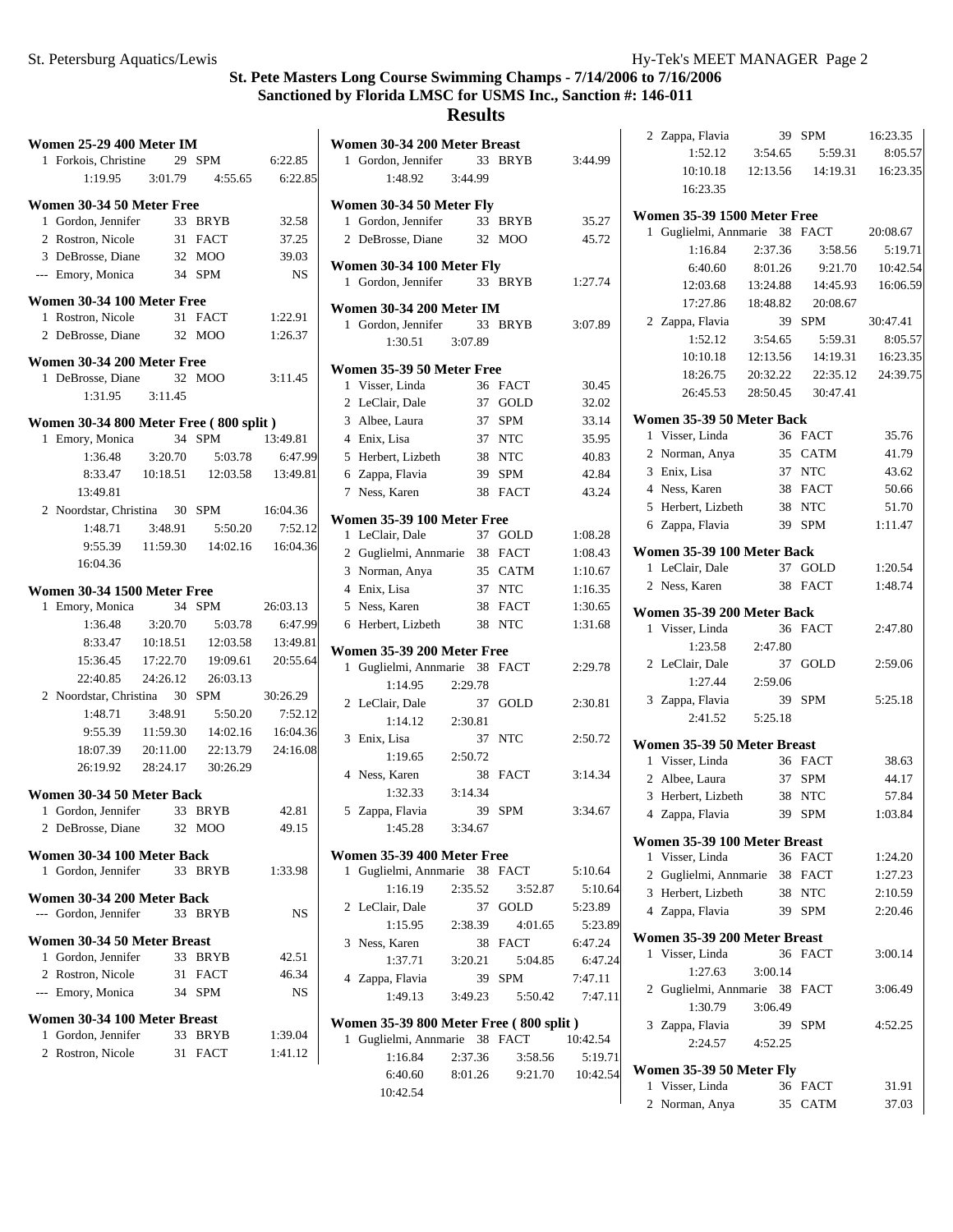5:59.31 8:05.57 14:19.31 16:23.35

3:58.56 5:19.71 9:21.70 10:42.54 14:45.93 16:06.59

5:59.31 8:05.57 14:19.31 16:23.35 22:35.12 24:39.75

## **St. Pete Masters Long Course Swimming Champs - 7/14/2006 to 7/16/2006 Sanctioned by Florida LMSC for USMS Inc., Sanction #: 146-011**

#### **Results**

| <b>Women 25-29 400 Meter IM</b>         |          |                    |           | Women 30-34 200 Meter Breast                               |                |
|-----------------------------------------|----------|--------------------|-----------|------------------------------------------------------------|----------------|
| 1 Forkois, Christine                    |          | 29 SPM             | 6:22.85   | 1 Gordon, Jennifer<br>33 BRYB                              | 3              |
| 1:19.95                                 | 3:01.79  | 4:55.65            | 6:22.85   | 1:48.92<br>3:44.99                                         |                |
| Women 30-34 50 Meter Free               |          |                    |           | Women 30-34 50 Meter Fly                                   |                |
| 1 Gordon, Jennifer                      |          | 33 BRYB            | 32.58     | 1 Gordon, Jennifer<br>33 BRYB                              |                |
| 2 Rostron, Nicole                       |          | 31 FACT            | 37.25     | 2 DeBrosse, Diane<br>32 MOO                                |                |
| 3 DeBrosse, Diane                       |          | 32 MOO             | 39.03     |                                                            |                |
| --- Emory, Monica                       |          | 34 SPM             | <b>NS</b> | Women 30-34 100 Meter Fly<br>1 Gordon, Jennifer<br>33 BRYB | 1              |
| Women 30-34 100 Meter Free              |          |                    |           |                                                            |                |
| 1 Rostron, Nicole                       |          | 31 FACT            | 1:22.91   | <b>Women 30-34 200 Meter IM</b>                            |                |
| 2 DeBrosse, Diane                       |          | 32 MOO             | 1:26.37   | 1 Gordon, Jennifer<br>33 BRYB<br>1:30.51<br>3:07.89        | 3              |
| Women 30-34 200 Meter Free              |          |                    |           |                                                            |                |
| 1 DeBrosse, Diane                       |          | 32 MOO             | 3:11.45   | Women 35-39 50 Meter Free                                  |                |
| 1:31.95                                 | 3:11.45  |                    |           | 1 Visser, Linda<br>36 FACT                                 |                |
|                                         |          |                    |           | 2 LeClair, Dale<br>37 GOLD                                 |                |
| Women 30-34 800 Meter Free (800 split)  |          |                    |           | 3 Albee, Laura<br>37 SPM                                   |                |
| 1 Emory, Monica                         |          | 34 SPM             | 13:49.81  | 4 Enix, Lisa<br>37 NTC                                     |                |
| 1:36.48                                 | 3:20.70  | 5:03.78            | 6:47.99   | 5 Herbert, Lizbeth<br>38 NTC                               |                |
| 8:33.47                                 | 10:18.51 | 12:03.58           | 13:49.81  | 6 Zappa, Flavia<br>39 SPM                                  |                |
| 13:49.81                                |          |                    |           | 7 Ness, Karen<br>38 FACT                                   |                |
| 2 Noordstar, Christina                  |          | 30 SPM             | 16:04.36  | Women 35-39 100 Meter Free                                 |                |
| 1:48.71                                 | 3:48.91  | 5:50.20            | 7:52.12   | 1 LeClair, Dale<br>37 GOLD                                 | 1              |
| 9:55.39                                 | 11:59.30 | 14:02.16           | 16:04.36  | 2 Guglielmi, Annmarie 38 FACT                              | 1              |
| 16:04.36                                |          |                    |           | 3 Norman, Anya<br>35 CATM                                  | 1              |
| Women 30-34 1500 Meter Free             |          |                    |           | 4 Enix, Lisa<br>37 NTC                                     | 1              |
| 1 Emory, Monica                         |          | 34 SPM             | 26:03.13  | 5 Ness, Karen<br>38 FACT                                   | 1              |
| 1:36.48                                 | 3:20.70  | 5:03.78            | 6:47.99   | 6 Herbert, Lizbeth<br>38 NTC                               | 1              |
| 8:33.47                                 | 10:18.51 | 12:03.58           | 13:49.81  |                                                            |                |
| 15:36.45                                | 17:22.70 | 19:09.61           | 20:55.64  | Women 35-39 200 Meter Free                                 |                |
| 22:40.85                                | 24:26.12 | 26:03.13           |           | 1 Guglielmi, Annmarie 38 FACT                              | $\overline{c}$ |
| 2 Noordstar, Christina                  |          | 30 SPM             | 30:26.29  | 1:14.95<br>2:29.78                                         |                |
| 1:48.71                                 | 3:48.91  | 5:50.20            | 7:52.12   | 2 LeClair, Dale<br>37 GOLD                                 | 2              |
| 9:55.39                                 | 11:59.30 | 14:02.16           | 16:04.36  | 1:14.12<br>2:30.81                                         |                |
| 18:07.39                                | 20:11.00 | 22:13.79           | 24:16.08  | 3 Enix, Lisa<br>37 NTC                                     | $\overline{c}$ |
| 26:19.92                                | 28:24.17 | 30:26.29           |           | 1:19.65<br>2:50.72                                         |                |
|                                         |          |                    |           | 4 Ness, Karen<br>38 FACT                                   | 3              |
| Women 30-34 50 Meter Back               |          |                    |           | 1:32.33<br>3:14.34                                         |                |
| 1 Gordon, Jennifer                      |          | 33 BRYB            | 42.81     | 5 Zappa, Flavia<br>39 SPM                                  | 3              |
| 2 DeBrosse, Diane                       |          | 32 MOO             | 49.15     | 1:45.28<br>3:34.67                                         |                |
| Women 30-34 100 Meter Back              |          |                    |           | Women 35-39 400 Meter Free                                 |                |
| 1 Gordon, Jennifer                      |          | 33 BRYB            | 1:33.98   | 1 Guglielmi, Annmarie 38 FACT                              | 5              |
| Women 30-34 200 Meter Back              |          |                    |           | 1:16.19<br>2:35.52<br>3:52.87                              |                |
| --- Gordon, Jennifer                    |          | 33 BRYB            | <b>NS</b> | 2 LeClair, Dale<br>37<br>GOLD                              | 5              |
|                                         |          |                    |           | 1:15.95<br>2:38.39<br>4:01.65                              |                |
| Women 30-34 50 Meter Breast             |          |                    |           | 3 Ness, Karen<br>38 FACT                                   | 6              |
| 1 Gordon, Jennifer<br>2 Rostron, Nicole |          | 33 BRYB<br>31 FACT | 42.51     | 1:37.71<br>3:20.21<br>5:04.85                              |                |
| --- Emory, Monica                       |          |                    | 46.34     | 4 Zappa, Flavia<br>39<br><b>SPM</b>                        | 7              |
|                                         |          | 34 SPM             | NS.       | 1:49.13<br>3:49.23<br>5:50.42                              |                |
| Women 30-34 100 Meter Breast            |          |                    |           | Women 35-39 800 Meter Free (800 split)                     |                |
| 1 Gordon, Jennifer                      |          | 33 BRYB            | 1:39.04   | 1 Guglielmi, Annmarie 38 FACT<br>10                        |                |
| 2 Rostron, Nicole                       |          | 31 FACT            | 1:41.12   | 1:16.84<br>2:37.36<br>3:58.56                              |                |
|                                         |          |                    |           | 8:01.26<br>6:40.60<br>9:21.70                              |                |

| omen 30-34 200 Meter Breast           |         |            |          | 2 Zappa, Flavia                                 |          | 39 SPM   | 16:23.35 |
|---------------------------------------|---------|------------|----------|-------------------------------------------------|----------|----------|----------|
| 1 Gordon, Jennifer                    |         | 33 BRYB    | 3:44.99  | 1:52.12                                         | 3:54.65  | 5:59.31  | 8:05.5   |
| 1:48.92                               | 3:44.99 |            |          | 10:10.18                                        | 12:13.56 | 14:19.31 | 16:23.3  |
| omen 30-34 50 Meter Fly               |         |            |          | 16:23.35                                        |          |          |          |
| 1 Gordon, Jennifer                    |         | 33 BRYB    | 35.27    | <b>Women 35-39 1500 Meter Free</b>              |          |          |          |
| 2 DeBrosse, Diane                     |         | 32 MOO     | 45.72    | 1 Guglielmi, Annmarie 38 FACT                   |          |          | 20:08.67 |
|                                       |         |            |          | 1:16.84                                         | 2:37.36  | 3:58.56  | 5:19.7   |
| omen 30-34 100 Meter Fly              |         |            |          | 6:40.60                                         | 8:01.26  | 9:21.70  | 10:42.5  |
| 1 Gordon, Jennifer                    |         | 33 BRYB    | 1:27.74  | 12:03.68                                        | 13:24.88 | 14:45.93 | 16:06.5  |
| omen 30-34 200 Meter IM               |         |            |          | 17:27.86                                        | 18:48.82 | 20:08.67 |          |
| 1 Gordon, Jennifer                    |         | 33 BRYB    | 3:07.89  | 2 Zappa, Flavia                                 |          | 39 SPM   | 30:47.41 |
| 1:30.51                               | 3:07.89 |            |          | 1:52.12                                         | 3:54.65  | 5:59.31  | 8:05.5   |
|                                       |         |            |          | 10:10.18                                        | 12:13.56 | 14:19.31 | 16:23.3  |
| omen 35-39 50 Meter Free              |         |            |          | 18:26.75                                        | 20:32.22 | 22:35.12 | 24:39.7  |
| 1 Visser, Linda                       |         | 36 FACT    | 30.45    | 26:45.53                                        | 28:50.45 | 30:47.41 |          |
| 2 LeClair, Dale                       |         | 37 GOLD    | 32.02    |                                                 |          |          |          |
| 3 Albee, Laura                        |         | 37 SPM     | 33.14    | Women 35-39 50 Meter Back                       |          |          |          |
| 4 Enix, Lisa                          |         | 37 NTC     | 35.95    | 1 Visser, Linda                                 |          | 36 FACT  | 35.76    |
| 5 Herbert, Lizbeth                    |         | 38 NTC     | 40.83    | 2 Norman, Anya                                  |          | 35 CATM  | 41.79    |
| 6 Zappa, Flavia                       |         | 39 SPM     | 42.84    | 3 Enix, Lisa                                    |          | 37 NTC   | 43.62    |
| 7 Ness, Karen                         |         | 38 FACT    | 43.24    | 4 Ness, Karen                                   |          | 38 FACT  | 50.66    |
| omen 35-39 100 Meter Free             |         |            |          | 5 Herbert, Lizbeth                              |          | 38 NTC   | 51.70    |
| 1 LeClair, Dale                       |         | 37 GOLD    | 1:08.28  | 6 Zappa, Flavia                                 |          | 39 SPM   | 1:11.47  |
| 2 Guglielmi, Annmarie 38 FACT         |         |            | 1:08.43  | Women 35-39 100 Meter Back                      |          |          |          |
| 3 Norman, Anya                        |         | 35 CATM    | 1:10.67  | 1 LeClair, Dale                                 |          | 37 GOLD  | 1:20.54  |
| 4 Enix, Lisa                          |         | 37 NTC     | 1:16.35  | 2 Ness, Karen                                   |          | 38 FACT  | 1:48.74  |
| 5 Ness, Karen                         |         | 38 FACT    | 1:30.65  |                                                 |          |          |          |
| 6 Herbert, Lizbeth                    |         | 38 NTC     | 1:31.68  | Women 35-39 200 Meter Back                      |          |          |          |
|                                       |         |            |          | 1 Visser, Linda                                 |          | 36 FACT  | 2:47.80  |
| omen 35-39 200 Meter Free             |         |            |          | 1:23.58                                         | 2:47.80  |          |          |
| 1 Guglielmi, Annmarie 38 FACT         |         |            | 2:29.78  | 2 LeClair, Dale                                 |          | 37 GOLD  | 2:59.06  |
| 1:14.95                               | 2:29.78 |            |          | 1:27.44                                         | 2:59.06  |          |          |
| 2 LeClair, Dale                       |         | 37 GOLD    | 2:30.81  | 3 Zappa, Flavia                                 |          | 39 SPM   | 5:25.18  |
| 1:14.12                               | 2:30.81 |            |          | 2:41.52                                         | 5:25.18  |          |          |
| 3 Enix, Lisa                          |         | 37 NTC     | 2:50.72  | Women 35-39 50 Meter Breast                     |          |          |          |
| 1:19.65                               | 2:50.72 |            |          | 1 Visser, Linda                                 |          | 36 FACT  | 38.63    |
| 4 Ness, Karen                         |         | 38 FACT    | 3:14.34  | 2 Albee, Laura                                  |          | 37 SPM   | 44.17    |
| 1:32.33                               | 3:14.34 |            |          | 3 Herbert, Lizbeth                              |          | 38 NTC   | 57.84    |
| 5 Zappa, Flavia                       |         | 39 SPM     | 3:34.67  | 4 Zappa, Flavia                                 |          | 39 SPM   | 1:03.84  |
| 1:45.28                               | 3:34.67 |            |          |                                                 |          |          |          |
| omen 35-39 400 Meter Free             |         |            |          | Women 35-39 100 Meter Breast<br>1 Visser, Linda |          | 36 FACT  | 1:24.20  |
| 1 Guglielmi, Annmarie 38 FACT         |         |            | 5:10.64  | 2 Guglielmi, Annmarie 38 FACT                   |          |          | 1:27.23  |
| 1:16.19                               | 2:35.52 | 3:52.87    | 5:10.64  | 3 Herbert, Lizbeth                              |          | 38 NTC   | 2:10.59  |
| 2 LeClair, Dale                       |         | 37 GOLD    | 5:23.89  | 4 Zappa, Flavia                                 |          | 39 SPM   | 2:20.46  |
| 1:15.95                               | 2:38.39 | 4:01.65    | 5:23.89  |                                                 |          |          |          |
| 3 Ness, Karen                         |         | 38 FACT    | 6:47.24  | Women 35-39 200 Meter Breast                    |          |          |          |
| 1:37.71                               | 3:20.21 | 5:04.85    | 6:47.24  | 1 Visser, Linda                                 |          | 36 FACT  | 3:00.14  |
| 4 Zappa, Flavia                       | 39      | <b>SPM</b> | 7:47.11  | 1:27.63                                         | 3:00.14  |          |          |
| 1:49.13                               | 3:49.23 | 5:50.42    | 7:47.11  | 2 Guglielmi, Annmarie 38 FACT                   |          |          | 3:06.49  |
|                                       |         |            |          | 1:30.79                                         | 3:06.49  |          |          |
| omen 35-39 800 Meter Free (800 split) |         |            |          | 3 Zappa, Flavia                                 |          | 39 SPM   | 4:52.25  |
| 1 Guglielmi, Annmarie 38 FACT         |         |            | 10:42.54 | 2:24.57                                         | 4:52.25  |          |          |
| 1:16.84                               | 2:37.36 | 3:58.56    | 5:19.71  | Women 35-39 50 Meter Fly                        |          |          |          |
| 6:40.60                               | 8:01.26 | 9:21.70    | 10:42.54 | 1 Visser, Linda                                 |          | 36 FACT  | 31.91    |
| 10:42.54                              |         |            |          | 2 Norman, Anya                                  |          | 35 CATM  | 37.03    |
|                                       |         |            |          |                                                 |          |          |          |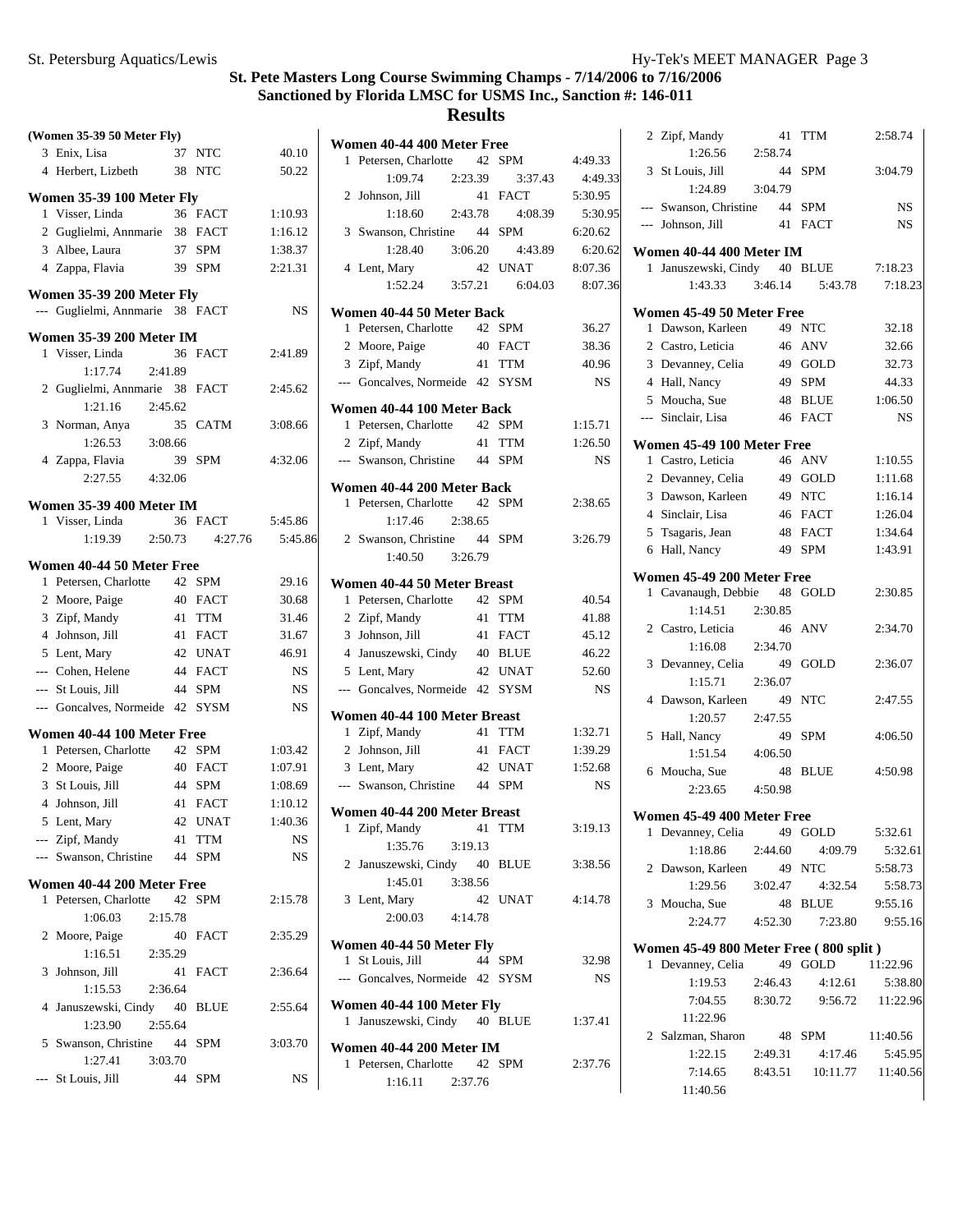|   | (Women 35-39 50 Meter Fly)                                   |         |             |         |
|---|--------------------------------------------------------------|---------|-------------|---------|
|   | 3 Enix, Lisa                                                 | 37      | NTC         | 40.10   |
|   | 4 Herbert, Lizbeth                                           | 38      | <b>NTC</b>  | 50.22   |
|   | Women 35-39 100 Meter Fly                                    |         |             |         |
| 1 | Visser, Linda                                                |         | 36 FACT     | 1:10.93 |
|   | 2 Guglielmi, Annmarie 38 FACT                                |         |             | 1:16.12 |
|   | 3 Albee, Laura                                               | 37      | SPM         | 1:38.37 |
|   | 4 Zappa, Flavia                                              | 39      | SPM         | 2:21.31 |
|   | Women 35-39 200 Meter Fly<br>--- Guglielmi, Annmarie 38 FACT |         |             | NS      |
|   | <b>Women 35-39 200 Meter IM</b>                              |         |             |         |
|   | 1 Visser, Linda                                              |         | 36 FACT     | 2:41.89 |
|   | 1:17.74                                                      | 2:41.89 |             |         |
|   | 2 Guglielmi, Annmarie 38                                     |         | <b>FACT</b> | 2:45.62 |
|   | 1:21.16                                                      | 2:45.62 |             |         |
| 3 | Norman, Anya                                                 | 35      | <b>CATM</b> | 3:08.66 |
|   | 1:26.53                                                      | 3:08.66 |             |         |
|   | 4 Zappa, Flavia                                              | 39      | <b>SPM</b>  | 4:32.06 |
|   | 2:27.55                                                      | 4:32.06 |             |         |
|   | <b>Women 35-39 400 Meter IM</b>                              |         |             |         |
|   | 1 Visser, Linda                                              |         | 36 FACT     | 5:45.86 |
|   | 1:19.39                                                      | 2:50.73 | 4:27.76     | 5:45.86 |
|   | Women 40-44 50 Meter Free                                    |         |             |         |
|   | 1 Petersen, Charlotte                                        | 42      | <b>SPM</b>  | 29.16   |
|   | 2 Moore, Paige                                               |         | 40 FACT     | 30.68   |
|   | 3 Zipf, Mandy                                                | 41      | <b>TTM</b>  | 31.46   |
|   | 4 Johnson, Jill                                              |         | 41 FACT     | 31.67   |
|   | 5 Lent, Mary                                                 |         | 42 UNAT     | 46.91   |
|   | --- Cohen, Helene                                            | 44      | <b>FACT</b> | NS      |
|   | --- St Louis, Jill                                           |         | 44 SPM      | NS      |
|   | --- Goncalves, Normeide 42 SYSM                              |         |             | NS      |
|   | Women 40-44 100 Meter Free                                   |         |             |         |
|   | 1 Petersen, Charlotte                                        |         | 42 SPM      | 1:03.42 |
|   | 2 Moore, Paige                                               |         | 40 FACT     | 1:07.91 |
| 3 | St Louis, Jill                                               | 44      | <b>SPM</b>  | 1:08.69 |
|   | 4 Johnson, Jill                                              | 41      | <b>FACT</b> | 1:10.12 |
|   | 5 Lent, Mary                                                 |         | 42 UNAT     | 1:40.36 |
|   | --- Zipf, Mandy                                              | 41      | TTM         | NS      |
|   | --- Swanson, Christine                                       | 44      | <b>SPM</b>  | NS      |
|   | Women 40-44 200 Meter Free                                   |         |             |         |
| 1 | Petersen, Charlotte                                          | 42      | <b>SPM</b>  | 2:15.78 |
|   | 1:06.03                                                      | 2:15.78 |             |         |
| 2 | Moore, Paige                                                 | 40      | FACT        | 2:35.29 |
|   | 1:16.51 2:35.29                                              |         |             |         |
| 3 | Johnson, Jill                                                | 41      | <b>FACT</b> | 2:36.64 |
|   | 1:15.53                                                      | 2:36.64 |             |         |
| 4 | Januszewski, Cindy 40                                        |         | <b>BLUE</b> | 2:55.64 |
|   | 1:23.90                                                      | 2:55.64 |             |         |
| 5 | Swanson, Christine 44                                        |         | <b>SPM</b>  | 3:03.70 |
|   | 1:27.41                                                      | 3:03.70 |             |         |
|   | St Louis, Jill                                               | 44      | SPM         | NS      |

|   | Women 40-44 400 Meter Free              |    |            |           |
|---|-----------------------------------------|----|------------|-----------|
| 1 | Petersen, Charlotte 42 SPM              |    |            | 4:49.33   |
|   | 1:09.74<br>2:23.39                      |    | 3:37.43    | 4:49.33   |
|   | 2 Johnson, Jill                         | 41 | FACT       | 5:30.95   |
|   | 1:18.60<br>2:43.78                      |    | 4:08.39    | 5:30.95   |
|   | 3 Swanson, Christine 44                 |    | SPM        | 6:20.62   |
|   | 1:28.40 3:06.20                         |    | 4:43.89    | 6:20.62   |
|   | 4 Lent, Mary                            | 42 | UNAT       | 8:07.36   |
|   | $1:52.24$ $3:57.21$                     |    | 6:04.03    | 8:07.36   |
|   | Women 40-44 50 Meter Back               |    |            |           |
|   | 1 Petersen, Charlotte 42 SPM            |    |            | 36.27     |
|   | 2 Moore, Paige                          |    | 40 FACT    | 38.36     |
|   | 3 Zipf, Mandy                           |    | 41 TTM     | 40.96     |
|   | --- Goncalves, Normeide 42 SYSM         |    |            | <b>NS</b> |
|   | Women 40-44 100 Meter Back              |    |            |           |
|   | 1 Petersen, Charlotte 42 SPM            |    |            | 1:15.71   |
|   | 2 Zipf, Mandy                           |    | 41 TTM     | 1:26.50   |
|   | --- Swanson, Christine                  | 44 | <b>SPM</b> | <b>NS</b> |
|   | Women 40-44 200 Meter Back              |    |            |           |
|   | 1 Petersen, Charlotte                   | 42 | <b>SPM</b> | 2:38.65   |
|   | 1:17.46<br>2:38.65                      |    |            |           |
|   | 2 Swanson, Christine 44                 |    | <b>SPM</b> | 3:26.79   |
|   | 1:40.50 3:26.79                         |    |            |           |
|   | Women 40-44 50 Meter Breast             |    |            |           |
|   | 1 Petersen, Charlotte 42                |    | <b>SPM</b> | 40.54     |
|   | 2 Zipf, Mandy                           | 41 | <b>TTM</b> | 41.88     |
|   | 3 Johnson, Jill                         |    | 41 FACT    | 45.12     |
|   | 4 Januszewski, Cindy 40 BLUE            |    |            | 46.22     |
|   | 5 Lent, Mary                            |    | 42 UNAT    | 52.60     |
|   | --- Goncalves, Normeide 42 SYSM         |    |            | <b>NS</b> |
|   | Women 40-44 100 Meter Breast            |    |            |           |
|   | 1 Zipf, Mandy                           | 41 | <b>TTM</b> | 1:32.71   |
|   | 2 Johnson, Jill                         |    | 41 FACT    | 1:39.29   |
|   | 3 Lent, Mary                            |    | 42 UNAT    | 1:52.68   |
|   | --- Swanson, Christine 44 SPM           |    |            | <b>NS</b> |
|   |                                         |    |            |           |
|   | Women 40-44 200 Meter Breast            |    |            |           |
| 1 | Zipf, Mandy<br>3:19.13                  | 41 | <b>TTM</b> | 3:19.13   |
|   | 1:35.76<br>2 Januszewski, Cindy 40 BLUE |    |            |           |
|   | 1:45.01<br>3:38.56                      |    |            | 3:38.56   |
|   | 3 Lent, Mary                            | 42 | UNAT       | 4:14.78   |
|   | 2:00.03<br>4:14.78                      |    |            |           |
|   |                                         |    |            |           |
|   | Women 40-44 50 Meter Fly                |    |            |           |
|   | 1 St Louis, Jill                        |    | 44 SPM     | 32.98     |
|   | --- Goncalves, Normeide 42 SYSM         |    |            | NS        |
|   | Women 40-44 100 Meter Fly               |    |            |           |
|   | 1 Januszewski, Cindy                    |    | 40 BLUE    | 1:37.41   |
|   | Women 40-44 200 Meter IM                |    |            |           |
| 1 | Petersen, Charlotte 42 SPM              |    |            | 2:37.76   |
|   | 1:16.11<br>2:37.76                      |    |            |           |

|              | 2 Zipf, Mandy<br>1:26.56               | 41<br>2:58.74 | TTM              | 2:58.74          |
|--------------|----------------------------------------|---------------|------------------|------------------|
|              | 3 St Louis, Jill                       | 44            | SPM              | 3:04.79          |
|              | 1:24.89                                | 3:04.79       |                  |                  |
|              | --- Swanson, Christine 44 SPM          |               |                  | <b>NS</b>        |
|              | --- Johnson, Jill                      |               | 41 FACT          | <b>NS</b>        |
|              | Women 40-44 400 Meter IM               |               |                  |                  |
|              | 1 Januszewski, Cindy                   |               | 40 BLUE          | 7:18.23          |
|              | 1:43.33                                | 3:46.14       | 5:43.78          | 7:18.23          |
|              | Women 45-49 50 Meter Free              |               |                  |                  |
|              | 1 Dawson, Karleen                      |               | 49 NTC           | 32.18            |
|              | 2 Castro, Leticia                      |               | 46 ANV           | 32.66            |
|              | 3 Devanney, Celia                      |               | 49 GOLD          | 32.73            |
|              | 4 Hall, Nancy                          | 49            | <b>SPM</b>       | 44.33            |
|              | 5 Moucha, Sue                          |               | 48 BLUE          | 1:06.50          |
|              | --- Sinclair, Lisa                     |               | 46 FACT          | <b>NS</b>        |
|              | Women 45-49 100 Meter Free             |               |                  |                  |
|              | 1 Castro, Leticia                      |               | 46 ANV           | 1:10.55          |
|              | 2 Devanney, Celia                      |               | 49 GOLD          | 1:11.68          |
|              | 3 Dawson, Karleen                      |               | 49 NTC           | 1:16.14          |
|              | 4 Sinclair, Lisa                       |               | 46 FACT          | 1:26.04          |
|              | 5 Tsagaris, Jean                       |               | 48 FACT          | 1:34.64          |
|              | 6 Hall, Nancy                          |               | 49 SPM           | 1:43.91          |
|              | Women 45-49 200 Meter Free             |               |                  |                  |
| $\mathbf{1}$ | Cavanaugh, Debbie 48 GOLD              |               |                  | 2:30.85          |
|              | 1:14.51                                | 2:30.85       |                  |                  |
|              | 2 Castro, Leticia                      | 46            | ANV              | 2:34.70          |
|              | 1:16.08                                | 2:34.70       |                  |                  |
|              | 3 Devanney, Celia                      | 49            | GOLD             | 2:36.07          |
|              | 1:15.71                                | 2:36.07       |                  |                  |
|              | 4 Dawson, Karleen                      | - 49          | <b>NTC</b>       | 2:47.55          |
|              | 1:20.57                                | 2:47.55       |                  |                  |
|              | 5 Hall, Nancy                          | 49            | <b>SPM</b>       | 4:06.50          |
|              | 1:51.54                                | 4:06.50       |                  |                  |
|              | 6 Moucha, Sue                          | 48            | <b>BLUE</b>      | 4:50.98          |
|              | 2:23.65                                | 4:50.98       |                  |                  |
|              | Women 45-49 400 Meter Free             |               |                  |                  |
|              | 1 Devanney, Celia                      | 49            | GOLD             | 5:32.61          |
|              | 1:18.86                                | 2:44.60       | 4:09.79          | 5:32.61          |
|              | 2 Dawson, Karleen                      | 49            | <b>NTC</b>       | 5:58.73          |
|              | 1:29.56                                | 3:02.47       | 4:32.54          | 5:58.73          |
|              | 3 Moucha, Sue                          | 48            | BLUE             | 9:55.16          |
|              | 2:24.77                                | 4:52.30       | 7:23.80          | 9:55.16          |
|              | Women 45-49 800 Meter Free (800 split) |               |                  |                  |
|              | 1 Devanney, Celia                      | 49            | GOLD             | 11:22.96         |
|              | 1:19.53                                | 2:46.43       | 4:12.61          | 5:38.80          |
|              | 7:04.55                                | 8:30.72       |                  | 9:56.72 11:22.96 |
|              | 11:22.96                               |               |                  |                  |
|              | 2 Salzman, Sharon 48 SPM               |               |                  | 11:40.56         |
|              | 1:22.15                                | 2:49.31       | 4:17.46          | 5:45.95          |
|              | 7:14.65                                |               | 8:43.51 10:11.77 | 11:40.56         |
|              | 11:40.56                               |               |                  |                  |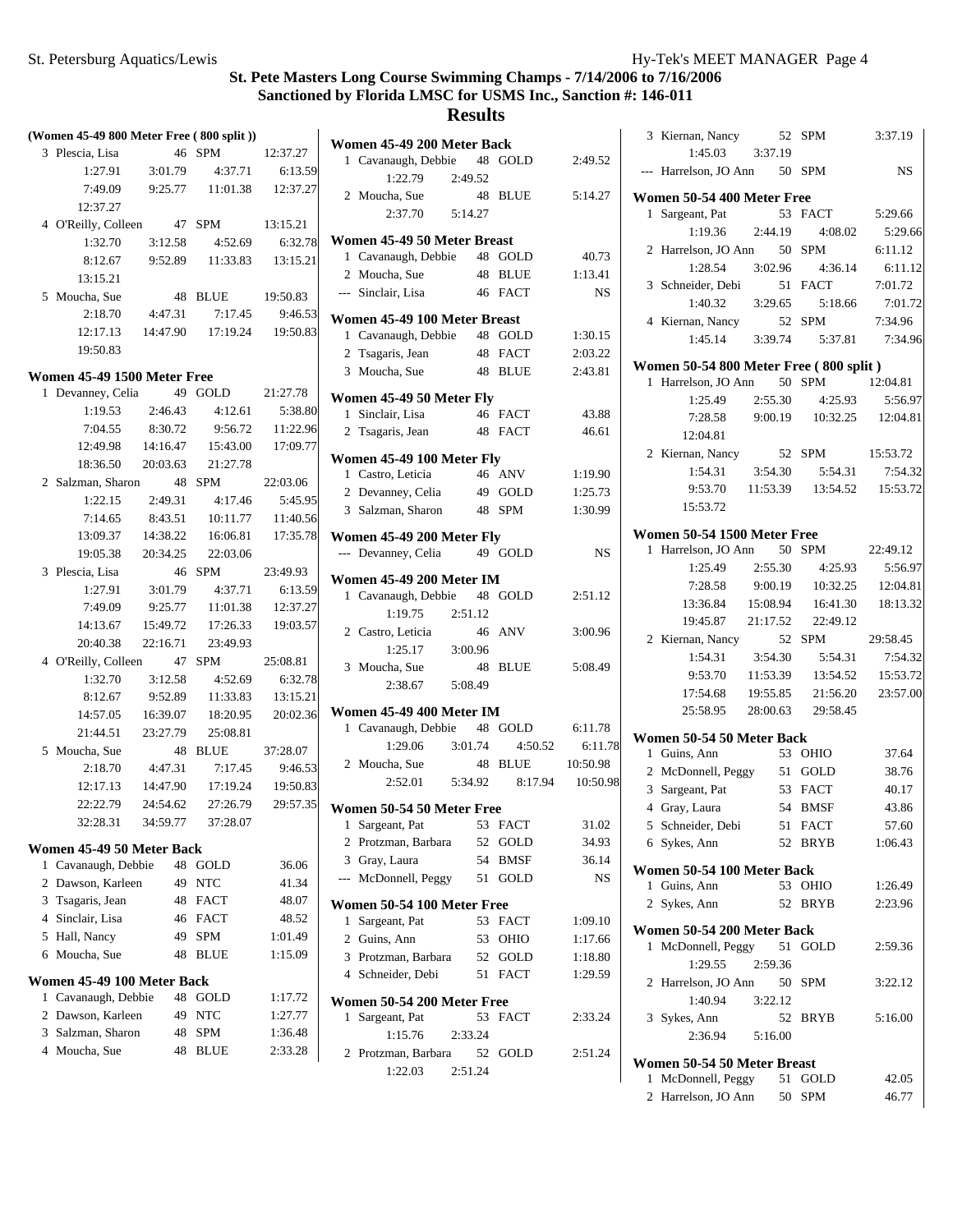|   | (Women 45-49 800 Meter Free (800 split)) |          |                                          |                       | W                        |
|---|------------------------------------------|----------|------------------------------------------|-----------------------|--------------------------|
|   | 3 Plescia, Lisa                          |          | 46 SPM 12:37.27                          |                       |                          |
|   |                                          |          | $1:27.91$ $3:01.79$ $4:37.71$ $6:13.59$  |                       |                          |
|   |                                          |          | 7:49.09 9:25.77 11:01.38 12:37.27        |                       |                          |
|   | 12:37.27                                 |          |                                          |                       |                          |
|   | 4 O'Reilly, Colleen 47 SPM 13:15.21      |          |                                          |                       |                          |
|   | 1:32.70                                  |          | 3:12.58 4:52.69 6:32.78                  |                       | $\overline{W}$           |
|   | 8:12.67                                  |          | 9:52.89 11:33.83 13:15.21                |                       |                          |
|   | 13:15.21                                 |          |                                          |                       | $\frac{1}{2}$            |
|   | 5 Moucha, Sue                            |          | 48 BLUE 19:50.83                         |                       |                          |
|   |                                          |          | $2:18.70$ $4:47.31$ $7:17.45$ $9:46.53$  |                       | $\overline{W}$           |
|   |                                          |          | 12:17.13  14:47.90  17:19.24  19:50.83   |                       |                          |
|   | 19:50.83                                 |          |                                          |                       |                          |
|   | Women 45-49 1500 Meter Free              |          |                                          |                       |                          |
| 1 | Devanney, Celia 49 GOLD 21:27.78         |          |                                          |                       | $\overline{W}$           |
|   |                                          |          | 1:19.53  2:46.43  4:12.61                | 5:38.80               |                          |
|   | 7:04.55                                  | 8:30.72  |                                          | 9:56.72 11:22.96      | $\frac{1}{2}$            |
|   |                                          |          | 12:49.98  14:16.47  15:43.00  17:09.77   |                       |                          |
|   |                                          |          | 18:36.50 20:03.63 21:27.78               |                       | $\overline{W}$           |
|   | 2 Salzman, Sharon 48 SPM 22:03.06        |          |                                          |                       |                          |
|   |                                          |          | 1:22.15  2:49.31  4:17.46  5:45.95       |                       | $\frac{1}{2}$            |
|   |                                          |          | 7:14.65 8:43.51 10:11.77 11:40.56        |                       |                          |
|   |                                          |          | 13:09.37  14:38.22  16:06.81  17:35.78   |                       | $\overline{W}$           |
|   |                                          |          | 19:05.38  20:34.25  22:03.06             |                       |                          |
|   | 3 Plescia, Lisa                          | 46 SPM   |                                          | 23:49.93              | $\overline{W}$           |
|   |                                          |          | 1:27.91    3:01.79    4:37.71    6:13.59 |                       | J                        |
|   |                                          |          | 7:49.09 9:25.77 11:01.38 12:37.27        |                       |                          |
|   |                                          |          | 14:13.67  15:49.72  17:26.33  19:03.57   |                       | $\overline{\phantom{a}}$ |
|   | 20:40.38                                 |          | 22:16.71 23:49.93                        |                       |                          |
|   | 4 O'Reilly, Colleen 47 SPM               |          | 25:08.81<br>4:52.69 6:07                 |                       | $\ddot{\cdot}$           |
|   | 1:32.70                                  | 3:12.58  |                                          | 6:32.78               |                          |
|   | 8:12.67                                  | 9:52.89  |                                          | $11:33.83$ $13:15.21$ |                          |
|   | 14:57.05  16:39.07                       |          |                                          | 18:20.95 20:02.36     | $\overline{W}$           |
|   |                                          |          | 21:44.51 23:27.79 25:08.81               |                       |                          |
|   | 5 Moucha, Sue                            |          | 48 BLUE 37:28.07                         |                       |                          |
|   |                                          |          | 2:18.70 4:47.31 7:17.45 9:46.53          |                       |                          |
|   |                                          |          | 12:17.13  14:47.90  17:19.24  19:50.83   |                       |                          |
|   | 32:28.31                                 | 34:59.77 | 22:22.79  24:54.62  27:26.79  29:57.35   |                       | W۰                       |
|   |                                          |          | 37:28.07                                 |                       |                          |
|   | Women 45-49 50 Meter Back                |          |                                          |                       | í                        |
| 1 | Cavanaugh, Debbie                        | 48       | GOLD                                     | 36.06                 |                          |
| 2 | Dawson, Karleen                          | 49       | <b>NTC</b>                               | 41.34                 |                          |
| 3 | Tsagaris, Jean                           | 48       | <b>FACT</b>                              | 48.07                 | W۰                       |
| 4 | Sinclair, Lisa                           | 46       | FACT                                     | 48.52                 |                          |
| 5 | Hall, Nancy                              | 49       | <b>SPM</b>                               | 1:01.49               |                          |
| 6 | Moucha, Sue                              | 48       | <b>BLUE</b>                              | 1:15.09               |                          |
|   | Women 45-49 100 Meter Back               |          |                                          |                       |                          |
| 1 | Cavanaugh, Debbie                        |          | 48 GOLD                                  | 1:17.72               | W٥                       |
| 2 | Dawson, Karleen                          | 49       | <b>NTC</b>                               | 1:27.77               |                          |
| 3 | Salzman, Sharon                          | 48       | <b>SPM</b>                               | 1:36.48               |                          |
|   | 4 Moucha, Sue                            | 48       | <b>BLUE</b>                              | 2:33.28               |                          |
|   |                                          |          |                                          |                       |                          |

|                | Women 45-49 200 Meter Back                         |               |                    |                    |
|----------------|----------------------------------------------------|---------------|--------------------|--------------------|
|                | 1 Cavanaugh, Debbie 48<br>1:22.79                  | 2:49.52       | <b>GOLD</b>        | 2:49.52            |
|                | 2 Moucha, Sue<br>2:37.70                           | 48<br>5:14.27 | <b>BLUE</b>        | 5:14.27            |
|                |                                                    |               |                    |                    |
|                | Women 45-49 50 Meter Breast<br>1 Cavanaugh, Debbie |               | 48 GOLD            | 40.73              |
|                | 2 Moucha, Sue                                      |               | 48 BLUE            | 1:13.41            |
|                | --- Sinclair, Lisa                                 |               | 46 FACT            | <b>NS</b>          |
|                | Women 45-49 100 Meter Breast                       |               |                    |                    |
|                | 1 Cavanaugh, Debbie                                |               | 48 GOLD            | 1:30.15            |
|                | 2 Tsagaris, Jean<br>3 Moucha, Sue                  |               | 48 FACT<br>48 BLUE | 2:03.22<br>2:43.81 |
|                |                                                    |               |                    |                    |
|                | Women 45-49 50 Meter Fly<br>1 Sinclair, Lisa       |               | 46 FACT            | 43.88              |
|                | 2 Tsagaris, Jean                                   |               | 48 FACT            | 46.61              |
|                | Women 45-49 100 Meter Fly                          |               |                    |                    |
|                | 1 Castro, Leticia                                  |               | 46 ANV             | 1:19.90            |
|                | 2 Devanney, Celia                                  |               | 49 GOLD            | 1:25.73            |
| 3 <sup>1</sup> | Salzman, Sharon                                    | 48            | <b>SPM</b>         | 1:30.99            |
|                | Women 45-49 200 Meter Fly                          |               |                    |                    |
|                | --- Devanney, Celia                                |               | 49 GOLD            | NS                 |
|                | Women 45-49 200 Meter IM                           |               |                    |                    |
|                | 1 Cavanaugh, Debbie                                | 48            | <b>GOLD</b>        | 2:51.12            |
|                | 1:19.75<br>2 Castro, Leticia                       | 2:51.12<br>46 | <b>ANV</b>         | 3:00.96            |
|                | 1:25.17                                            | 3:00.96       |                    |                    |
|                | 3 Moucha, Sue                                      | 48            | <b>BLUE</b>        | 5:08.49            |
|                | 2:38.67                                            | 5:08.49       |                    |                    |
|                | Women 45-49 400 Meter IM                           |               |                    |                    |
|                | 1 Cavanaugh, Debbie                                | 48            | GOLD               | 6:11.78            |
|                | 1:29.06                                            | 3:01.74       | 4:50.52            | 6:11.78            |
|                | 2 Moucha, Sue                                      |               | 48 BLUE            | 10:50.98           |
|                | 2:52.01   5:34.92   8:17.94                        |               |                    | 10:50.98           |
|                | Women 50-54 50 Meter Free                          |               |                    |                    |
|                | 1 Sargeant, Pat                                    |               | 53 FACT            | 31.02              |
|                | 2 Protzman, Barbara                                | 52            | <b>GOLD</b>        | 34.93              |
| 3              | Gray, Laura                                        | 54            | BMSF               | 36.14              |
| $\overline{a}$ | McDonnell, Peggy                                   | 51            | GOLD               | NS                 |
|                | Women 50-54 100 Meter Free                         |               |                    |                    |
| 1              | Sargeant, Pat                                      | 53            | <b>FACT</b>        | 1:09.10            |
|                | 2 Guins, Ann                                       | 53            | <b>OHIO</b>        | 1:17.66            |
|                | 3 Protzman, Barbara                                | 52            | <b>GOLD</b>        | 1:18.80            |
|                | 4 Schneider, Debi                                  | 51            | <b>FACT</b>        | 1:29.59            |
|                | Women 50-54 200 Meter Free                         |               |                    |                    |
| 1              | Sargeant, Pat                                      | 53            | FACT               | 2:33.24            |
|                | 1:15.76                                            | 2:33.24       |                    |                    |
| 2              | Protzman, Barbara                                  | 52            | GOLD               | 2:51.24            |
|                | 1:22.03                                            | 2:51.24       |                    |                    |
|                |                                                    |               |                    |                    |

| 3 Kiernan, Nancy                       | 52       | <b>SPM</b>                                                 | 3:37.19   |
|----------------------------------------|----------|------------------------------------------------------------|-----------|
| 1:45.03 3:37.19                        |          |                                                            |           |
| --- Harrelson, JO Ann 50 SPM           |          |                                                            | <b>NS</b> |
| Women 50-54 400 Meter Free             |          |                                                            |           |
| 1 Sargeant, Pat                        |          | 53 FACT                                                    | 5:29.66   |
| $1:19.36$ $2:44.19$                    |          | 4:08.02                                                    | 5:29.66   |
| 2 Harrelson, JO Ann 50                 |          | <b>SPM</b>                                                 | 6:11.12   |
| 1:28.54                                |          | 3:02.96 4:36.14                                            | 6:11.12   |
| 3 Schneider, Debi                      |          | 51 FACT                                                    | 7:01.72   |
| 1:40.32                                |          | 3:29.65 5:18.66                                            | 7:01.72   |
| 4 Kiernan, Nancy                       | 52 SPM   |                                                            | 7:34.96   |
|                                        |          | 1:45.14 3:39.74 5:37.81                                    | 7:34.96   |
| Women 50-54 800 Meter Free (800 split) |          |                                                            |           |
| 1 Harrelson, JO Ann 50 SPM             |          |                                                            | 12:04.81  |
| 1:25.49                                | 2:55.30  | 4:25.93                                                    | 5:56.97   |
| 7:28.58                                |          | 9:00.19  10:32.25  12:04.81                                |           |
| 12:04.81                               |          |                                                            |           |
| 2 Kiernan, Nancy                       |          | 52 SPM                                                     | 15:53.72  |
| 1:54.31                                |          | $3:54.30$ $5:54.31$                                        | 7:54.32   |
|                                        |          | 9:53.70  11:53.39  13:54.52  15:53.72                      |           |
| 15:53.72                               |          |                                                            |           |
| Women 50-54 1500 Meter Free            |          |                                                            |           |
| 1 Harrelson, JO Ann                    |          | 50 SPM                                                     | 22:49.12  |
| 1:25.49                                | 2:55.30  | 4:25.93                                                    | 5:56.97   |
| 7:28.58                                | 9:00.19  | 10:32.25                                                   | 12:04.81  |
| 13:36.84                               | 15:08.94 | 16:41.30                                                   | 18:13.32  |
| 19:45.87 21:17.52                      |          | 22:49.12                                                   |           |
| 2 Kiernan, Nancy                       | 52       | SPM                                                        | 29:58.45  |
| 1:54.31                                | 3:54.30  | 5:54.31                                                    | 7:54.32   |
|                                        |          | 9:53.70  11:53.39  13:54.52  15:53.72                      |           |
|                                        |          | 17:54.68  19:55.85  21:56.20<br>25:58.95 28:00.63 29:58.45 | 23:57.00  |
|                                        |          |                                                            |           |
| Women 50-54 50 Meter Back              |          |                                                            |           |
| 1 Guins, Ann                           |          | 53 OHIO                                                    | 37.64     |
| 2 McDonnell, Peggy                     |          | 51 GOLD                                                    | 38.76     |
| 3 Sargeant, Pat                        |          | 53 FACT                                                    | 40.17     |
| 4 Gray, Laura                          |          | 54 BMSF                                                    | 43.86     |
| 5 Schneider, Debi 51 FACT              |          |                                                            | 57.60     |
| 6 Sykes, Ann                           |          | 52 BRYB                                                    | 1:06.43   |
| Women 50-54 100 Meter Back             |          |                                                            |           |
| 1 Guins, Ann                           |          | 53 OHIO                                                    | 1:26.49   |
| 2 Sykes, Ann                           |          | 52 BRYB                                                    | 2:23.96   |
| Women 50-54 200 Meter Back             |          |                                                            |           |
| 1 McDonnell, Peggy 51 GOLD             |          |                                                            | 2:59.36   |
| 1:29.55                                | 2:59.36  |                                                            |           |
| 2 Harrelson, JO Ann 50 SPM             |          |                                                            | 3:22.12   |
| $1:40.94$ $3:22.12$                    |          |                                                            |           |
| 3 Sykes, Ann                           |          | 52 BRYB                                                    | 5:16.00   |
| 2:36.94 5:16.00                        |          |                                                            |           |
| Women 50-54 50 Meter Breast            |          |                                                            |           |
| 1 McDonnell, Peggy 51 GOLD             |          |                                                            | 42.05     |
| 2 Harrelson, JO Ann 50 SPM             |          |                                                            | 46.77     |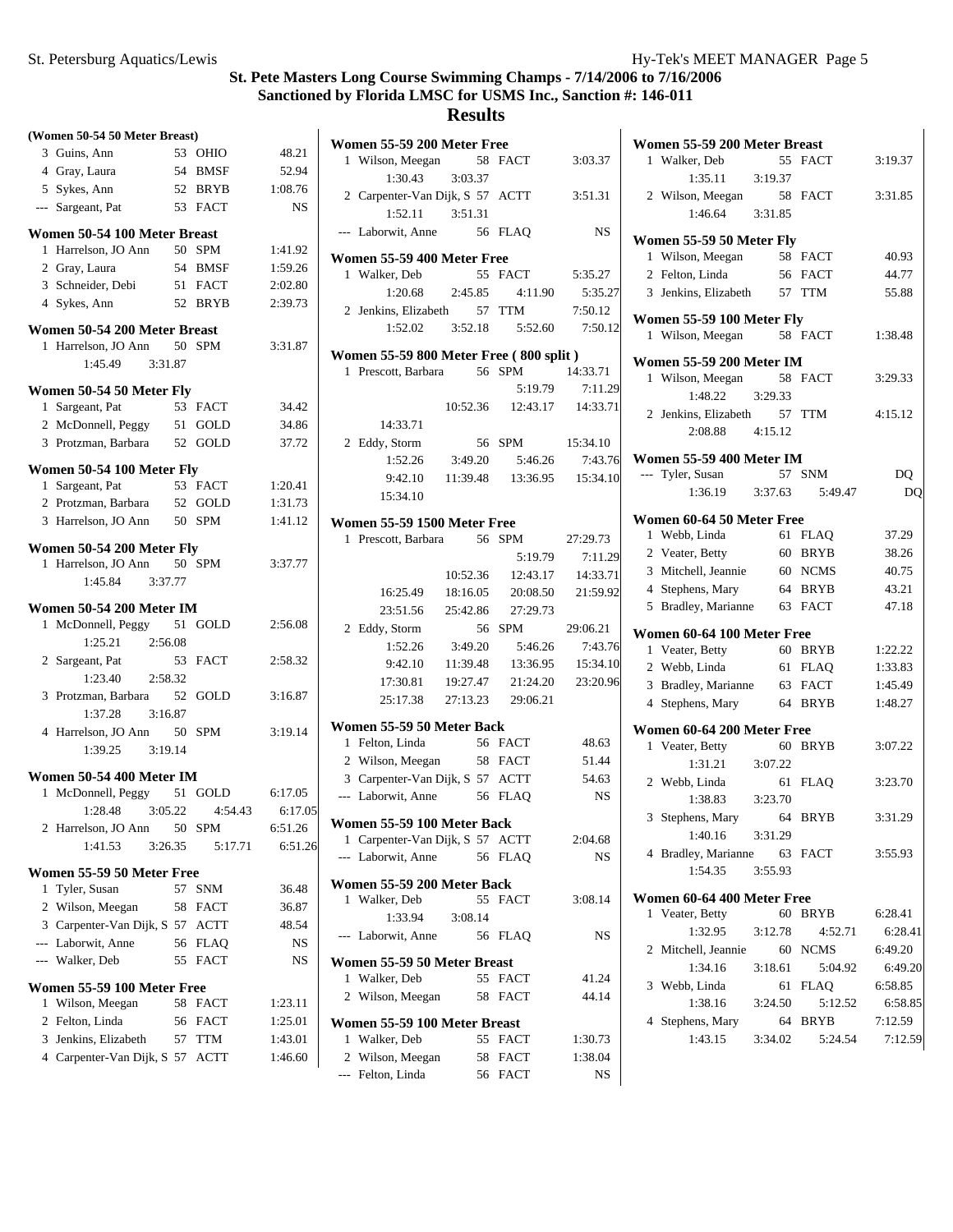**(Women 50-54 50 Meter Breast)**

# **St. Pete Masters Long Course Swimming Champs - 7/14/2006 to 7/16/2006 Sanctioned by Florida LMSC for USMS Inc., Sanction #: 146-011**

|                | 3 Guins, Ann                    | 53 | OHIO        | 48.21     |
|----------------|---------------------------------|----|-------------|-----------|
|                | 4 Gray, Laura                   |    | 54 BMSF     | 52.94     |
|                | 5 Sykes, Ann                    |    | 52 BRYB     | 1:08.76   |
|                | --- Sargeant, Pat               |    | 53 FACT     | <b>NS</b> |
|                | Women 50-54 100 Meter Breast    |    |             |           |
|                | 1 Harrelson, JO Ann             |    | 50 SPM      | 1:41.92   |
|                | 2 Gray, Laura                   |    | 54 BMSF     | 1:59.26   |
|                | 3 Schneider, Debi               |    | 51 FACT     | 2:02.80   |
|                | 4 Sykes, Ann                    |    | 52 BRYB     | 2:39.73   |
|                | Women 50-54 200 Meter Breast    |    |             |           |
|                | 1 Harrelson, JO Ann 50 SPM      |    |             | 3:31.87   |
|                | 1:45.49<br>3:31.87              |    |             |           |
|                | Women 50-54 50 Meter Fly        |    |             |           |
|                | 1 Sargeant, Pat                 |    | 53 FACT     | 34.42     |
|                | 2 McDonnell, Peggy              |    | 51 GOLD     | 34.86     |
|                | 3 Protzman, Barbara             |    | 52 GOLD     | 37.72     |
|                | Women 50-54 100 Meter Fly       |    |             |           |
|                | 1 Sargeant, Pat                 |    | 53 FACT     | 1:20.41   |
|                | 2 Protzman, Barbara 52 GOLD     |    |             | 1:31.73   |
|                | 3 Harrelson, JO Ann             |    | 50 SPM      | 1:41.12   |
|                |                                 |    |             |           |
|                | Women 50-54 200 Meter Fly       |    |             |           |
|                | 1 Harrelson, JO Ann             |    | 50 SPM      | 3:37.77   |
|                | 1:45.84 3:37.77                 |    |             |           |
|                | Women 50-54 200 Meter IM        |    |             |           |
|                | 1 McDonnell, Peggy              |    | 51 GOLD     | 2:56.08   |
|                | 1:25.21<br>2:56.08              |    |             |           |
|                | 2 Sargeant, Pat                 | 53 | <b>FACT</b> | 2:58.32   |
|                | 1:23.40<br>2:58.32              |    |             |           |
|                | 3 Protzman, Barbara             | 52 | GOLD        | 3:16.87   |
|                | 1:37.28<br>3:16.87              |    |             |           |
|                | 4 Harrelson, JO Ann 50          |    | <b>SPM</b>  | 3:19.14   |
|                | 1:39.25 3:19.14                 |    |             |           |
|                | Women 50-54 400 Meter IM        |    |             |           |
|                | 1 McDonnell, Peggy              |    | 51 GOLD     | 6:17.05   |
|                | $1:28.48$ $3:05.22$             |    | 4:54.43     | 6:17.05   |
|                | 2 Harrelson, JO Ann 50 SPM      |    |             | 6:51.26   |
|                | 1:41.53<br>3:26.35              |    | 5:17.71     | 6:51.26   |
|                | Women 55-59 50 Meter Free       |    |             |           |
| 1              | Tyler, Susan                    | 57 | <b>SNM</b>  | 36.48     |
| $\overline{2}$ | Wilson, Meegan                  |    | 58 FACT     | 36.87     |
|                | 3 Carpenter-Van Dijk, S 57 ACTT |    |             | 48.54     |
|                | --- Laborwit, Anne              | 56 | <b>FLAQ</b> | NS        |
|                | --- Walker, Deb                 | 55 | <b>FACT</b> | NS        |
|                | Women 55-59 100 Meter Free      |    |             |           |
| 1              | Wilson, Meegan                  | 58 | <b>FACT</b> | 1:23.11   |
|                | 2 Felton, Linda                 | 56 | FACT        | 1:25.01   |
|                | 3 Jenkins, Elizabeth            | 57 | TTM         | 1:43.01   |
|                | 4 Carpenter-Van Dijk, S 57      |    | <b>ACTT</b> | 1:46.60   |
|                |                                 |    |             |           |

| Women 55-59 200 Meter Free                                  |                 |                                       |                     |
|-------------------------------------------------------------|-----------------|---------------------------------------|---------------------|
| 1 Wilson, Meegan 58 FACT                                    |                 |                                       | 3:03.37             |
| 1:30.43                                                     | 3:03.37         |                                       |                     |
| 2 Carpenter-Van Dijk, S 57 ACTT                             |                 |                                       | 3:51.31             |
| $1:52.11$ $3:51.31$                                         |                 |                                       |                     |
| --- Laborwit, Anne                                          |                 | 56 FLAO                               | <b>NS</b>           |
| Women 55-59 400 Meter Free                                  |                 |                                       |                     |
| 1 Walker, Deb                                               |                 | 55 FACT 5:35.27                       |                     |
|                                                             | 1:20.68 2:45.85 | 4:11.90                               | 5:35.27             |
| 2 Jenkins, Elizabeth 57 TTM                                 |                 |                                       | 7:50.12             |
|                                                             |                 |                                       |                     |
| Women 55-59 800 Meter Free (800 split)                      |                 |                                       |                     |
| 1 Prescott, Barbara 56 SPM                                  |                 |                                       | 14:33.71            |
|                                                             |                 |                                       | 5:19.79 7:11.29     |
|                                                             |                 | 10:52.36  12:43.17  14:33.71          |                     |
| 14:33.71                                                    |                 |                                       |                     |
| 2 Eddy, Storm                                               |                 | 56 SPM 15:34.10                       |                     |
|                                                             |                 | 1:52.26 3:49.20 5:46.26 7:43.76       |                     |
|                                                             |                 | 9:42.10  11:39.48  13:36.95  15:34.10 |                     |
| 15:34.10                                                    |                 |                                       |                     |
| Women 55-59 1500 Meter Free                                 |                 |                                       |                     |
| 1 Prescott, Barbara 56 SPM                                  |                 |                                       | 27:29.73            |
|                                                             |                 | 5:19.79                               | 7:11.29             |
|                                                             |                 | 10:52.36  12:43.17  14:33.71          |                     |
|                                                             |                 | 16:25.49  18:16.05  20:08.50          | 21:59.92            |
|                                                             |                 | 23:51.56 25:42.86 27:29.73            |                     |
| 2 Eddy, Storm<br>1:52.26                                    |                 | 56 SPM                                | 29:06.21<br>7:43.76 |
| 9:42.10                                                     | 11:39.48        | 3:49.20    5:46.26                    | 15:34.10            |
| 17:30.81                                                    | 19:27.47        | 13:36.95<br>21:24.20                  | 23:20.96            |
| 25:17.38                                                    |                 | 27:13.23 29:06.21                     |                     |
|                                                             |                 |                                       |                     |
| Women 55-59 50 Meter Back                                   |                 |                                       |                     |
| 1 Felton, Linda                                             |                 | 56 FACT                               | 48.63               |
| 2 Wilson, Meegan 58 FACT<br>3 Carpenter-Van Dijk, S 57 ACTT |                 |                                       | 51.44<br>54.63      |
| --- Laborwit, Anne 56 FLAQ                                  |                 |                                       | $_{\rm NS}$         |
|                                                             |                 |                                       |                     |
| Women 55-59 100 Meter Back                                  |                 |                                       |                     |
| 1 Carpenter-Van Dijk, S 57 ACTT                             |                 |                                       | 2:04.68             |
| --- Laborwit, Anne                                          | 56              | <b>FLAQ</b>                           | NS                  |
| Women 55-59 200 Meter Back                                  |                 |                                       |                     |
| Walker, Deb<br>1                                            | 55              | <b>FACT</b>                           | 3:08.14             |
| 1:33.94                                                     | 3:08.14         |                                       |                     |
| Laborwit, Anne<br>$---$                                     | 56              | <b>FLAQ</b>                           | NS                  |
| Women 55-59 50 Meter Breast                                 |                 |                                       |                     |
| Walker, Deb<br>1                                            | 55              | <b>FACT</b>                           | 41.24               |
| Wilson, Meegan<br>2                                         | 58              | <b>FACT</b>                           | 44.14               |
| Women 55-59 100 Meter Breast                                |                 |                                       |                     |
| Walker, Deb<br>1                                            | 55              | <b>FACT</b>                           | 1:30.73             |
| 2 Wilson, Meegan                                            |                 | 58 FACT                               | 1:38.04             |
| Felton, Linda<br>$---$                                      | 56              | FACT                                  | NS                  |
|                                                             |                 |                                       |                     |

|              | Women 55-59 200 Meter Breast    |         |             |         |
|--------------|---------------------------------|---------|-------------|---------|
|              | 1 Walker, Deb                   | 55      | <b>FACT</b> | 3:19.37 |
|              | 1:35.11                         | 3:19.37 |             |         |
|              | 2 Wilson, Meegan                | 58      | <b>FACT</b> | 3:31.85 |
|              | 1:46.64                         | 3:31.85 |             |         |
|              |                                 |         |             |         |
|              | Women 55-59 50 Meter Fly        | 58      |             |         |
|              | 1 Wilson, Meegan                |         | <b>FACT</b> | 40.93   |
|              | 2 Felton, Linda                 | 56      | <b>FACT</b> | 44.77   |
|              | 3 Jenkins, Elizabeth            |         | 57 TTM      | 55.88   |
|              | Women 55-59 100 Meter Fly       |         |             |         |
|              | 1 Wilson, Meegan                |         | 58 FACT     | 1:38.48 |
|              | <b>Women 55-59 200 Meter IM</b> |         |             |         |
| $\mathbf{1}$ | Wilson, Meegan 58               |         | <b>FACT</b> | 3:29.33 |
|              | 1:48.22                         | 3:29.33 |             |         |
|              | 2 Jenkins, Elizabeth 57 TTM     |         |             | 4:15.12 |
|              | 2:08.88 4:15.12                 |         |             |         |
|              |                                 |         |             |         |
|              | <b>Women 55-59 400 Meter IM</b> |         |             |         |
|              | --- Tyler, Susan                |         | 57 SNM      | DQ      |
|              | 1:36.19                         | 3:37.63 | 5:49.47     | DQ      |
|              | Women 60-64 50 Meter Free       |         |             |         |
|              | 1 Webb, Linda                   |         | 61 FLAO     | 37.29   |
|              | 2 Veater, Betty                 | 60      | <b>BRYB</b> | 38.26   |
|              | 3 Mitchell, Jeannie             |         | 60 NCMS     | 40.75   |
|              | 4 Stephens, Mary                |         | 64 BRYB     | 43.21   |
|              | 5 Bradley, Marianne             |         | 63 FACT     | 47.18   |
|              |                                 |         |             |         |
|              | Women 60-64 100 Meter Free      |         |             |         |
|              | 1 Veater, Betty                 |         | 60 BRYB     | 1:22.22 |
|              | 2 Webb, Linda                   |         | 61 FLAQ     | 1:33.83 |
|              | 3 Bradley, Marianne             |         | 63 FACT     | 1:45.49 |
|              | 4 Stephens, Mary                |         | 64 BRYB     | 1:48.27 |
|              | Women 60-64 200 Meter Free      |         |             |         |
|              | 1 Veater, Betty                 | 60      | <b>BRYB</b> | 3:07.22 |
|              | 1:31.21                         | 3:07.22 |             |         |
|              | 2 Webb, Linda                   | 61      | FLAQ        | 3:23.70 |
|              | 1:38.83                         | 3:23.70 |             |         |
|              | 3 Stephens, Mary                | 64 BRYB |             | 3:31.29 |
|              | 1:40.16                         | 3:31.29 |             |         |
|              | 4 Bradley, Marianne 63 FACT     |         |             | 3:55.93 |
|              | 1:54.35                         | 3:55.93 |             |         |
|              | Women 60-64 400 Meter Free      |         |             |         |
| 1            | Veater, Betty                   | 60      | <b>BRYB</b> | 6:28.41 |
|              | 1:32.95                         | 3:12.78 | 4:52.71     | 6:28.41 |
|              | 2 Mitchell, Jeannie             | 60      | <b>NCMS</b> | 6:49.20 |
|              | 1:34.16                         | 3:18.61 | 5:04.92     | 6:49.20 |
|              | 3 Webb, Linda                   | 61      | <b>FLAQ</b> | 6:58.85 |
|              | 1:38.16                         | 3:24.50 | 5:12.52     | 6:58.85 |
|              | 4 Stephens, Mary                | 64      | <b>BRYB</b> | 7:12.59 |
|              | 1:43.15                         | 3:34.02 | 5:24.54     | 7:12.59 |
|              |                                 |         |             |         |
|              |                                 |         |             |         |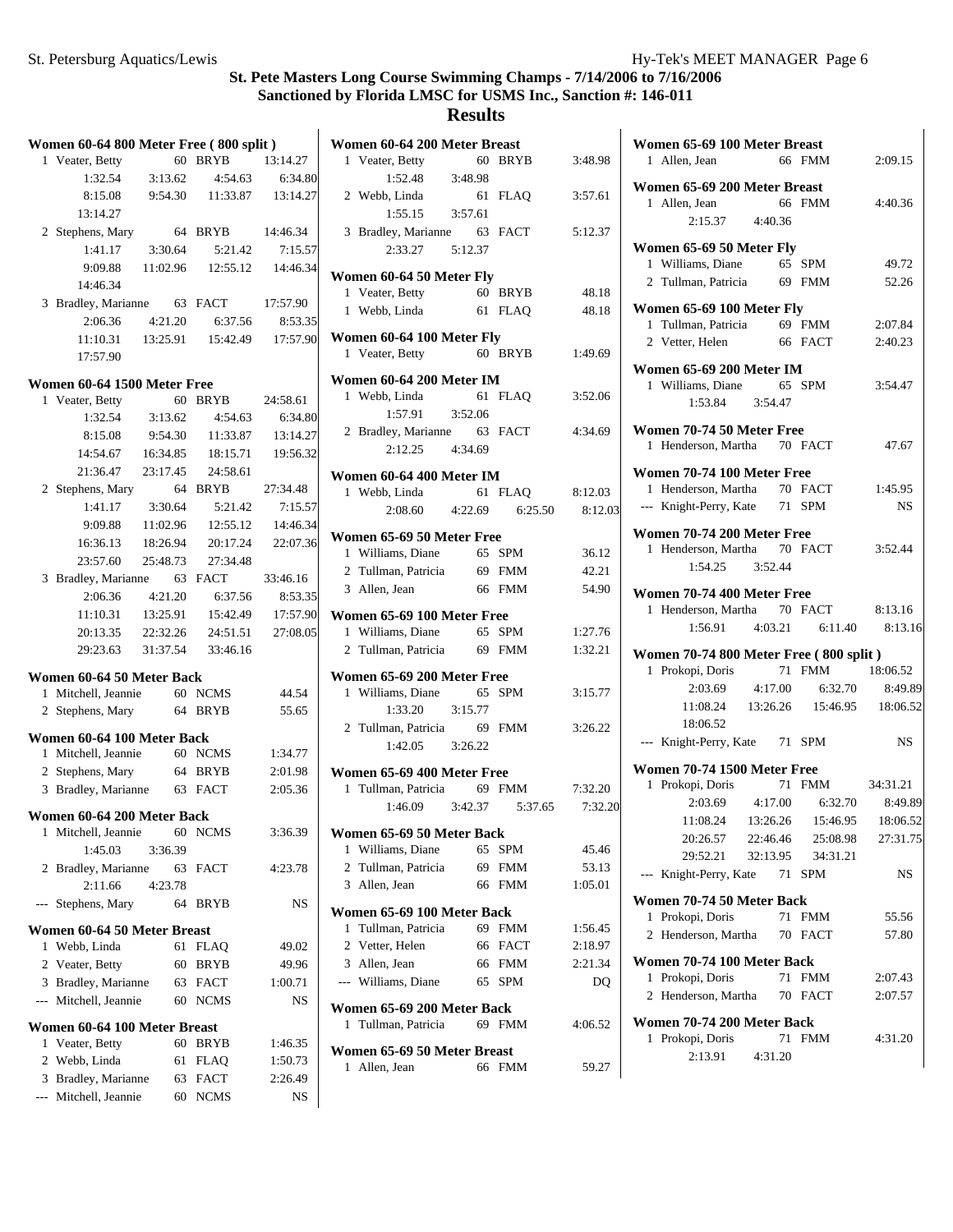|       | Women 60-64 800 Meter Free (800 split) |          |                                        |          |
|-------|----------------------------------------|----------|----------------------------------------|----------|
| 1     | Veater, Betty                          |          | 60 BRYB                                | 13:14.27 |
|       | $1:32.54$ $3:13.62$                    |          | 4:54.63                                | 6:34.80  |
|       |                                        |          | 8:15.08  9:54.30  11:33.87  13:14.27   |          |
|       | 13:14.27                               |          |                                        |          |
|       | 2 Stephens, Mary                       |          | 64 BRYB                                | 14:46.34 |
|       | 1:41.17                                | 3:30.64  | 5:21.42                                | 7:15.57  |
|       | 9:09.88                                |          | 11:02.96  12:55.12  14:46.34           |          |
|       | 14:46.34                               |          |                                        |          |
|       | 3 Bradley, Marianne 63 FACT            |          |                                        | 17:57.90 |
|       | 2:06.36                                | 4:21.20  | 6:37.56                                | 8:53.35  |
|       |                                        |          | 11:10.31  13:25.91  15:42.49  17:57.90 |          |
|       | 17:57.90                               |          |                                        |          |
|       | Women 60-64 1500 Meter Free            |          |                                        |          |
|       | 1 Veater, Betty                        | 60       | <b>BRYB</b>                            | 24:58.61 |
|       | 1:32.54                                | 3:13.62  | 4:54.63                                | 6:34.80  |
|       | 8:15.08                                | 9:54.30  | 11:33.87                               | 13:14.27 |
|       | 14:54.67                               | 16:34.85 | 18:15.71                               | 19:56.32 |
|       | 21:36.47                               | 23:17.45 | 24:58.61                               |          |
|       | 2 Stephens, Mary                       |          | 64 BRYB                                | 27:34.48 |
|       | 1:41.17                                | 3:30.64  | 5:21.42                                | 7:15.57  |
|       |                                        |          | 9:09.88 11:02.96 12:55.12 14:46.34     |          |
|       |                                        |          | 18:26.94 20:17.24                      | 22:07.36 |
|       | 16:36.13<br>23:57.60                   |          | 27:34.48                               |          |
|       |                                        | 25:48.73 |                                        |          |
|       | 3 Bradley, Marianne 63 FACT            |          |                                        | 33:46.16 |
|       | 2:06.36                                | 4:21.20  | 6:37.56                                | 8:53.35  |
|       | 11:10.31                               | 13:25.91 | 15:42.49                               | 17:57.90 |
|       | 20:13.35                               | 22:32.26 | 24:51.51                               | 27:08.05 |
|       | 29:23.63                               | 31:37.54 | 33:46.16                               |          |
|       | Women 60-64 50 Meter Back              |          |                                        |          |
|       | 1 Mitchell, Jeannie 60 NCMS            |          |                                        | 44.54    |
|       | 2 Stephens, Mary 64 BRYB               |          |                                        | 55.65    |
|       | Women 60-64 100 Meter Back             |          |                                        |          |
|       | 1 Mitchell, Jeannie 60 NCMS            |          |                                        | 1:34.77  |
|       | 2 Stephens, Mary                       |          | 64 BRYB                                | 2:01.98  |
|       | 3 Bradley, Marianne 63 FACT            |          |                                        | 2:05.36  |
|       |                                        |          |                                        |          |
|       | Women 60-64 200 Meter Back             |          |                                        |          |
|       | 1 Mitchell, Jeannie 60 NCMS            |          |                                        | 3:36.39  |
|       | 1:45.03                                | 3:36.39  |                                        |          |
| 2     | Bradley, Marianne                      | 63       | FACT                                   | 4:23.78  |
|       | 2:11.66                                | 4:23.78  |                                        |          |
| $---$ | Stephens, Mary                         | 64       | BRYB                                   | NS       |
|       | Women 60-64 50 Meter Breast            |          |                                        |          |
| 1     | Webb, Linda                            | 61       | FLAQ                                   | 49.02    |
|       | 2 Veater, Betty                        | 60       | <b>BRYB</b>                            | 49.96    |
| 3     | Bradley, Marianne                      |          | 63 FACT                                | 1:00.71  |
|       | --- Mitchell, Jeannie                  | 60       | <b>NCMS</b>                            | NS       |
|       | Women 60-64 100 Meter Breast           |          |                                        |          |
| 1     | Veater, Betty                          | 60       | <b>BRYB</b>                            | 1:46.35  |
|       | 2 Webb, Linda                          | 61       | <b>FLAQ</b>                            | 1:50.73  |
| 3     | Bradley, Marianne                      |          | 63 FACT                                | 2:26.49  |
| ---   | Mitchell, Jeannie                      | 60       | <b>NCMS</b>                            | NS       |
|       |                                        |          |                                        |          |

|   | Women 60-64 200 Meter Breast                           |         |                         |         |
|---|--------------------------------------------------------|---------|-------------------------|---------|
|   | 1 Veater, Betty                                        |         | 60 BRYB                 | 3:48.98 |
|   | $1:52.48$ 3:48.98                                      |         |                         |         |
|   | 2 Webb, Linda                                          |         | 61 FLAQ                 | 3:57.61 |
|   | $1:55.15$ $3:57.61$                                    |         |                         |         |
|   | 3 Bradley, Marianne 63 FACT                            |         |                         | 5:12.37 |
|   | 2:33.27                                                | 5:12.37 |                         |         |
|   |                                                        |         |                         |         |
|   | Women 60-64 50 Meter Fly                               |         |                         |         |
|   | 1 Veater, Betty                                        | 60 BRYB |                         | 48.18   |
|   | 1 Webb, Linda                                          |         | 61 FLAO                 | 48.18   |
|   | Women 60-64 100 Meter Fly                              |         |                         |         |
|   | 1 Veater, Betty                                        | 60 BRYB |                         | 1:49.69 |
|   |                                                        |         |                         |         |
|   | Women 60-64 200 Meter IM<br>1 Webb, Linda              |         | 61 FLAO                 | 3:52.06 |
|   |                                                        | 3:52.06 |                         |         |
|   | 1:57.91                                                |         |                         |         |
|   | 2 Bradley, Marianne 63 FACT                            |         |                         | 4:34.69 |
|   | $2:12.25$ $4:34.69$                                    |         |                         |         |
|   | Women 60-64 400 Meter IM                               |         |                         |         |
|   | 1 Webb, Linda                                          |         | 61 FLAQ 8:12.03         |         |
|   |                                                        |         | 2:08.60 4:22.69 6:25.50 | 8:12.03 |
|   | Women 65-69 50 Meter Free                              |         |                         |         |
|   |                                                        |         |                         | 36.12   |
|   | 1 Williams, Diane 65 SPM<br>2 Tullman, Patricia 69 FMM |         |                         | 42.21   |
|   | 3 Allen, Jean                                          |         | 66 FMM                  | 54.90   |
|   |                                                        |         |                         |         |
|   | Women 65-69 100 Meter Free                             |         |                         |         |
|   | 1 Williams, Diane 65 SPM                               |         |                         | 1:27.76 |
|   | 2 Tullman, Patricia 69 FMM                             |         |                         | 1:32.21 |
|   | Women 65-69 200 Meter Free                             |         |                         |         |
|   | 1 Williams, Diane                                      |         | 65 SPM                  | 3:15.77 |
|   | 1:33.20                                                | 3:15.77 |                         |         |
|   | 2 Tullman, Patricia                                    |         | 69 FMM                  | 3:26.22 |
|   | $1:42.05$ $3:26.22$                                    |         |                         |         |
|   |                                                        |         |                         |         |
|   | Women 65-69 400 Meter Free                             |         |                         |         |
|   | 1 Tullman, Patricia 69 FMM 7:32.20                     |         |                         |         |
|   | 1:46.09                                                | 3:42.37 | 5:37.65                 | 7:32.20 |
|   | Women 65-69 50 Meter Back                              |         |                         |         |
|   | 1 Williams, Diane                                      | 65      | SPM                     | 45.46   |
|   | 2 Tullman, Patricia                                    |         | 69 FMM                  | 53.13   |
|   | 3 Allen, Jean                                          | 66      | FMM                     | 1:05.01 |
|   |                                                        |         |                         |         |
|   | Women 65-69 100 Meter Back                             |         |                         |         |
| 1 | Tullman, Patricia                                      |         | 69 FMM                  | 1:56.45 |
|   | 2 Vetter, Helen                                        |         | 66 FACT                 | 2:18.97 |
|   | 3 Allen, Jean                                          |         | 66 FMM                  | 2:21.34 |
|   | --- Williams, Diane                                    | 65      | SPM                     | DQ      |
|   | Women 65-69 200 Meter Back                             |         |                         |         |
|   | 1 Tullman, Patricia                                    |         | 69 FMM                  | 4:06.52 |
|   |                                                        |         |                         |         |
|   | Women 65-69 50 Meter Breast                            |         |                         |         |
| 1 | Allen, Jean                                            | 66      | FMM                     | 59.27   |
|   |                                                        |         |                         |         |

| Women 65-69 100 Meter Breast           |          |                 |           |
|----------------------------------------|----------|-----------------|-----------|
| 1 Allen, Jean                          |          | 66 FMM          | 2:09.15   |
| Women 65-69 200 Meter Breast           |          |                 |           |
| 1 Allen, Jean                          |          | 66 FMM          | 4:40.36   |
| 2:15.37 4:40.36                        |          |                 |           |
|                                        |          |                 |           |
| Women 65-69 50 Meter Fly               |          |                 |           |
| 1 Williams, Diane                      |          | 65 SPM          | 49.72     |
| 2 Tullman, Patricia 69 FMM             |          |                 | 52.26     |
| Women 65-69 100 Meter Fly              |          |                 |           |
| 1 Tullman, Patricia 69 FMM             |          |                 | 2:07.84   |
| 2 Vetter, Helen                        |          | 66 FACT         | 2:40.23   |
|                                        |          |                 |           |
| Women 65-69 200 Meter IM               |          |                 |           |
| 1 Williams, Diane 65 SPM               |          |                 | 3:54.47   |
| 1:53.84 3:54.47                        |          |                 |           |
| Women 70-74 50 Meter Free              |          |                 |           |
| 1 Henderson, Martha 70 FACT            |          |                 | 47.67     |
|                                        |          |                 |           |
| Women 70-74 100 Meter Free             |          |                 |           |
| 1 Henderson, Martha 70 FACT            |          |                 | 1:45.95   |
| --- Knight-Perry, Kate 71 SPM          |          |                 | <b>NS</b> |
| Women 70-74 200 Meter Free             |          |                 |           |
| 1 Henderson, Martha 70 FACT            |          |                 | 3:52.44   |
| 1:54.25 3:52.44                        |          |                 |           |
|                                        |          |                 |           |
| Women 70-74 400 Meter Free             |          |                 |           |
| 1 Henderson, Martha 70 FACT            |          |                 | 8:13.16   |
| $1:56.91$ $4:03.21$ $6:11.40$          |          |                 | 8:13.16   |
| Women 70-74 800 Meter Free (800 split) |          |                 |           |
| 1 Prokopi, Doris                       |          | 71 FMM          | 18:06.52  |
| 2:03.69  4:17.00  6:32.70  8:49.89     |          |                 |           |
| 11:08.24  13:26.26  15:46.95  18:06.52 |          |                 |           |
| 18:06.52                               |          |                 |           |
| --- Knight-Perry, Kate 71 SPM          |          |                 | <b>NS</b> |
|                                        |          |                 |           |
| Women 70-74 1500 Meter Free            |          |                 |           |
| 1 Prokopi, Doris                       |          | 71 FMM 34:31.21 |           |
| 2:03.69 4:17.00 6:32.70                |          |                 | 8:49.89   |
| 11:08.24  13:26.26  15:46.95  18:06.52 |          |                 |           |
| 20:26.57                               | 22:46.46 | 25:08.98        | 27:31.75  |
| 29:52.21                               | 32:13.95 | 34:31.21        |           |
| --- Knight-Perry, Kate                 | 71       | <b>SPM</b>      | NS        |
| Women 70-74 50 Meter Back              |          |                 |           |
| 1 Prokopi, Doris                       | 71       | <b>FMM</b>      | 55.56     |
| Henderson, Martha<br>$\overline{2}$    |          | 70 FACT         | 57.80     |
|                                        |          |                 |           |
| Women 70-74 100 Meter Back             |          |                 |           |
| Prokopi, Doris<br>1                    | 71       | <b>FMM</b>      | 2:07.43   |
| 2 Henderson, Martha                    |          | 70 FACT         | 2:07.57   |
| Women 70-74 200 Meter Back             |          |                 |           |
| Prokopi, Doris<br>1                    | 71       | <b>FMM</b>      | 4:31.20   |
| 2:13.91                                | 4:31.20  |                 |           |
|                                        |          |                 |           |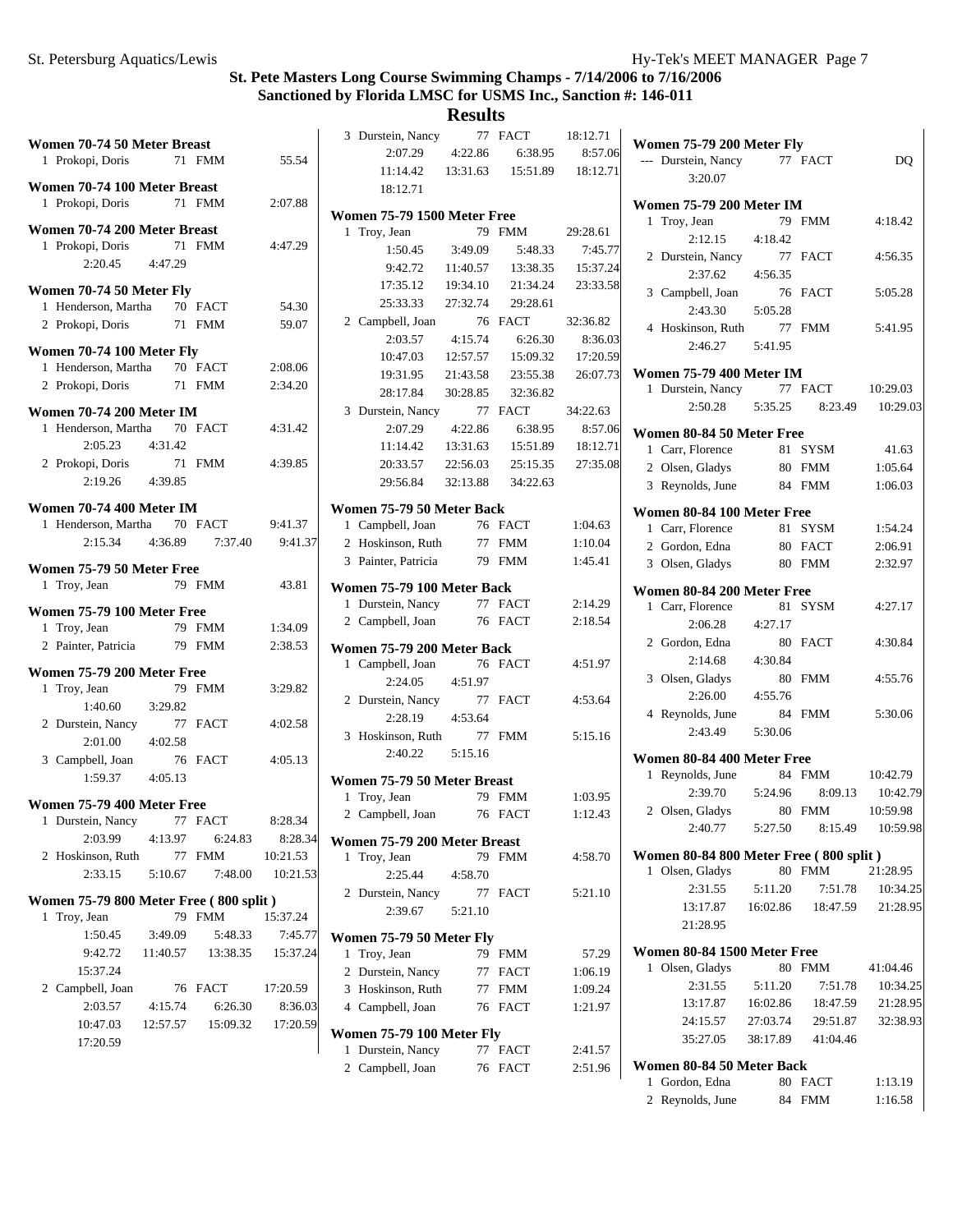**Results**

| Women 70-74 50 Meter Breast            |          |          |          | 3 Durstein, Nancy<br>2:07.29       | 4:22.86  | 77 FACT<br>6:38.95 | 18:12.71<br>8:57.06 | Women 75-79 200 Meter Fly              |          |                 |          |
|----------------------------------------|----------|----------|----------|------------------------------------|----------|--------------------|---------------------|----------------------------------------|----------|-----------------|----------|
| 1 Prokopi, Doris                       |          | 71 FMM   | 55.54    | 11:14.42                           | 13:31.63 | 15:51.89           | 18:12.71            | --- Durstein, Nancy                    |          | 77 FACT         | DQ       |
| Women 70-74 100 Meter Breast           |          |          |          | 18:12.71                           |          |                    |                     | 3:20.07                                |          |                 |          |
| 1 Prokopi, Doris                       |          | 71 FMM   | 2:07.88  |                                    |          |                    |                     | <b>Women 75-79 200 Meter IM</b>        |          |                 |          |
|                                        |          |          |          | <b>Women 75-79 1500 Meter Free</b> |          |                    |                     | 1 Troy, Jean                           |          | 79 FMM          | 4:18.42  |
| Women 70-74 200 Meter Breast           |          |          |          | 1 Troy, Jean                       |          | 79 FMM             | 29:28.61            | 2:12.15                                | 4:18.42  |                 |          |
| 1 Prokopi, Doris                       |          | 71 FMM   | 4:47.29  | 1:50.45                            | 3:49.09  | 5:48.33            | 7:45.77             | 2 Durstein, Nancy                      |          | 77 FACT         | 4:56.35  |
| 2:20.45                                | 4:47.29  |          |          | 9:42.72                            | 11:40.57 | 13:38.35           | 15:37.24            | 2:37.62                                | 4:56.35  |                 |          |
| Women 70-74 50 Meter Fly               |          |          |          | 17:35.12                           | 19:34.10 | 21:34.24           | 23:33.58            | 3 Campbell, Joan                       |          | 76 FACT         | 5:05.28  |
| 1 Henderson, Martha                    |          | 70 FACT  | 54.30    | 25:33.33                           | 27:32.74 | 29:28.61           |                     | 2:43.30                                | 5:05.28  |                 |          |
| 2 Prokopi, Doris                       |          | 71 FMM   | 59.07    | 2 Campbell, Joan                   |          | 76 FACT            | 32:36.82            | 4 Hoskinson, Ruth                      |          | 77 FMM          | 5:41.95  |
| Women 70-74 100 Meter Fly              |          |          |          | 2:03.57                            | 4:15.74  | 6:26.30            | 8:36.03             | 2:46.27                                | 5:41.95  |                 |          |
| 1 Henderson, Martha                    |          | 70 FACT  | 2:08.06  | 10:47.03                           | 12:57.57 | 15:09.32           | 17:20.59            |                                        |          |                 |          |
| 2 Prokopi, Doris                       |          | 71 FMM   | 2:34.20  | 19:31.95                           | 21:43.58 | 23:55.38           | 26:07.73            | <b>Women 75-79 400 Meter IM</b>        |          |                 |          |
|                                        |          |          |          | 28:17.84                           | 30:28.85 | 32:36.82           |                     | 1 Durstein, Nancy                      |          | 77 FACT         | 10:29.03 |
| <b>Women 70-74 200 Meter IM</b>        |          |          |          | 3 Durstein, Nancy                  |          | 77 FACT            | 34:22.63            | 2:50.28                                | 5:35.25  | 8:23.49         | 10:29.03 |
| 1 Henderson, Martha                    |          | 70 FACT  | 4:31.42  | 2:07.29                            | 4:22.86  | 6:38.95            | 8:57.06             | Women 80-84 50 Meter Free              |          |                 |          |
| 2:05.23                                | 4:31.42  |          |          | 11:14.42                           | 13:31.63 | 15:51.89           | 18:12.71            | 1 Carr, Florence                       |          | 81 SYSM         | 41.63    |
| 2 Prokopi, Doris                       |          | 71 FMM   | 4:39.85  | 20:33.57                           | 22:56.03 | 25:15.35           | 27:35.08            | 2 Olsen, Gladys                        |          | 80 FMM          | 1:05.64  |
| 2:19.26                                | 4:39.85  |          |          | 29:56.84                           | 32:13.88 | 34:22.63           |                     | 3 Reynolds, June                       |          | 84 FMM          | 1:06.03  |
| <b>Women 70-74 400 Meter IM</b>        |          |          |          | Women 75-79 50 Meter Back          |          |                    |                     |                                        |          |                 |          |
| 1 Henderson, Martha                    |          | 70 FACT  | 9:41.37  | 1 Campbell, Joan                   |          | 76 FACT            | 1:04.63             | Women 80-84 100 Meter Free             |          |                 |          |
| 2:15.34                                | 4:36.89  | 7:37.40  | 9:41.37  | 2 Hoskinson, Ruth                  |          | 77 FMM             | 1:10.04             | 1 Carr, Florence                       |          | 81 SYSM         | 1:54.24  |
|                                        |          |          |          | 3 Painter, Patricia                |          | 79 FMM             | 1:45.41             | 2 Gordon, Edna                         |          | 80 FACT         | 2:06.91  |
| Women 75-79 50 Meter Free              |          |          |          |                                    |          |                    |                     | 3 Olsen, Gladys                        |          | <b>80 FMM</b>   | 2:32.97  |
| 1 Troy, Jean                           |          | 79 FMM   | 43.81    | Women 75-79 100 Meter Back         |          |                    |                     | Women 80-84 200 Meter Free             |          |                 |          |
| Women 75-79 100 Meter Free             |          |          |          | 1 Durstein, Nancy                  |          | 77 FACT            | 2:14.29             | 1 Carr, Florence                       |          | 81 SYSM         | 4:27.17  |
| 1 Troy, Jean                           |          | 79 FMM   | 1:34.09  | 2 Campbell, Joan                   |          | 76 FACT            | 2:18.54             | 2:06.28                                | 4:27.17  |                 |          |
| 2 Painter, Patricia                    |          | 79 FMM   | 2:38.53  | Women 75-79 200 Meter Back         |          |                    |                     | 2 Gordon, Edna                         |          | 80 FACT         | 4:30.84  |
|                                        |          |          |          | 1 Campbell, Joan                   |          | 76 FACT            | 4:51.97             | 2:14.68                                | 4:30.84  |                 |          |
| Women 75-79 200 Meter Free             |          |          |          | 2:24.05                            | 4:51.97  |                    |                     | 3 Olsen, Gladys                        |          | 80 FMM          | 4:55.76  |
| 1 Troy, Jean                           |          | 79 FMM   | 3:29.82  | 2 Durstein, Nancy                  |          | 77 FACT            | 4:53.64             | 2:26.00                                | 4:55.76  |                 |          |
| 1:40.60                                | 3:29.82  |          |          | 2:28.19                            | 4:53.64  |                    |                     | 4 Reynolds, June                       |          | 84 FMM          | 5:30.06  |
| 2 Durstein, Nancy                      |          | 77 FACT  | 4:02.58  | 3 Hoskinson, Ruth                  |          | 77 FMM             | 5:15.16             | 2:43.49                                | 5:30.06  |                 |          |
| 2:01.00                                | 4:02.58  |          |          | 2:40.22                            | 5:15.16  |                    |                     |                                        |          |                 |          |
| 3 Campbell, Joan                       |          | 76 FACT  | 4:05.13  |                                    |          |                    |                     | Women 80-84 400 Meter Free             |          |                 |          |
| 1:59.37                                | 4:05.13  |          |          | Women 75-79 50 Meter Breast        |          |                    |                     | 1 Reynolds, June                       |          | 84 FMM          | 10:42.79 |
| Women 75-79 400 Meter Free             |          |          |          | 1 Troy, Jean                       |          | 79 FMM             | 1:03.95             | 2:39.70                                | 5:24.96  | 8:09.13         | 10:42.79 |
| 1 Durstein, Nancy                      |          | 77 FACT  | 8:28.34  | 2 Campbell, Joan                   |          | 76 FACT            | 1:12.43             | 2 Olsen, Gladys                        |          | 80 FMM          | 10:59.98 |
| 2:03.99                                | 4:13.97  | 6:24.83  | 8:28.34  | Women 75-79 200 Meter Breast       |          |                    |                     | 2:40.77                                | 5:27.50  | 8:15.49         | 10:59.98 |
| 2 Hoskinson, Ruth                      |          | 77 FMM   | 10:21.53 | 1 Troy, Jean                       |          | 79 FMM             | 4:58.70             | Women 80-84 800 Meter Free (800 split) |          |                 |          |
| 2:33.15                                | 5:10.67  | 7:48.00  | 10:21.53 | 2:25.44                            | 4:58.70  |                    |                     | 1 Olsen, Gladys                        |          | 80 FMM          | 21:28.95 |
|                                        |          |          |          | 2 Durstein, Nancy                  |          | 77 FACT            | 5:21.10             | 2:31.55                                | 5:11.20  | 7:51.78         | 10:34.25 |
| Women 75-79 800 Meter Free (800 split) |          |          |          | 2:39.67                            | 5:21.10  |                    |                     | 13:17.87                               | 16:02.86 | 18:47.59        | 21:28.95 |
| 1 Troy, Jean                           |          | 79 FMM   | 15:37.24 |                                    |          |                    |                     | 21:28.95                               |          |                 |          |
| 1:50.45                                | 3:49.09  | 5:48.33  | 7:45.77  | Women 75-79 50 Meter Fly           |          |                    |                     |                                        |          |                 |          |
| 9:42.72                                | 11:40.57 | 13:38.35 | 15:37.24 | 1 Troy, Jean                       |          | 79 FMM             | 57.29               | Women 80-84 1500 Meter Free            |          |                 | 41:04.46 |
| 15:37.24                               |          |          |          | 2 Durstein, Nancy                  |          | 77 FACT            | 1:06.19             | 1 Olsen, Gladys                        |          | 80 FMM          |          |
| 2 Campbell, Joan                       |          | 76 FACT  | 17:20.59 | 3 Hoskinson, Ruth                  |          | 77 FMM             | 1:09.24             | 2:31.55                                | 5:11.20  | 7:51.78         | 10:34.25 |
| 2:03.57                                | 4:15.74  | 6:26.30  | 8:36.03  | 4 Campbell, Joan                   |          | 76 FACT            | 1:21.97             | 13:17.87                               | 16:02.86 | 18:47.59        | 21:28.95 |
| 10:47.03                               | 12:57.57 | 15:09.32 | 17:20.59 | Women 75-79 100 Meter Fly          |          |                    |                     | 24:15.57                               | 27:03.74 | 29:51.87        | 32:38.93 |
| 17:20.59                               |          |          |          | 1 Durstein, Nancy                  |          | 77 FACT            | 2:41.57             | 35:27.05                               | 38:17.89 | 41:04.46        |          |
|                                        |          |          |          | 2 Campbell, Joan                   |          | 76 FACT            | 2:51.96             | Women 80-84 50 Meter Back              |          |                 |          |
|                                        |          |          |          |                                    |          |                    |                     | 1 Gordon Edna                          |          | $80 F\Delta$ CT | 1.1319   |

Gordon, Edna 80 FACT 1:1 2 Reynolds, June 84 FMM 1:16.58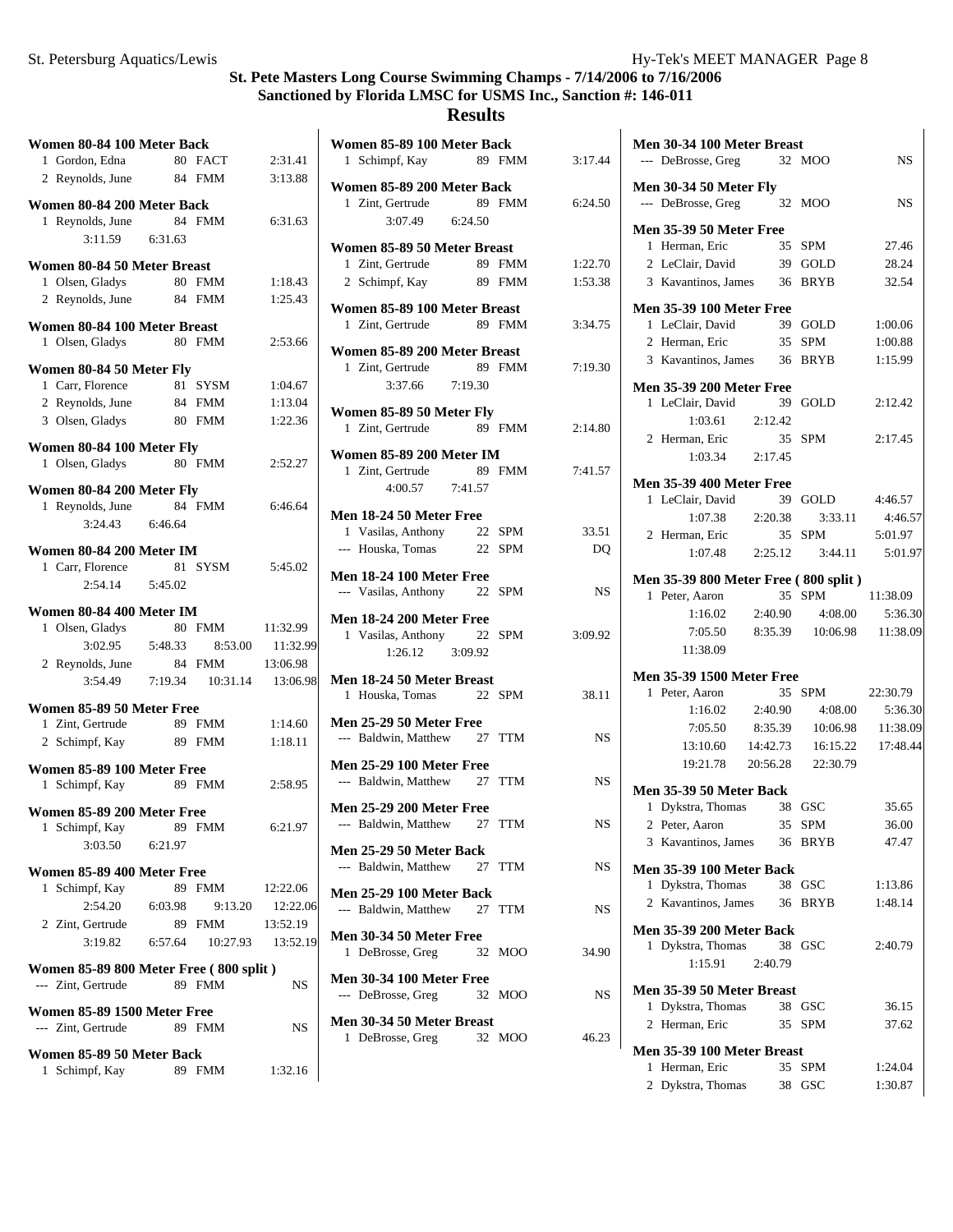#### **Results**

| Women 80-84 100 Meter Back                    |         |                    |          | Women 85-89 100 Meter Back                                |                |
|-----------------------------------------------|---------|--------------------|----------|-----------------------------------------------------------|----------------|
| 1 Gordon, Edna                                |         | 80 FACT            | 2:31.41  | 1 Schimpf, Kay<br>89 FMM                                  | 3:17.44        |
| 2 Reynolds, June                              |         | 84 FMM             | 3:13.88  |                                                           |                |
| Women 80-84 200 Meter Back                    |         |                    |          | Women 85-89 200 Meter Back<br>1 Zint, Gertrude<br>89 FMM  | 6:24.50        |
| 1 Reynolds, June                              |         | 84 FMM             | 6:31.63  | 3:07.49<br>6:24.50                                        |                |
| 3:11.59                                       | 6:31.63 |                    |          |                                                           |                |
|                                               |         |                    |          | Women 85-89 50 Meter Breast                               |                |
| Women 80-84 50 Meter Breast                   |         |                    |          | 1 Zint, Gertrude<br>89 FMM                                | 1:22.70        |
| 1 Olsen, Gladys                               |         | 80 FMM             | 1:18.43  | 2 Schimpf, Kay<br>89 FMM                                  | 1:53.38        |
| 2 Reynolds, June                              |         | 84 FMM             | 1:25.43  | Women 85-89 100 Meter Breast                              |                |
| Women 80-84 100 Meter Breast                  |         |                    |          | 1 Zint, Gertrude<br>89 FMM                                | 3:34.7         |
| 1 Olsen, Gladys                               |         | 80 FMM             | 2:53.66  | Women 85-89 200 Meter Breast                              |                |
| Women 80-84 50 Meter Fly                      |         |                    |          | 1 Zint, Gertrude<br>89 FMM                                | 7:19.30        |
| 1 Carr, Florence                              |         | 81 SYSM            | 1:04.67  | 3:37.66<br>7:19.30                                        |                |
| 2 Reynolds, June                              |         | 84 FMM             | 1:13.04  | Women 85-89 50 Meter Fly                                  |                |
| 3 Olsen, Gladys                               |         | 80 FMM             | 1:22.36  | 1 Zint, Gertrude<br>89 FMM                                | 2:14.80        |
| Women 80-84 100 Meter Fly                     |         |                    |          |                                                           |                |
| 1 Olsen, Gladys                               |         | 80 FMM             | 2:52.27  | <b>Women 85-89 200 Meter IM</b>                           |                |
|                                               |         |                    |          | 1 Zint. Gertrude<br>89 FMM                                | 7:41.5'        |
| Women 80-84 200 Meter Fly<br>1 Reynolds, June |         | 84 FMM             | 6:46.64  | 4:00.57<br>7:41.57                                        |                |
| 3:24.43                                       | 6:46.64 |                    |          | Men 18-24 50 Meter Free                                   |                |
|                                               |         |                    |          | 1 Vasilas, Anthony<br>22 SPM                              | 33.5           |
| Women 80-84 200 Meter IM                      |         |                    |          | --- Houska, Tomas<br>22 SPM                               | D <sub>(</sub> |
| 1 Carr, Florence                              |         | 81 SYSM            | 5:45.02  | Men 18-24 100 Meter Free                                  |                |
| 2:54.14                                       | 5:45.02 |                    |          | --- Vasilas, Anthony<br>22 SPM                            | N.             |
|                                               |         |                    |          |                                                           |                |
| Women 80-84 400 Meter IM                      |         |                    |          |                                                           |                |
| 1 Olsen, Gladys                               |         | 80 FMM             | 11:32.99 | Men 18-24 200 Meter Free<br>1 Vasilas, Anthony<br>22 SPM  | 3:09.92        |
| 3:02.95                                       | 5:48.33 | 8:53.00            | 11:32.99 | 3:09.92<br>1:26.12                                        |                |
| 2 Reynolds, June                              |         | 84 FMM             | 13:06.98 |                                                           |                |
| 3:54.49                                       | 7:19.34 | 10:31.14           | 13:06.98 | Men 18-24 50 Meter Breast                                 |                |
| Women 85-89 50 Meter Free                     |         |                    |          | 1 Houska, Tomas<br>22 SPM                                 | 38.1           |
| 1 Zint, Gertrude                              |         | 89 FMM             | 1:14.60  | <b>Men 25-29 50 Meter Free</b>                            |                |
| 2 Schimpf, Kay                                |         | 89 FMM             | 1:18.11  | --- Baldwin, Matthew<br>27 TTM                            | N.             |
| Women 85-89 100 Meter Free                    |         |                    |          | <b>Men 25-29 100 Meter Free</b>                           |                |
| 1 Schimpf, Kay                                |         | 89 FMM             | 2:58.95  | --- Baldwin, Matthew<br>27 TTM                            | N.             |
|                                               |         |                    |          | <b>Men 25-29 200 Meter Free</b>                           |                |
| Women 85-89 200 Meter Free                    |         |                    |          | --- Baldwin, Matthew 27 TTM                               | N.             |
| 1 Schimpf, Kay<br>3:03.50                     | 6:21.97 | 89 FMM             | 6:21.97  |                                                           |                |
|                                               |         |                    |          | Men 25-29 50 Meter Back<br>--- Baldwin, Matthew<br>27 TTM | N.             |
| Women 85-89 400 Meter Free                    |         |                    |          |                                                           |                |
| 1 Schimpf, Kay                                |         | 89 FMM             | 12:22.06 | <b>Men 25-29 100 Meter Back</b>                           |                |
| 2:54.20                                       | 6:03.98 | 9:13.20            | 12:22.06 | --- Baldwin, Matthew<br>27 TTM                            | N.             |
| 2 Zint, Gertrude<br>3:19.82                   | 6:57.64 | 89 FMM<br>10:27.93 | 13:52.19 | Men 30-34 50 Meter Free                                   |                |
|                                               |         |                    | 13:52.19 | 1 DeBrosse, Greg<br>32 MOO                                | 34.90          |
| Women 85-89 800 Meter Free (800 split)        |         |                    |          | <b>Men 30-34 100 Meter Free</b>                           |                |
| --- Zint, Gertrude                            |         | 89 FMM             | NS.      | --- DeBrosse, Greg<br>32 MOO                              | N.             |
| <b>Women 85-89 1500 Meter Free</b>            |         |                    |          |                                                           |                |
| --- Zint, Gertrude                            |         | 89 FMM             | NS       | Men 30-34 50 Meter Breast<br>32 MOO                       | 46.23          |
| Women 85-89 50 Meter Back                     |         |                    |          | 1 DeBrosse, Greg                                          |                |

| r Back<br>89 FMM | 3:17.44            | Men 30-34 100 Meter Breast<br>--- DeBrosse, Greg<br>32 MOO    | <b>NS</b>       |
|------------------|--------------------|---------------------------------------------------------------|-----------------|
| r Back<br>89 FMM | 6:24.50            | <b>Men 30-34 50 Meter Fly</b><br>--- DeBrosse, Greg<br>32 MOO | NS              |
| .50              |                    | <b>Men 35-39 50 Meter Free</b>                                |                 |
| <b>Breast</b>    |                    | 1 Herman, Eric<br>35 SPM                                      | 27.46           |
| 89 FMM<br>89 FMM | 1:22.70<br>1:53.38 | 2 LeClair, David<br>39 GOLD<br>3 Kavantinos, James 36 BRYB    | 28.24<br>32.54  |
| r Breast         |                    | <b>Men 35-39 100 Meter Free</b>                               |                 |
| 89 FMM           | 3:34.75            | 1 LeClair, David<br>39 GOLD                                   | 1:00.06         |
| r Breast         |                    | 2 Herman, Eric<br>35 SPM                                      | 1:00.88         |
| 89 FMM           | 7:19.30            | 3 Kavantinos, James 36 BRYB                                   | 1:15.99         |
| .30              |                    | <b>Men 35-39 200 Meter Free</b>                               |                 |
| <b>F</b> ly      |                    | 1 LeClair, David<br>39 GOLD                                   | 2:12.42         |
| 89 FMM           | 2:14.80            | 1:03.61<br>2:12.42                                            |                 |
|                  |                    | 2 Herman, Eric<br>35 SPM                                      | 2:17.45         |
| r IM             |                    | $1:03.34$ $2:17.45$                                           |                 |
| 89 FMM           | 7:41.57            | <b>Men 35-39 400 Meter Free</b>                               |                 |
| .57              |                    | 1 LeClair, David<br>39 GOLD                                   | 4:46.57         |
| ee               |                    | $1:07.38$ $2:20.38$<br>3:33.11                                | 4:46.57         |
| 22<br>SPM        | 33.51              | 2 Herman, Eric<br>35 SPM                                      | 5:01.97         |
| 22<br>SPM        | DQ                 | 1:07.48<br>2:25.12                                            | 3:44.11 5:01.97 |
|                  |                    |                                                               |                 |
| ree<br>22 SPM    | <b>NS</b>          | <b>Men 35-39 800 Meter Free (800 split)</b>                   |                 |
|                  |                    | 1 Peter, Aaron<br>35 SPM                                      | 11:38.09        |
| ree              |                    | 2:40.90<br>4:08.00<br>1:16.02                                 | 5:36.30         |
| 22 SPM<br>92.    | 3:09.92            | 7:05.50<br>8:35.39 10:06.98<br>11:38.09                       | 11:38.09        |
| east             |                    | <b>Men 35-39 1500 Meter Free</b>                              |                 |
| 22 SPM           | 38.11              | 1 Peter, Aaron<br>35 SPM                                      | 22:30.79        |
|                  |                    | 1:16.02<br>2:40.90<br>4:08.00                                 | 5:36.30         |
| ee               |                    | 7:05.50<br>8:35.39<br>10:06.98                                | 11:38.09        |
| 27 TTM           | <b>NS</b>          | 14:42.73<br>16:15.22<br>13:10.60                              | 17:48.44        |
| ree              |                    | 19:21.78 20:56.28 22:30.79                                    |                 |
| 27<br>TTM        | <b>NS</b>          | Men 35-39 50 Meter Back                                       |                 |
| ree              |                    | 1 Dykstra, Thomas 38 GSC                                      | 35.65           |
| 27 TTM           | NS                 | 2 Peter, Aaron 35 SPM                                         | 36.00           |
| ck               |                    | 3 Kavantinos, James<br>36 BRYB                                | 47.47           |
| 27 TTM           | NS                 | <b>Men 35-39 100 Meter Back</b>                               |                 |
|                  |                    | 1 Dykstra, Thomas<br>38 GSC                                   | 1:13.86         |
| ack              |                    | 2 Kavantinos, James<br>36 BRYB                                | 1:48.14         |
| 27 TTM           | NS.                | <b>Men 35-39 200 Meter Back</b>                               |                 |
| ee               |                    | 1 Dykstra, Thomas<br>38 GSC                                   | 2:40.79         |
| 32 MOO           | 34.90              | 1:15.91<br>2:40.79                                            |                 |
| ree<br>32 MOO    |                    | Men 35-39 50 Meter Breast                                     |                 |
|                  | NS                 | 1 Dykstra, Thomas<br>38 GSC                                   | 36.15           |
| east             |                    | 2 Herman, Eric<br>35 SPM                                      | 37.62           |
| 32 MOO           | 46.23              | Men 35-39 100 Meter Breast                                    |                 |
|                  |                    | 1 Herman, Eric<br>35 SPM                                      | 1:24.04         |
|                  |                    | 2 Dykstra, Thomas<br>38 GSC                                   | 1:30.87         |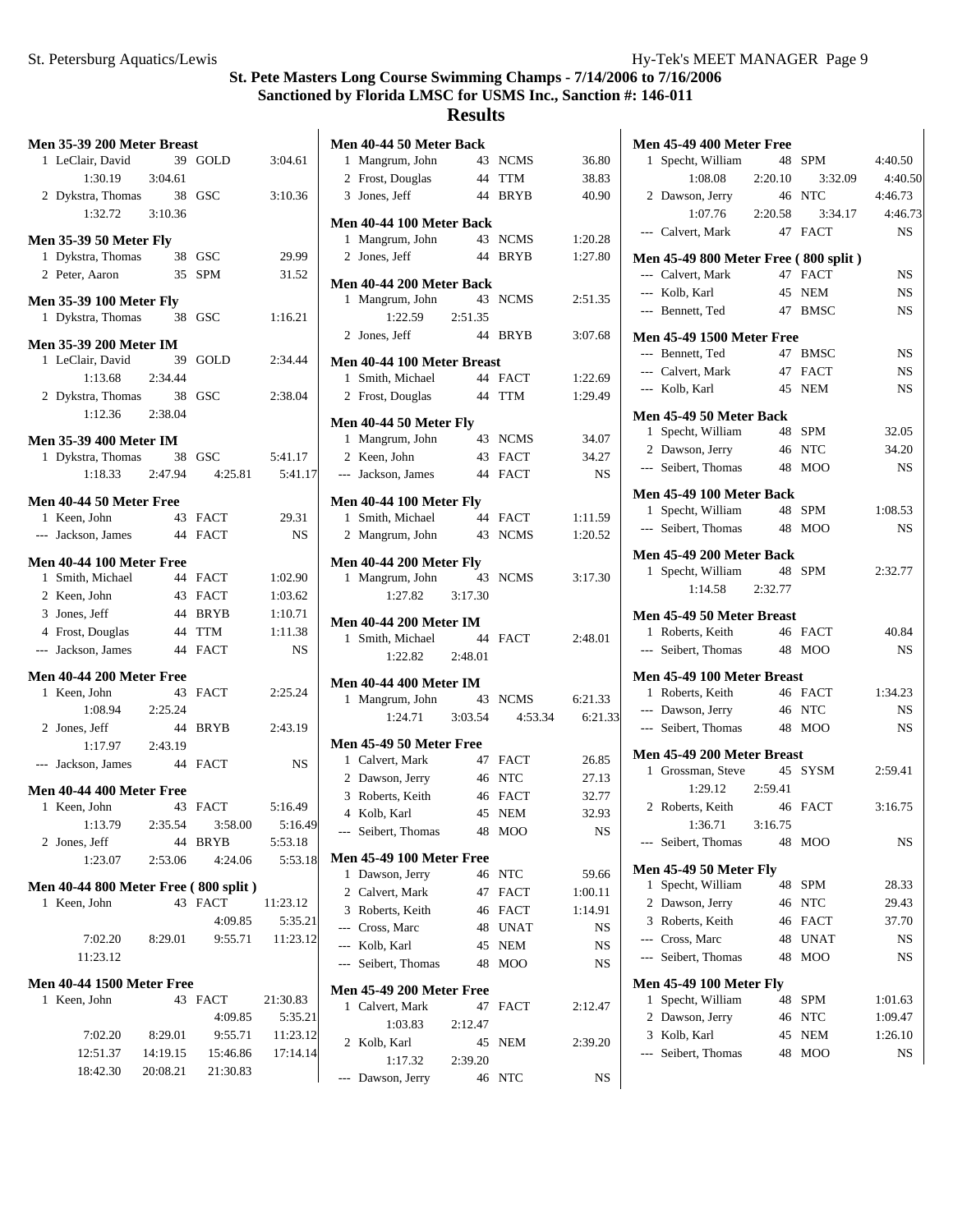#### St. Petersburg Aquatics/Lewis **Hy-Tek's MEET MANAGER** Page 9

# **St. Pete Masters Long Course Swimming Champs - 7/14/2006 to 7/16/2006 Sanctioned by Florida LMSC for USMS Inc., Sanction #: 146-011**

**Results**

**Men 40-44 50 Meter Back**

| Men 35-39 200 Meter Breast            |          |           |
|---------------------------------------|----------|-----------|
| 1 LeClair, David                      | 39 GOLD  | 3:04.61   |
| $1:30.19$ $3:04.61$                   |          |           |
| 2 Dykstra, Thomas 38 GSC              |          | 3:10.36   |
|                                       |          |           |
|                                       |          |           |
| <b>Men 35-39 50 Meter Fly</b>         |          |           |
| 1 Dykstra, Thomas 38 GSC              |          | 29.99     |
| 2 Peter, Aaron                        | 35 SPM   | 31.52     |
| <b>Men 35-39 100 Meter Fly</b>        |          |           |
| 1 Dykstra, Thomas 38 GSC              |          | 1:16.21   |
|                                       |          |           |
| <b>Men 35-39 200 Meter IM</b>         |          |           |
| 1 LeClair, David                      | 39 GOLD  | 2:34.44   |
| 1:13.68 2:34.44                       |          |           |
| 2 Dykstra, Thomas 38 GSC              |          | 2:38.04   |
| 1:12.36 2:38.04                       |          |           |
|                                       |          |           |
| <b>Men 35-39 400 Meter IM</b>         |          |           |
| 1 Dykstra, Thomas 38 GSC 5:41.17      |          |           |
| $1:18.33$ $2:47.94$ $4:25.81$         |          | 5:41.17   |
| Men 40-44 50 Meter Free               |          |           |
| 1 Keen, John                          | 43 FACT  | 29.31     |
| --- Jackson, James                    | 44 FACT  | <b>NS</b> |
|                                       |          |           |
| Men 40-44 100 Meter Free              |          |           |
| 1 Smith, Michael 44 FACT              |          | 1:02.90   |
| 2 Keen, John                          | 43 FACT  | 1:03.62   |
| 3 Jones, Jeff                         | 44 BRYB  | 1:10.71   |
| 4 Frost, Douglas<br>44 TTM            |          | 1:11.38   |
| --- Jackson, James 44 FACT            |          |           |
|                                       |          | NS.       |
| Men 40-44 200 Meter Free              |          |           |
| 1 Keen, John<br>43                    | FACT     | 2:25.24   |
| 1:08.94 2:25.24                       |          |           |
| 2 Jones, Jeff                         | 44 BRYB  | 2:43.19   |
| 1:17.97 2:43.19                       |          |           |
| --- Jackson, James                    | 44 FACT  | <b>NS</b> |
|                                       |          |           |
| Men 40-44 400 Meter Free              |          |           |
| 1 Keen, John                          | 43 FACT  | 5:16.49   |
| 1:13.79   2:35.54   3:58.00   5:16.49 |          |           |
| 2 Jones, Jeff                         | 44 BRYB  | 5:53.18   |
| 1:23.07 2:53.06                       | 4:24.06  | 5:53.18   |
|                                       |          |           |
| Men 40-44 800 Meter Free (800 split)  |          |           |
| Keen, John<br>1                       | 43 FACT  | 11:23.12  |
|                                       | 4:09.85  | 5:35.21   |
| 7:02.20<br>8:29.01                    | 9:55.71  | 11:23.12  |
| 11:23.12                              |          |           |
|                                       |          |           |
| <b>Men 40-44 1500 Meter Free</b>      |          |           |
| 1 Keen, John                          | 43 FACT  | 21:30.83  |
|                                       | 4:09.85  | 5:35.21   |
| 7:02.20<br>8:29.01                    | 9:55.71  | 11:23.12  |
| 12:51.37  14:19.15  15:46.86          |          | 17:14.14  |
| 18:42.30<br>20:08.21                  | 21:30.83 |           |
|                                       |          |           |

| 1            | Mangrum, John                                      | 43            | <b>NCMS</b>        | 36.80         |
|--------------|----------------------------------------------------|---------------|--------------------|---------------|
|              | 2 Frost, Douglas                                   | 44            | <b>TTM</b>         | 38.83         |
|              | 3 Jones, Jeff                                      | 44            | <b>BRYB</b>        | 40.90         |
|              | <b>Men 40-44 100 Meter Back</b>                    |               |                    |               |
| 1            | Mangrum, John                                      |               | 43 NCMS            | 1:20.28       |
| 2            | Jones, Jeff                                        | 44            | <b>BRYB</b>        | 1:27.80       |
|              | <b>Men 40-44 200 Meter Back</b>                    |               |                    |               |
| 1            | Mangrum, John                                      | 43            | <b>NCMS</b>        | 2:51.35       |
|              | 1:22.59                                            | 2:51.35       |                    |               |
|              | 2 Jones, Jeff                                      | 44            | <b>BRYB</b>        | 3:07.68       |
|              | Men 40-44 100 Meter Breast                         |               |                    |               |
|              | 1 Smith, Michael                                   |               | 44 FACT            | 1:22.69       |
|              | 2 Frost, Douglas                                   |               | 44 TTM             | 1:29.49       |
|              | Men 40-44 50 Meter Fly                             |               |                    |               |
|              | 1 Mangrum, John                                    |               | 43 NCMS            | 34.07         |
|              | 2 Keen, John                                       |               | 43 FACT            | 34.27         |
|              | --- Jackson, James                                 |               | 44 FACT            | NS            |
|              | <b>Men 40-44 100 Meter Fly</b>                     |               |                    |               |
|              | 1 Smith, Michael                                   |               | 44 FACT            | 1:11.59       |
|              | 2 Mangrum, John                                    |               | 43 NCMS            | 1:20.52       |
|              | <b>Men 40-44 200 Meter Fly</b>                     |               |                    |               |
|              | 1 Mangrum, John                                    | 43            | <b>NCMS</b>        | 3:17.30       |
|              | 1:27.82                                            | 3:17.30       |                    |               |
|              | <b>Men 40-44 200 Meter IM</b>                      |               |                    |               |
|              | 1 Smith, Michael                                   | 44            | <b>FACT</b>        | 2:48.01       |
|              | 1:22.82                                            | 2:48.01       |                    |               |
|              | <b>Men 40-44 400 Meter IM</b>                      |               |                    |               |
| 1            | Mangrum, John                                      | 43            | <b>NCMS</b>        | 6:21.33       |
|              | 1:24.71                                            | 3:03.54       | 4:53.34            | 6:21.33       |
|              | <b>Men 45-49 50 Meter Free</b>                     |               |                    |               |
|              | 1 Calvert, Mark                                    |               | 47 FACT            | 26.85         |
|              | 2 Dawson, Jerry                                    |               | 46 NTC             | 27.13         |
|              | 3 Roberts, Keith                                   |               | 46 FACT            | 32.77         |
|              | 4 Kolb, Karl                                       |               | 45 NEM             | 32.93         |
|              | --- Seibert, Thomas                                | 48            | <b>MOO</b>         | NS            |
|              | Men 45-49 100 Meter Free                           |               |                    |               |
| 1            | Dawson, Jerry                                      |               | 46 NTC             | 59.66         |
|              | 2 Calvert, Mark                                    |               | 47 FACT            | 1:00.11       |
|              | 3 Roberts, Keith                                   |               | 46 FACT<br>48 UNAT | 1:14.91<br>NS |
|              | --- Cross, Marc                                    |               |                    |               |
|              | --- Kolb, Karl<br>--- Seibert, Thomas              |               | 45 NEM<br>48 MOO   | NS<br>NS      |
|              |                                                    |               |                    |               |
|              | <b>Men 45-49 200 Meter Free</b><br>1 Calvert, Mark | 47            |                    |               |
|              |                                                    |               | FACT               | 2:12.47       |
| $\mathbf{2}$ | 1:03.83<br>Kolb, Karl                              | 2:12.47<br>45 | NEM                | 2:39.20       |
|              | 1:17.32                                            | 2:39.20       |                    |               |
|              | --- Dawson, Jerry 46 NTC                           |               |                    | NS            |
|              |                                                    |               |                    |               |

| <b>Men 45-49 400 Meter Free</b><br>1 Specht, William   |         | 48 SPM                    | 4:40.50   |
|--------------------------------------------------------|---------|---------------------------|-----------|
| $1:08.08$ 2:20.10                                      |         | 3:32.09                   | 4:40.50   |
| 2 Dawson, Jerry                                        |         | 46 NTC                    | 4:46.73   |
|                                                        |         | $1:07.76$ 2:20.58 3:34.17 | 4:46.73   |
| --- Calvert, Mark                                      |         | 47 FACT                   | <b>NS</b> |
|                                                        |         |                           |           |
| Men 45-49 800 Meter Free (800 split)                   |         |                           |           |
| --- Calvert, Mark<br>--- Kolb, Karl                    |         | 47 FACT                   | <b>NS</b> |
|                                                        |         | 45 NEM<br>47 BMSC         | NS        |
| --- Bennett, Ted                                       |         |                           | <b>NS</b> |
| <b>Men 45-49 1500 Meter Free</b>                       |         |                           |           |
| --- Bennett, Ted                                       | 47 BMSC |                           | <b>NS</b> |
| --- Calvert, Mark 47 FACT                              |         |                           | <b>NS</b> |
| --- Kolb, Karl                                         | 45 NEM  |                           | <b>NS</b> |
| Men 45-49 50 Meter Back                                |         |                           |           |
| 1 Specht, William                                      |         | 48 SPM                    | 32.05     |
| 2 Dawson, Jerry                                        |         | 46 NTC                    | 34.20     |
| --- Seibert, Thomas                                    |         | 48 MOO                    | <b>NS</b> |
| Men 45-49 100 Meter Back                               |         |                           |           |
| 1 Specht, William                                      | 48 SPM  |                           | 1:08.53   |
| --- Seibert, Thomas 48 MOO                             |         |                           | <b>NS</b> |
|                                                        |         |                           |           |
| Men 45-49 200 Meter Back                               |         |                           |           |
| 1 Specht, William 48 SPM<br>1:14.58 2:32.77            |         |                           | 2:32.77   |
|                                                        |         |                           |           |
| Men 45-49 50 Meter Breast                              |         |                           |           |
| 1 Roberts, Keith                                       | 46 FACT |                           | 40.84     |
| --- Seibert, Thomas 48 MOO                             |         |                           | NS        |
| Men 45-49 100 Meter Breast                             |         |                           |           |
| 1 Roberts, Keith                                       |         | 46 FACT                   | 1:34.23   |
| --- Dawson, Jerry                                      |         | 46 NTC                    | <b>NS</b> |
| --- Seibert. Thomas                                    |         | 48 MOO                    | <b>NS</b> |
| Men 45-49 200 Meter Breast                             |         |                           |           |
| 1 Grossman, Steve                                      |         | 45 SYSM                   | 2:59.41   |
| $1:29.12$ $2:59.41$                                    |         |                           |           |
| 2 Roberts, Keith                                       |         | 46 FACT                   | 3:16.75   |
| $1:36.71$ $3:16.75$                                    |         |                           |           |
| Seibert, Thomas<br>$---$                               | 48      | MOO                       | NS        |
| <b>Men 45-49 50 Meter Fly</b>                          |         |                           |           |
| Specht, William<br>1                                   | 48      | SPM                       | 28.33     |
| 2 Dawson, Jerry                                        | 46      | NTC                       | 29.43     |
| 3 Roberts, Keith                                       | 46      | <b>FACT</b>               | 37.70     |
| --- Cross, Marc                                        | 48      | UNAT                      | <b>NS</b> |
| --- Seibert, Thomas                                    | 48      | <b>MOO</b>                | NS        |
|                                                        |         |                           |           |
| <b>Men 45-49 100 Meter Fly</b><br>Specht, William<br>1 | 48      | SPM                       | 1:01.63   |
| 2 Dawson, Jerry                                        | 46      | NTC                       | 1:09.47   |
| 3 Kolb, Karl                                           | 45      | NEM                       | 1:26.10   |
| --- Seibert, Thomas                                    | 48      | MOO                       | NS        |
|                                                        |         |                           |           |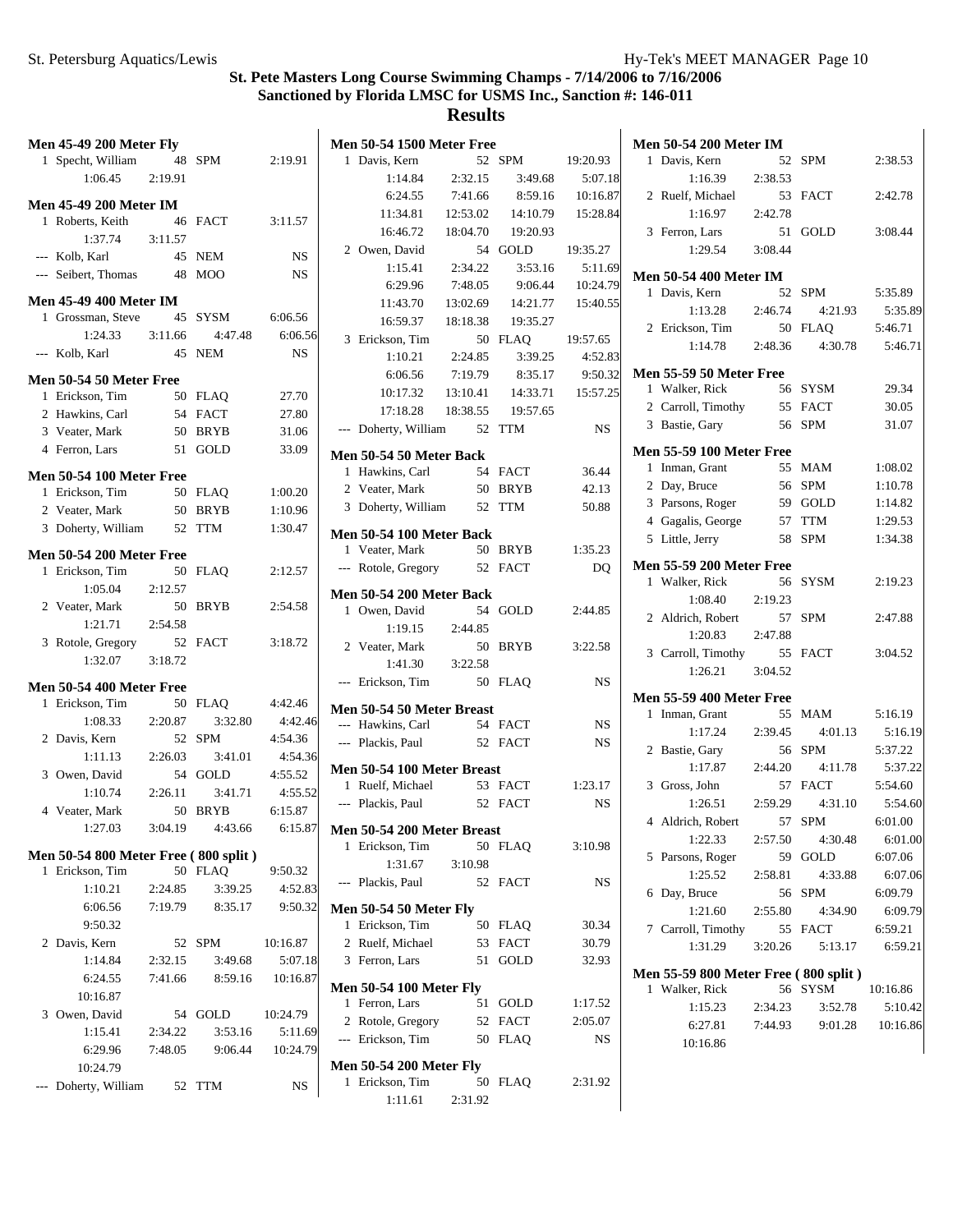| <b>Men 45-49 200 Meter Fly</b>                     |         |         |           | <b>Men 50-54 1500 Meter Free</b>              |          |          |           | <b>Men 50-54 200 Meter IM</b>                    |         |         |          |
|----------------------------------------------------|---------|---------|-----------|-----------------------------------------------|----------|----------|-----------|--------------------------------------------------|---------|---------|----------|
| 1 Specht, William                                  |         | 48 SPM  | 2:19.91   | 1 Davis, Kern                                 |          | 52 SPM   | 19:20.93  | 1 Davis, Kern                                    |         | 52 SPM  | 2:38.53  |
| 1:06.45                                            | 2:19.91 |         |           | 1:14.84                                       | 2:32.15  | 3:49.68  | 5:07.18   | 1:16.39                                          | 2:38.53 |         |          |
| <b>Men 45-49 200 Meter IM</b>                      |         |         |           | 6:24.55                                       | 7:41.66  | 8:59.16  | 10:16.87  | 2 Ruelf, Michael                                 |         | 53 FACT | 2:42.78  |
| 1 Roberts, Keith                                   |         | 46 FACT | 3:11.57   | 11:34.81                                      | 12:53.02 | 14:10.79 | 15:28.84  | 1:16.97                                          | 2:42.78 |         |          |
| 1:37.74                                            | 3:11.57 |         |           | 16:46.72                                      | 18:04.70 | 19:20.93 |           | 3 Ferron, Lars                                   |         | 51 GOLD | 3:08.44  |
| --- Kolb, Karl                                     |         | 45 NEM  | <b>NS</b> | 2 Owen, David                                 |          | 54 GOLD  | 19:35.27  | 1:29.54                                          | 3:08.44 |         |          |
| --- Seibert, Thomas                                |         | 48 MOO  | NS        | 1:15.41                                       | 2:34.22  | 3:53.16  | 5:11.69   | <b>Men 50-54 400 Meter IM</b>                    |         |         |          |
|                                                    |         |         |           | 6:29.96                                       | 7:48.05  | 9:06.44  | 10:24.79  | 1 Davis, Kern                                    |         | 52 SPM  | 5:35.89  |
| <b>Men 45-49 400 Meter IM</b><br>1 Grossman, Steve |         | 45 SYSM | 6:06.56   | 11:43.70                                      | 13:02.69 | 14:21.77 | 15:40.55  | 1:13.28                                          | 2:46.74 | 4:21.93 | 5:35.89  |
| 1:24.33                                            | 3:11.66 | 4:47.48 | 6:06.56   | 16:59.37                                      | 18:18.38 | 19:35.27 |           | 2 Erickson, Tim                                  |         | 50 FLAQ | 5:46.71  |
| --- Kolb, Karl                                     |         | 45 NEM  | <b>NS</b> | 3 Erickson, Tim                               |          | 50 FLAQ  | 19:57.65  | 1:14.78                                          | 2:48.36 | 4:30.78 | 5:46.71  |
|                                                    |         |         |           | 1:10.21                                       | 2:24.85  | 3:39.25  | 4:52.83   |                                                  |         |         |          |
| Men 50-54 50 Meter Free                            |         |         |           | 6:06.56                                       | 7:19.79  | 8:35.17  | 9:50.32   | <b>Men 55-59 50 Meter Free</b><br>1 Walker, Rick |         | 56 SYSM | 29.34    |
| 1 Erickson, Tim                                    |         | 50 FLAQ | 27.70     | 10:17.32                                      | 13:10.41 | 14:33.71 | 15:57.25  | 2 Carroll, Timothy                               |         | 55 FACT | 30.05    |
| 2 Hawkins, Carl                                    |         | 54 FACT | 27.80     | 17:18.28                                      | 18:38.55 | 19:57.65 |           |                                                  |         | 56 SPM  |          |
| 3 Veater, Mark                                     |         | 50 BRYB | 31.06     | --- Doherty, William                          |          | 52 TTM   | <b>NS</b> | 3 Bastie, Gary                                   |         |         | 31.07    |
| 4 Ferron, Lars                                     |         | 51 GOLD | 33.09     | Men 50-54 50 Meter Back                       |          |          |           | <b>Men 55-59 100 Meter Free</b>                  |         |         |          |
| <b>Men 50-54 100 Meter Free</b>                    |         |         |           | 1 Hawkins, Carl                               |          | 54 FACT  | 36.44     | 1 Inman, Grant                                   |         | 55 MAM  | 1:08.02  |
| 1 Erickson, Tim                                    |         | 50 FLAQ | 1:00.20   | 2 Veater, Mark                                |          | 50 BRYB  | 42.13     | 2 Day, Bruce                                     |         | 56 SPM  | 1:10.78  |
| 2 Veater, Mark                                     |         | 50 BRYB | 1:10.96   | 3 Doherty, William                            |          | 52 TTM   | 50.88     | 3 Parsons, Roger                                 | 59      | GOLD    | 1:14.82  |
| 3 Doherty, William                                 |         | 52 TTM  | 1:30.47   |                                               |          |          |           | 4 Gagalis, George                                | 57      | TTM     | 1:29.53  |
|                                                    |         |         |           | Men 50-54 100 Meter Back                      |          |          |           | 5 Little, Jerry                                  |         | 58 SPM  | 1:34.38  |
| <b>Men 50-54 200 Meter Free</b>                    |         |         |           | 1 Veater, Mark                                |          | 50 BRYB  | 1:35.23   | <b>Men 55-59 200 Meter Free</b>                  |         |         |          |
| 1 Erickson, Tim                                    |         | 50 FLAQ | 2:12.57   | --- Rotole, Gregory                           |          | 52 FACT  | <b>DQ</b> |                                                  |         | 56 SYSM | 2:19.23  |
| 1:05.04                                            | 2:12.57 |         |           | <b>Men 50-54 200 Meter Back</b>               |          |          |           | 1 Walker, Rick<br>1:08.40                        | 2:19.23 |         |          |
| 2 Veater, Mark                                     |         | 50 BRYB | 2:54.58   | 1 Owen, David                                 |          | 54 GOLD  | 2:44.85   |                                                  |         | 57 SPM  |          |
| 1:21.71                                            | 2:54.58 |         |           | 1:19.15                                       | 2:44.85  |          |           | 2 Aldrich, Robert                                |         |         | 2:47.88  |
| 3 Rotole, Gregory                                  |         | 52 FACT | 3:18.72   | 2 Veater, Mark                                |          | 50 BRYB  | 3:22.58   | 1:20.83                                          | 2:47.88 |         |          |
| 1:32.07                                            | 3:18.72 |         |           | 1:41.30                                       | 3:22.58  |          |           | 3 Carroll, Timothy                               |         | 55 FACT | 3:04.52  |
| <b>Men 50-54 400 Meter Free</b>                    |         |         |           | --- Erickson, Tim                             |          | 50 FLAQ  | <b>NS</b> | 1:26.21                                          | 3:04.52 |         |          |
| 1 Erickson, Tim                                    |         | 50 FLAQ | 4:42.46   |                                               |          |          |           | <b>Men 55-59 400 Meter Free</b>                  |         |         |          |
| 1:08.33                                            | 2:20.87 | 3:32.80 | 4:42.46   | Men 50-54 50 Meter Breast                     |          |          |           | 1 Inman, Grant                                   |         | 55 MAM  | 5:16.19  |
| 2 Davis, Kern                                      |         | 52 SPM  | 4:54.36   | --- Hawkins, Carl                             |          | 54 FACT  | <b>NS</b> | 1:17.24                                          | 2:39.45 | 4:01.13 | 5:16.19  |
| 1:11.13                                            | 2:26.03 | 3:41.01 | 4:54.36   | --- Plackis, Paul                             |          | 52 FACT  | <b>NS</b> | 2 Bastie, Gary                                   |         | 56 SPM  | 5:37.22  |
| 3 Owen, David                                      |         | 54 GOLD | 4:55.52   | Men 50-54 100 Meter Breast                    |          |          |           | 1:17.87                                          | 2:44.20 | 4:11.78 | 5:37.22  |
| 1:10.74                                            | 2:26.11 | 3:41.71 | 4:55.52   | 1 Ruelf, Michael                              |          | 53 FACT  | 1:23.17   | 3 Gross, John                                    |         | 57 FACT | 5:54.60  |
| 4 Veater, Mark                                     |         | 50 BRYB | 6:15.87   | --- Plackis, Paul                             |          | 52 FACT  | <b>NS</b> | 1:26.51                                          | 2:59.29 | 4:31.10 | 5:54.60  |
| 1:27.03                                            | 3:04.19 | 4:43.66 | 6:15.87   |                                               |          |          |           | 4 Aldrich, Robert                                |         | 57 SPM  | 6:01.00  |
|                                                    |         |         |           | Men 50-54 200 Meter Breast<br>1 Erickson, Tim |          | 50 FLAQ  | 3:10.98   | 1:22.33                                          | 2:57.50 | 4:30.48 | 6:01.00  |
| Men 50-54 800 Meter Free (800 split)               |         |         |           | 1:31.67                                       | 3:10.98  |          |           | 5 Parsons, Roger                                 |         | 59 GOLD | 6:07.06  |
| 1 Erickson, Tim                                    |         | 50 FLAQ | 9:50.32   | --- Plackis, Paul                             |          | 52 FACT  | NS        | 1:25.52                                          | 2:58.81 | 4:33.88 | 6:07.06  |
| 1:10.21                                            | 2:24.85 | 3:39.25 | 4:52.83   |                                               |          |          |           | 6 Day, Bruce                                     |         | 56 SPM  | 6:09.79  |
| 6:06.56                                            | 7:19.79 | 8:35.17 | 9:50.32   | <b>Men 50-54 50 Meter Fly</b>                 |          |          |           | 1:21.60                                          | 2:55.80 | 4:34.90 | 6:09.79  |
| 9:50.32                                            |         |         |           | 1 Erickson, Tim                               |          | 50 FLAQ  | 30.34     | 7 Carroll, Timothy                               |         | 55 FACT | 6:59.21  |
| 2 Davis, Kern                                      |         | 52 SPM  | 10:16.87  | 2 Ruelf, Michael                              |          | 53 FACT  | 30.79     | 1:31.29                                          | 3:20.26 | 5:13.17 | 6:59.21  |
| 1:14.84                                            | 2:32.15 | 3:49.68 | 5:07.18   | 3 Ferron, Lars                                |          | 51 GOLD  | 32.93     |                                                  |         |         |          |
| 6:24.55                                            | 7:41.66 | 8:59.16 | 10:16.87  | <b>Men 50-54 100 Meter Fly</b>                |          |          |           | Men 55-59 800 Meter Free (800 split)             |         |         |          |
| 10:16.87                                           |         |         |           | 1 Ferron, Lars                                |          | 51 GOLD  | 1:17.52   | 1 Walker, Rick                                   |         | 56 SYSM | 10:16.86 |
| 3 Owen, David                                      |         | 54 GOLD | 10:24.79  | 2 Rotole, Gregory                             |          | 52 FACT  | 2:05.07   | 1:15.23                                          | 2:34.23 | 3:52.78 | 5:10.42  |
| 1:15.41                                            | 2:34.22 | 3:53.16 | 5:11.69   | --- Erickson, Tim                             |          | 50 FLAQ  | <b>NS</b> | 6:27.81                                          | 7:44.93 | 9:01.28 | 10:16.86 |
| 6:29.96                                            | 7:48.05 | 9:06.44 | 10:24.79  |                                               |          |          |           | 10:16.86                                         |         |         |          |
| 10:24.79                                           |         |         |           | <b>Men 50-54 200 Meter Fly</b>                |          |          |           |                                                  |         |         |          |
| --- Doherty, William                               |         | 52 TTM  | <b>NS</b> | 1 Erickson, Tim                               |          | 50 FLAQ  | 2:31.92   |                                                  |         |         |          |
|                                                    |         |         |           | 1:11.61                                       | 2:31.92  |          |           |                                                  |         |         |          |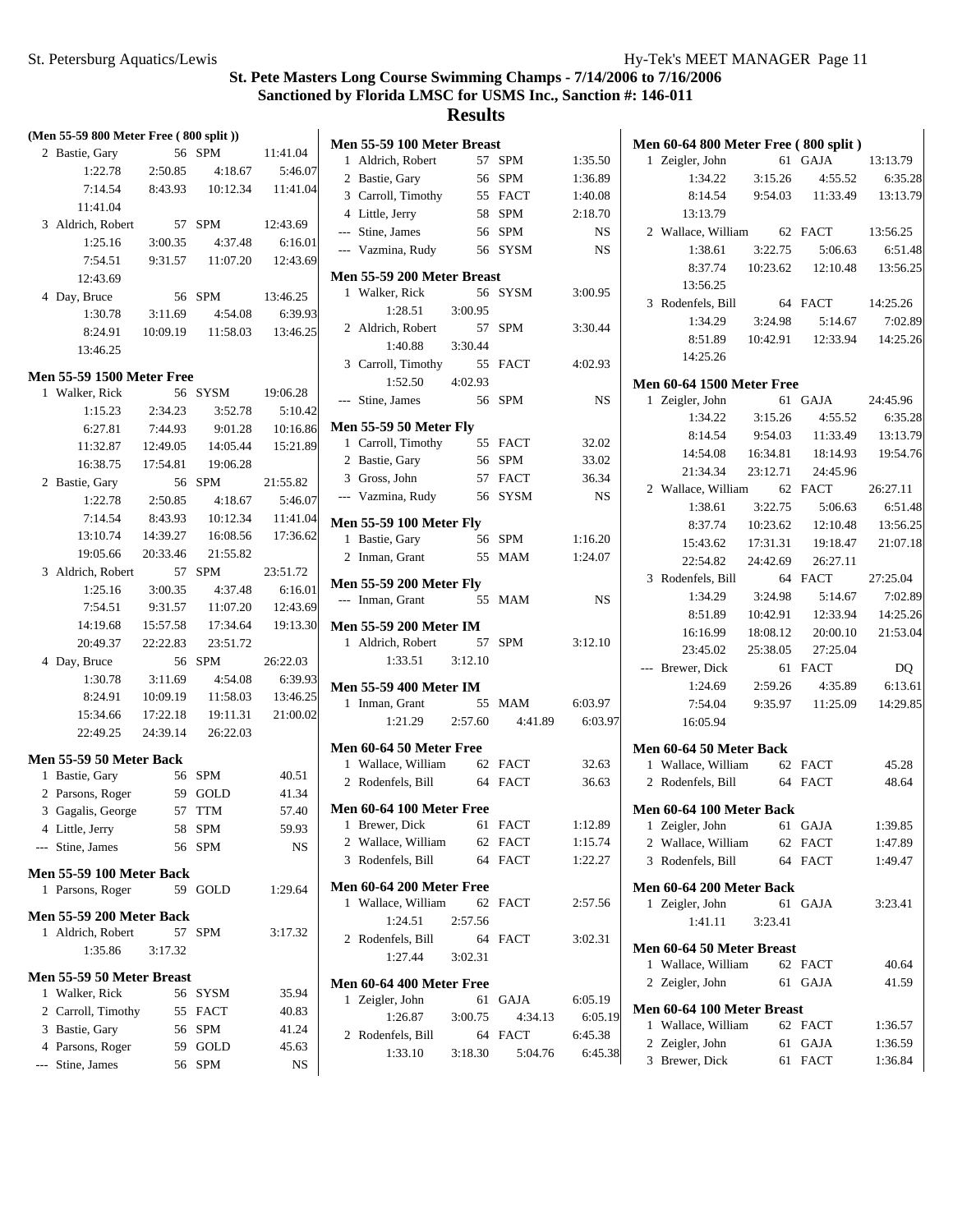| (Men 55-59 800 Meter Free (800 split)) |                                  |          |                                        |          |   |
|----------------------------------------|----------------------------------|----------|----------------------------------------|----------|---|
|                                        | 2 Bastie, Gary                   | 56       | <b>SPM</b>                             | 11:41.04 | N |
|                                        | 1:22.78                          | 2:50.85  | 4:18.67                                | 5:46.07  |   |
|                                        | 7:14.54                          |          | 8:43.93  10:12.34  11:41.04            |          |   |
|                                        | 11:41.04                         |          |                                        |          |   |
|                                        | 3 Aldrich, Robert                |          | 57 SPM                                 | 12:43.69 |   |
|                                        | 1:25.16                          |          | $3:00.35$ $4:37.48$                    | 6:16.01  |   |
|                                        | 7:54.51                          |          | 9:31.57 11:07.20                       | 12:43.69 |   |
|                                        | 12:43.69                         |          |                                        |          | N |
|                                        | 4 Day, Bruce                     |          | 56 SPM                                 | 13:46.25 |   |
|                                        | 1:30.78                          |          | 3:11.69  4:54.08  6:39.93              |          |   |
|                                        | 8:24.91                          |          | 10:09.19  11:58.03  13:46.25           |          |   |
|                                        | 13:46.25                         |          |                                        |          |   |
|                                        |                                  |          |                                        |          |   |
|                                        | <b>Men 55-59 1500 Meter Free</b> |          |                                        |          |   |
|                                        | 1 Walker, Rick                   | 2:34.23  | 56 SYSM                                | 19:06.28 |   |
|                                        | 1:15.23                          |          | 3:52.78<br>9:01.28 10:16.86            | 5:10.42  | Ŋ |
|                                        | 6:27.81                          | 7:44.93  | 11:32.87  12:49.05  14:05.44           | 15:21.89 |   |
|                                        |                                  |          |                                        |          |   |
|                                        | 2 Bastie, Gary                   |          | 16:38.75  17:54.81  19:06.28<br>56 SPM | 21:55.82 |   |
|                                        | 1:22.78                          |          |                                        | 5:46.07  |   |
|                                        | 7:14.54                          | 8:43.93  | 2:50.85 4:18.67<br>10:12.34            | 11:41.04 |   |
|                                        | 13:10.74                         |          | 14:39.27  16:08.56                     | 17:36.62 | N |
|                                        | 19:05.66                         | 20:33.46 | 21:55.82                               |          |   |
|                                        | 3 Aldrich, Robert                |          | 57 SPM                                 | 23:51.72 |   |
|                                        | 1:25.16                          | 3:00.35  | 4:37.48                                | 6:16.01  | Ŋ |
|                                        | 7:54.51                          | 9:31.57  | 11:07.20                               | 12:43.69 |   |
|                                        | 14:19.68                         | 15:57.58 | 17:34.64                               | 19:13.30 | N |
|                                        | 20:49.37                         | 22:22.83 | 23:51.72                               |          |   |
|                                        | 4 Day, Bruce                     |          | 56 SPM                                 | 26:22.03 |   |
|                                        | 1:30.78                          | 3:11.69  | 4:54.08                                | 6:39.93  |   |
|                                        | 8:24.91                          |          | 10:09.19  11:58.03  13:46.25           |          | N |
|                                        | 15:34.66 17:22.18                |          | 19:11.31                               | 21:00.02 |   |
|                                        | 22:49.25 24:39.14                |          | 26:22.03                               |          |   |
|                                        |                                  |          |                                        |          | Ŋ |
|                                        | Men 55-59 50 Meter Back          |          |                                        |          |   |
|                                        | 1 Bastie, Gary                   |          | 56 SPM                                 | 40.51    |   |
|                                        | 2 Parsons, Roger                 | 59 GOLD  |                                        | 41.34    |   |
|                                        | 3 Gagalis, George                | 57 TTM   |                                        | 57.40    | N |
| 4                                      | Little, Jerry                    | 58       | SPM                                    | 59.93    |   |
| $---$                                  | Stine, James                     | 56       | <b>SPM</b>                             | NS       |   |
|                                        | <b>Men 55-59 100 Meter Back</b>  |          |                                        |          |   |
| 1                                      | Parsons, Roger                   | 59       | GOLD                                   | 1:29.64  | Ŋ |
|                                        | <b>Men 55-59 200 Meter Back</b>  |          |                                        |          |   |
|                                        | 1 Aldrich, Robert                | 57       | <b>SPM</b>                             | 3:17.32  |   |
|                                        | 1:35.86                          | 3:17.32  |                                        |          |   |
|                                        |                                  |          |                                        |          |   |
|                                        | Men 55-59 50 Meter Breast        |          |                                        |          | Ŋ |
| 1                                      | Walker, Rick                     | 56       | SYSM                                   | 35.94    |   |
|                                        | 2 Carroll, Timothy               | 55       | FACT                                   | 40.83    |   |
|                                        | 3 Bastie, Gary                   | 56       | <b>SPM</b>                             | 41.24    |   |
|                                        | 4 Parsons, Roger                 | 59       | GOLD                                   | 45.63    |   |
|                                        | --- Stine, James                 | 56       | <b>SPM</b>                             | NS       |   |

|   | Men 55-59 100 Meter Breast<br>1 Aldrich, Robert    |         |                        |                    |
|---|----------------------------------------------------|---------|------------------------|--------------------|
|   | 2 Bastie, Gary                                     |         | 57 SPM<br>56 SPM       | 1:35.50            |
|   |                                                    |         | 55 FACT                | 1:36.89<br>1:40.08 |
|   | 3 Carroll, Timothy<br>4 Little, Jerry              |         | 58 SPM                 | 2:18.70            |
|   | --- Stine, James                                   |         | 56 SPM                 | NS                 |
|   | --- Vazmina, Rudy                                  |         | 56 SYSM                | <b>NS</b>          |
|   |                                                    |         |                        |                    |
|   | Men 55-59 200 Meter Breast                         |         |                        |                    |
|   | 1 Walker, Rick                                     | 56      | SYSM                   | 3:00.95            |
|   | 1:28.51                                            | 3:00.95 |                        |                    |
|   | 2 Aldrich, Robert                                  | 57 SPM  |                        | 3:30.44            |
|   | 1:40.88                                            | 3:30.44 |                        |                    |
|   | 3 Carroll, Timothy<br>$1:52.50$ $4:02.93$          |         | 55 FACT                | 4:02.93            |
|   | --- Stine, James                                   | 56 SPM  |                        |                    |
|   |                                                    |         |                        | NS                 |
|   | <b>Men 55-59 50 Meter Fly</b>                      |         |                        |                    |
|   | 1 Carroll, Timothy                                 |         | 55 FACT                | 32.02              |
|   | 2 Bastie, Gary                                     |         | 56 SPM                 | 33.02              |
|   | 3 Gross, John                                      |         | 57 FACT                | 36.34              |
|   | --- Vazmina, Rudy                                  |         | 56 SYSM                | NS                 |
|   | <b>Men 55-59 100 Meter Fly</b>                     |         |                        |                    |
|   | 1 Bastie, Gary                                     |         | 56 SPM                 | 1:16.20            |
|   | 2 Inman, Grant                                     |         | 55 MAM                 | 1:24.07            |
|   |                                                    |         |                        |                    |
|   | <b>Men 55-59 200 Meter Fly</b><br>--- Inman, Grant |         | 55 MAM                 | NS                 |
|   |                                                    |         |                        |                    |
|   | <b>Men 55-59 200 Meter IM</b>                      |         |                        |                    |
|   | 1 Aldrich, Robert 57 SPM                           |         |                        | 3:12.10            |
|   | $1:33.51$ $3:12.10$                                |         |                        |                    |
|   | <b>Men 55-59 400 Meter IM</b>                      |         |                        |                    |
|   | 1 Inman, Grant                                     |         | 55 MAM                 | 6:03.97            |
|   | $1:21.29$ $2:57.60$                                |         | 4:41.89                | 6:03.97            |
|   | Men 60-64 50 Meter Free                            |         |                        |                    |
|   | 1 Wallace, William 62 FACT                         |         |                        | 32.63              |
|   | 2 Rodenfels, Bill 64 FACT                          |         |                        | 36.63              |
|   |                                                    |         |                        |                    |
|   | <b>Men 60-64 100 Meter Free</b>                    |         |                        |                    |
|   | 1 Brewer, Dick                                     | 61      | FACT                   | 1:12.89            |
|   | 2 Wallace, William<br>3 Rodenfels, Bill            | 64      | 62 FACT<br><b>FACT</b> | 1:15.74            |
|   |                                                    |         |                        | 1:22.27            |
|   | <b>Men 60-64 200 Meter Free</b>                    |         |                        |                    |
| 1 | Wallace, William                                   | 62      | <b>FACT</b>            | 2:57.56            |
|   | 1:24.51                                            | 2:57.56 |                        |                    |
|   | 2 Rodenfels, Bill                                  | 64      | <b>FACT</b>            | 3:02.31            |
|   | 1:27.44                                            | 3:02.31 |                        |                    |
|   | <b>Men 60-64 400 Meter Free</b>                    |         |                        |                    |
|   | 1 Zeigler, John                                    | 61      | <b>GAJA</b>            | 6:05.19            |
|   | 1:26.87                                            | 3:00.75 | 4:34.13                | 6:05.19            |
|   | 2 Rodenfels, Bill                                  | 64      | <b>FACT</b>            | 6:45.38            |
|   | 1:33.10                                            | 3:18.30 | 5:04.76                | 6:45.38            |
|   |                                                    |         |                        |                    |

|                                  |                     |          |    | Men 60-64 800 Meter Free (800 split)   |          |
|----------------------------------|---------------------|----------|----|----------------------------------------|----------|
| 1 Zeigler, John                  |                     |          |    | 61 GAJA                                | 13:13.79 |
|                                  | $1:34.22$ $3:15.26$ |          |    | 4:55.52                                | 6:35.28  |
|                                  |                     |          |    | 8:14.54  9:54.03  11:33.49  13:13.79   |          |
|                                  | 13:13.79            |          |    |                                        |          |
|                                  |                     |          |    | 2 Wallace, William 62 FACT 13:56.25    |          |
|                                  | 1:38.61             |          |    | 3:22.75 5:06.63 6:51.48                |          |
|                                  |                     |          |    | 8:37.74  10:23.62  12:10.48  13:56.25  |          |
|                                  | 13:56.25            |          |    |                                        |          |
| 3 Rodenfels, Bill                |                     |          |    | 64 FACT 14:25.26                       |          |
|                                  | 1:34.29             | 3:24.98  |    | 5:14.67                                | 7:02.89  |
|                                  |                     |          |    | 8:51.89  10:42.91  12:33.94  14:25.26  |          |
|                                  | 14:25.26            |          |    |                                        |          |
| <b>Men 60-64 1500 Meter Free</b> |                     |          |    |                                        |          |
| 1 Zeigler, John                  |                     |          |    | 61 GAJA 24:45.96                       |          |
|                                  |                     |          |    | $1:34.22$ $3:15.26$ $4:55.52$          | 6:35.28  |
|                                  |                     |          |    | 8:14.54  9:54.03  11:33.49  13:13.79   |          |
|                                  |                     |          |    | 14:54.08  16:34.81  18:14.93  19:54.76 |          |
|                                  |                     |          |    | 21:34.34 23:12.71 24:45.96             |          |
|                                  |                     |          |    | 2 Wallace, William 62 FACT             | 26:27.11 |
|                                  | 1:38.61             |          |    | $3:22.75$ $5:06.63$                    | 6:51.48  |
|                                  | 8:37.74             | 10:23.62 |    | 12:10.48                               | 13:56.25 |
|                                  | 15:43.62            | 17:31.31 |    | 19:18.47                               | 21:07.18 |
|                                  | 22:54.82 24:42.69   |          |    | 26:27.11                               |          |
| 3 Rodenfels, Bill                |                     |          |    | 64 FACT                                | 27:25.04 |
|                                  | 1:34.29             |          |    | $3:24.98$ $5:14.67$                    | 7:02.89  |
|                                  | 8:51.89             |          |    | 10:42.91  12:33.94  14:25.26           |          |
|                                  |                     |          |    | 16:16.99  18:08.12  20:00.10           | 21:53.04 |
|                                  | 23:45.02            |          |    | 25:38.05 27:25.04                      |          |
| --- Brewer, Dick                 |                     |          |    | 61 FACT                                | DQ       |
|                                  | $1:24.69$ $2:59.26$ |          |    | 4:35.89 6:13.61                        |          |
|                                  | 7:54.04             |          |    | 9:35.97 11:25.09 14:29.85              |          |
|                                  | 16:05.94            |          |    |                                        |          |
| Men 60-64 50 Meter Back          |                     |          |    |                                        |          |
| 1 Wallace, William 62 FACT       |                     |          |    |                                        | 45.28    |
| 2 Rodenfels, Bill 64 FACT        |                     |          |    |                                        | 48.64    |
| Men 60-64 100 Meter Back         |                     |          |    |                                        |          |
| $\mathbf{I}$<br>Zeigler, John    |                     |          |    | 61 GAJA                                | 1:39.85  |
| 2 Wallace, William               |                     |          | 62 | FACT                                   | 1:47.89  |
| Rodenfels, Bill<br>3             |                     |          | 64 | <b>FACT</b>                            | 1:49.47  |
| Men 60-64 200 Meter Back         |                     |          |    |                                        |          |
| 1 Zeigler, John                  |                     |          | 61 | GAJA                                   | 3:23.41  |
|                                  | 1:41.11             | 3:23.41  |    |                                        |          |
|                                  |                     |          |    |                                        |          |
| Men 60-64 50 Meter Breast<br>1   | Wallace, William    |          | 62 | FACT                                   | 40.64    |
| 2 Zeigler, John                  |                     |          | 61 | GAJA                                   | 41.59    |
|                                  |                     |          |    |                                        |          |
| Men 60-64 100 Meter Breast       |                     |          |    |                                        |          |
| 1 Wallace, William               |                     |          | 62 | <b>FACT</b>                            | 1:36.57  |
| 2 Zeigler, John                  |                     |          | 61 | GAJA                                   | 1:36.59  |
| 3 Brewer, Dick                   |                     |          | 61 | <b>FACT</b>                            | 1:36.84  |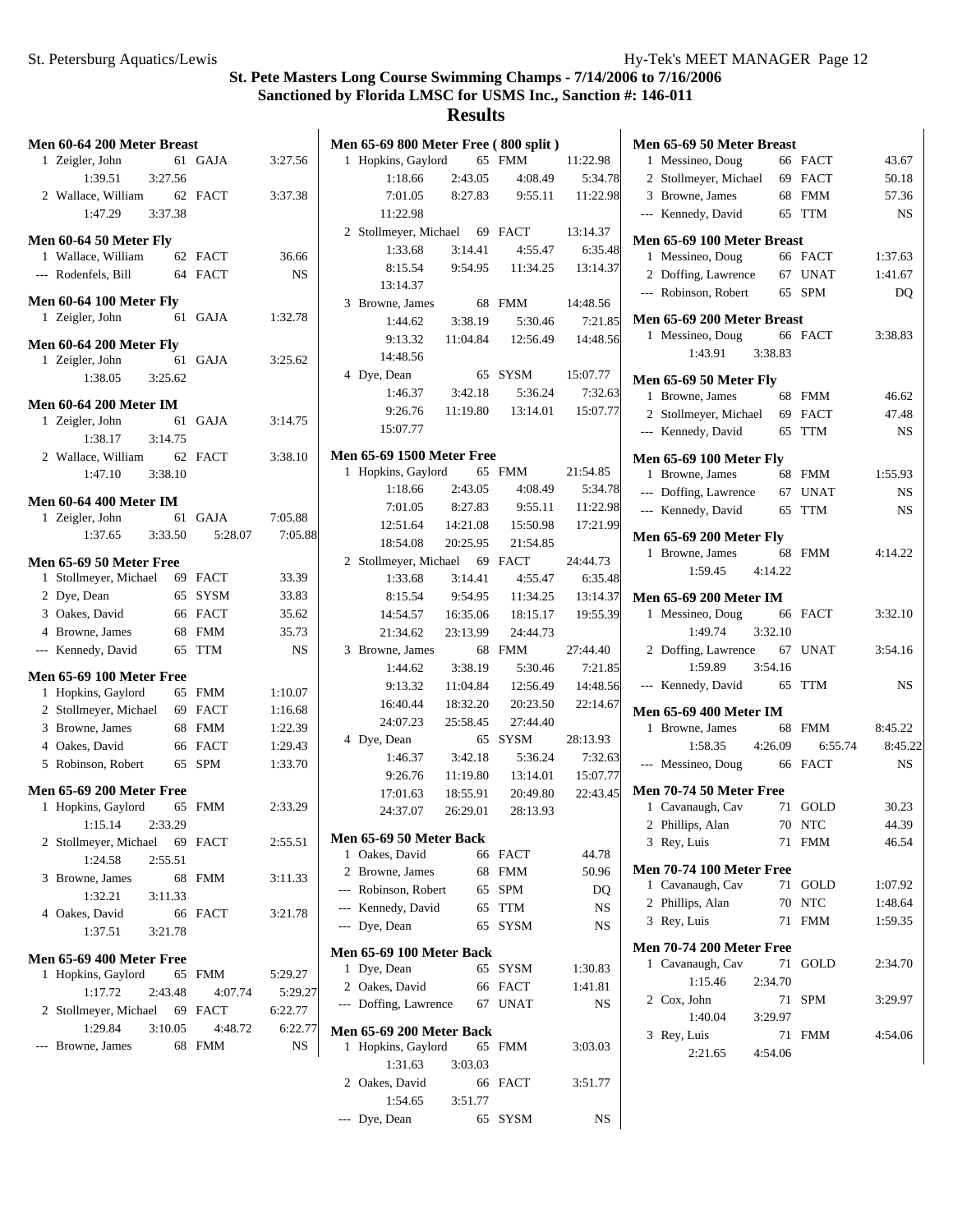## **Results**

--- Dye, Dean 65 SYSM NS

| Men 60-64 200 Meter Breast      |         |           | Men 65-69 800 Meter Free (800 split) |          |          |          | Men 65-69 5   |
|---------------------------------|---------|-----------|--------------------------------------|----------|----------|----------|---------------|
| 1 Zeigler, John                 | 61 GAJA | 3:27.56   | 1 Hopkins, Gaylord                   |          | 65 FMM   | 11:22.98 | 1 Messineo    |
| 1:39.51<br>3:27.56              |         |           | 1:18.66                              | 2:43.05  | 4:08.49  | 5:34.78  | 2 Stollmey    |
| 2 Wallace, William              | 62 FACT | 3:37.38   | 7:01.05                              | 8:27.83  | 9:55.11  | 11:22.98 | 3 Browne,     |
| 3:37.38<br>1:47.29              |         |           | 11:22.98                             |          |          |          | --- Kennedy,  |
| Men 60-64 50 Meter Fly          |         |           | 2 Stollmeyer, Michael                |          | 69 FACT  | 13:14.37 | Men 65-69 1   |
| 1 Wallace, William              | 62 FACT | 36.66     | 1:33.68                              | 3:14.41  | 4:55.47  | 6:35.48  | 1 Messineo    |
| --- Rodenfels, Bill             | 64 FACT | <b>NS</b> | 8:15.54                              | 9:54.95  | 11:34.25 | 13:14.37 | 2 Doffing,    |
|                                 |         |           | 13:14.37                             |          |          |          | --- Robinson  |
| <b>Men 60-64 100 Meter Fly</b>  |         |           | 3 Browne, James                      |          | 68 FMM   | 14:48.56 |               |
| 1 Zeigler, John                 | 61 GAJA | 1:32.78   | 1:44.62                              | 3:38.19  | 5:30.46  | 7:21.85  | Men 65-69 2   |
| <b>Men 60-64 200 Meter Fly</b>  |         |           | 9:13.32                              | 11:04.84 | 12:56.49 | 14:48.56 | 1 Messineo    |
| 1 Zeigler, John                 | 61 GAJA | 3:25.62   | 14:48.56                             |          |          |          | 1:4.          |
| 1:38.05<br>3:25.62              |         |           | 4 Dye, Dean                          |          | 65 SYSM  | 15:07.77 | Men 65-69 5   |
|                                 |         |           | 1:46.37                              | 3:42.18  | 5:36.24  | 7:32.63  | 1 Browne,     |
| <b>Men 60-64 200 Meter IM</b>   |         |           | 9:26.76                              | 11:19.80 | 13:14.01 | 15:07.77 | 2 Stollmey    |
| 1 Zeigler, John                 | 61 GAJA | 3:14.75   | 15:07.77                             |          |          |          | --- Kennedy,  |
| 1:38.17<br>3:14.75              |         |           | <b>Men 65-69 1500 Meter Free</b>     |          |          |          |               |
| 2 Wallace, William              | 62 FACT | 3:38.10   | 1 Hopkins, Gaylord                   |          | 65 FMM   | 21:54.85 | Men 65-69 1   |
| 1:47.10<br>3:38.10              |         |           | 1:18.66                              | 2:43.05  | 4:08.49  | 5:34.78  | 1 Browne,     |
| <b>Men 60-64 400 Meter IM</b>   |         |           | 7:01.05                              |          | 9:55.11  |          | --- Doffing,  |
| 1 Zeigler, John                 | 61 GAJA | 7:05.88   |                                      | 8:27.83  |          | 11:22.98 | --- Kennedy,  |
| 1:37.65<br>3:33.50              | 5:28.07 | 7:05.88   | 12:51.64                             | 14:21.08 | 15:50.98 | 17:21.99 | Men 65-69 2   |
|                                 |         |           | 18:54.08                             | 20:25.95 | 21:54.85 |          | 1 Browne,     |
| Men 65-69 50 Meter Free         |         |           | 2 Stollmeyer, Michael                |          | 69 FACT  | 24:44.73 | 1:59          |
| 1 Stollmeyer, Michael           | 69 FACT | 33.39     | 1:33.68                              | 3:14.41  | 4:55.47  | 6:35.48  |               |
| 2 Dye, Dean                     | 65 SYSM | 33.83     | 8:15.54                              | 9:54.95  | 11:34.25 | 13:14.37 | Men 65-69 2   |
| 3 Oakes, David                  | 66 FACT | 35.62     | 14:54.57                             | 16:35.06 | 18:15.17 | 19:55.39 | 1 Messineo    |
| 4 Browne, James                 | 68 FMM  | 35.73     | 21:34.62                             | 23:13.99 | 24:44.73 |          | 1:49          |
| --- Kennedy, David              | 65 TTM  | NS        | 3 Browne, James                      |          | 68 FMM   | 27:44.40 | 2 Doffing,    |
| <b>Men 65-69 100 Meter Free</b> |         |           | 1:44.62                              | 3:38.19  | 5:30.46  | 7:21.85  | 1:59          |
| 1 Hopkins, Gaylord              | 65 FMM  | 1:10.07   | 9:13.32                              | 11:04.84 | 12:56.49 | 14:48.56 | --- Kennedy,  |
| 2 Stollmeyer, Michael           | 69 FACT | 1:16.68   | 16:40.44                             | 18:32.20 | 20:23.50 | 22:14.67 | Men 65-69 4   |
| 3 Browne, James                 | 68 FMM  | 1:22.39   | 24:07.23                             | 25:58.45 | 27:44.40 |          | 1 Browne,     |
| 4 Oakes, David                  | 66 FACT | 1:29.43   | 4 Dye, Dean                          |          | 65 SYSM  | 28:13.93 | 1:58          |
| 5 Robinson, Robert              | 65 SPM  | 1:33.70   | 1:46.37                              | 3:42.18  | 5:36.24  | 7:32.63  | --- Messineo  |
|                                 |         |           | 9:26.76                              | 11:19.80 | 13:14.01 | 15:07.77 |               |
| <b>Men 65-69 200 Meter Free</b> |         |           | 17:01.63                             | 18:55.91 | 20:49.80 | 22:43.45 | Men 70-74 5   |
| 1 Hopkins, Gaylord              | 65 FMM  | 2:33.29   | 24:37.07                             | 26:29.01 | 28:13.93 |          | 1 Cavanaug    |
| 1:15.14<br>2:33.29              |         |           | Men 65-69 50 Meter Back              |          |          |          | 2 Phillips, a |
| 2 Stollmeyer, Michael           | 69 FACT | 2:55.51   | 1 Oakes, David                       |          | 66 FACT  | 44.78    | 3 Rey, Luis   |
| 2:55.51<br>1:24.58              |         |           | 2 Browne, James                      |          | 68 FMM   | 50.96    | Men 70-74 1   |
| 3 Browne, James                 | 68 FMM  | 3:11.33   | --- Robinson, Robert                 |          | 65 SPM   | DQ       | 1 Cavanaug    |
| 1:32.21<br>3:11.33              |         |           | --- Kennedy, David                   |          | 65 TTM   | NS       | 2 Phillips,   |
| 4 Oakes, David                  | 66 FACT | 3:21.78   | --- Dye, Dean                        |          | 65 SYSM  | NS       | 3 Rey, Luis   |
| 1:37.51<br>3:21.78              |         |           |                                      |          |          |          |               |
| <b>Men 65-69 400 Meter Free</b> |         |           | Men 65-69 100 Meter Back             |          |          |          | Men 70-742    |
| 1 Hopkins, Gaylord              | 65 FMM  | 5:29.27   | 1 Dye, Dean                          |          | 65 SYSM  | 1:30.83  | 1 Cavanaug    |
| 1:17.72<br>2:43.48              | 4:07.74 | 5:29.27   | 2 Oakes, David                       |          | 66 FACT  | 1:41.81  | 1:1.          |
| 2 Stollmeyer, Michael           | 69 FACT | 6:22.77   | --- Doffing, Lawrence                |          | 67 UNAT  | NS       | 2 Cox, John   |
| 1:29.84<br>3:10.05              | 4:48.72 | 6:22.77   | Men 65-69 200 Meter Back             |          |          |          | 1:40          |
| --- Browne, James               | 68 FMM  | NS        | 1 Hopkins, Gaylord                   |          | 65 FMM   | 3:03.03  | 3 Rey, Luis   |
|                                 |         |           | 1:31.63                              | 3:03.03  |          |          | 2:21          |
|                                 |         |           | 2 Oakes, David                       |          | 66 FACT  | 3:51.77  |               |
|                                 |         |           | 1:54.65                              | 3:51.77  |          |          |               |
|                                 |         |           |                                      |          |          |          |               |

|   | Men 65-69 50 Meter Breast                        |         |    |            |                |
|---|--------------------------------------------------|---------|----|------------|----------------|
|   | 1 Messineo, Doug                                 |         |    | 66 FACT    | 43.67          |
|   | 2 Stollmeyer, Michael 69 FACT                    |         |    |            | 50.18          |
|   | 3 Browne, James                                  |         |    | 68 FMM     | 57.36          |
|   | --- Kennedy, David 65 TTM                        |         |    |            | <b>NS</b>      |
|   | Men 65-69 100 Meter Breast                       |         |    |            |                |
|   | 1 Messineo, Doug                                 |         |    | 66 FACT    | 1:37.63        |
|   | 2 Doffing, Lawrence                              |         |    | 67 UNAT    | 1:41.67        |
|   | --- Robinson, Robert                             |         |    | 65 SPM     | D <sub>O</sub> |
|   | Men 65-69 200 Meter Breast                       |         |    |            |                |
|   | 1 Messineo, Doug 66 FACT                         |         |    |            | 3:38.83        |
|   | 1:43.91 3:38.83                                  |         |    |            |                |
|   |                                                  |         |    |            |                |
|   | <b>Men 65-69 50 Meter Fly</b><br>1 Browne, James |         |    | 68 FMM     | 46.62          |
|   | 2 Stollmeyer, Michael 69 FACT                    |         |    |            | 47.48          |
|   | --- Kennedy, David                               |         |    | 65 TTM     | <b>NS</b>      |
|   |                                                  |         |    |            |                |
|   | <b>Men 65-69 100 Meter Fly</b>                   |         |    |            |                |
|   | 1 Browne, James                                  |         |    | 68 FMM     | 1:55.93        |
|   | --- Doffing, Lawrence 67 UNAT                    |         |    |            | NS             |
|   | --- Kennedy, David                               |         |    | 65 TTM     | NS             |
|   | <b>Men 65-69 200 Meter Fly</b>                   |         |    |            |                |
|   | 1 Browne, James                                  |         |    | 68 FMM     | 4:14.22        |
|   | ne, James b8<br>1:59.45 4:14.22                  |         |    |            |                |
|   |                                                  |         |    |            |                |
|   | <b>Men 65-69 200 Meter IM</b>                    |         |    |            |                |
|   | 1 Messineo, Doug 66 FACT<br>1:49.74 3:32.10      |         |    |            | 3:32.10        |
|   |                                                  |         |    |            | 3:54.16        |
|   | 2 Doffing, Lawrence 67 UNAT                      |         |    |            |                |
|   | --- Kennedy, David 65 TTM                        |         |    |            | NS             |
|   |                                                  |         |    |            |                |
|   | <b>Men 65-69 400 Meter IM</b>                    |         |    |            |                |
|   | 1 Browne, James                                  |         |    | 68 FMM     | 8:45.22        |
|   | 1:58.35 4:26.09                                  |         |    | 6:55.74    | 8:45.22        |
|   | --- Messineo, Doug 66 FACT                       |         |    |            | <b>NS</b>      |
|   | Men 70-74 50 Meter Free                          |         |    |            |                |
|   | 1 Cavanaugh, Cav                                 |         |    | 71 GOLD    | 30.23          |
|   | 2 Phillips, Alan 70 NTC                          |         |    |            | 44.39          |
|   | 3 Rey, Luis                                      |         | 71 | <b>FMM</b> | 46.54          |
|   | <b>Men 70-74 100 Meter Free</b>                  |         |    |            |                |
|   | 1 Cavanaugh, Cav                                 |         |    | 71 GOLD    | 1:07.92        |
|   | 2 Phillips, Alan                                 |         | 70 | <b>NTC</b> | 1:48.64        |
|   | 3 Rev, Luis                                      |         | 71 | FMM        | 1:59.35        |
|   |                                                  |         |    |            |                |
|   | <b>Men 70-74 200 Meter Free</b>                  |         |    |            |                |
| 1 | Cavanaugh, Cav                                   |         | 71 | GOLD       | 2:34.70        |
|   | 1:15.46                                          | 2:34.70 |    |            |                |
|   | 2 Cox, John                                      |         | 71 | SPM        | 3:29.97        |
|   | 1:40.04                                          | 3:29.97 |    |            |                |
| 3 | Rey, Luis                                        |         | 71 | <b>FMM</b> | 4:54.06        |
|   | 2:21.65                                          | 4:54.06 |    |            |                |
|   |                                                  |         |    |            |                |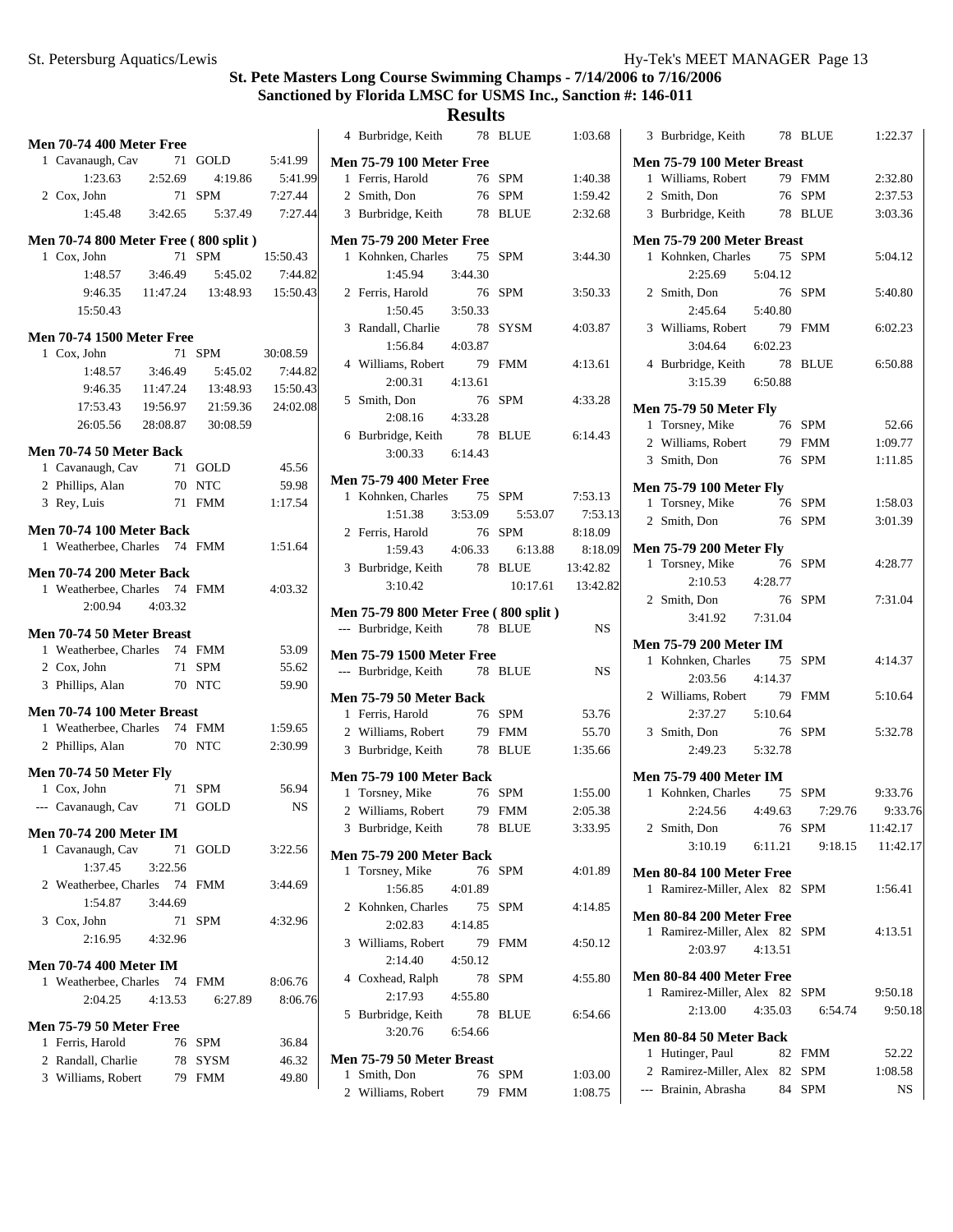| <b>Men 70-74 400 Meter Free</b>                                 |         |                              |           |
|-----------------------------------------------------------------|---------|------------------------------|-----------|
| 1 Cavanaugh, Cav                                                |         | 71 GOLD                      | 5:41.99   |
| $1:23.63$ $2:52.69$                                             |         | 4:19.86                      | 5:41.99   |
| 2 Cox, John                                                     |         | 71 SPM                       | 7:27.44   |
| $1:45.48$ $3:42.65$                                             |         | 5:37.49                      | 7:27.44   |
| Men 70-74 800 Meter Free (800 split)                            |         |                              |           |
| 1 Cox, John                                                     |         | 71 SPM                       | 15:50.43  |
|                                                                 |         | 1:48.57 3:46.49 5:45.02      | 7:44.82   |
|                                                                 |         | 9:46.35 11:47.24 13:48.93    | 15:50.43  |
| 15:50.43                                                        |         |                              |           |
| <b>Men 70-74 1500 Meter Free</b>                                |         |                              |           |
| 1 Cox, John                                                     |         | 71 SPM                       | 30:08.59  |
| 1:48.57 3:46.49                                                 |         | 5:45.02                      | 7:44.82   |
|                                                                 |         | 9:46.35 11:47.24 13:48.93    | 15:50.43  |
|                                                                 |         | 17:53.43  19:56.97  21:59.36 | 24:02.08  |
| 26:05.56 28:08.87 30:08.59                                      |         |                              |           |
| Men 70-74 50 Meter Back                                         |         |                              |           |
| 1 Cavanaugh, Cav                                                |         | $71$ GOLD                    | 45.56     |
| 2 Phillips, Alan                                                |         | 70 NTC                       | 59.98     |
| 3 Rey, Luis                                                     |         | 71 FMM                       | 1:17.54   |
| <b>Men 70-74 100 Meter Back</b>                                 |         |                              |           |
| 1 Weatherbee, Charles 74 FMM                                    |         |                              | 1:51.64   |
| <b>Men 70-74 200 Meter Back</b><br>1 Weatherbee, Charles 74 FMM |         |                              | 4:03.32   |
| 2:00.94                                                         | 4:03.32 |                              |           |
| Men 70-74 50 Meter Breast                                       |         |                              |           |
| 1 Weatherbee, Charles 74 FMM                                    |         |                              | 53.09     |
| 2 Cox, John                                                     |         | 71 SPM                       | 55.62     |
| 3 Phillips, Alan                                                |         | 70 NTC                       | 59.90     |
| Men 70-74 100 Meter Breast                                      |         |                              |           |
| 1 Weatherbee, Charles 74 FMM                                    |         |                              | 1:59.65   |
| 2 Phillips, Alan                                                |         | 70 NTC                       | 2:30.99   |
| <b>Men 70-74 50 Meter Fly</b>                                   |         |                              |           |
| 1 Cox, John                                                     |         | 71 SPM                       | 56.94     |
| --- Cavanaugh, Cav                                              |         | 71 GOLD                      | <b>NS</b> |
| <b>Men 70-74 200 Meter IM</b>                                   |         |                              |           |
| 1 Cavanaugh, Cav                                                |         | 71 GOLD                      | 3:22.56   |
| 1:37.45                                                         | 3:22.56 |                              |           |
| 2 Weatherbee, Charles 74 FMM                                    |         |                              | 3:44.69   |
| 1:54.87                                                         | 3:44.69 |                              |           |
| 3 Cox, John                                                     |         | 71 SPM                       | 4:32.96   |
| 2:16.95                                                         | 4:32.96 |                              |           |
| <b>Men 70-74 400 Meter IM</b>                                   |         |                              |           |
| 1 Weatherbee, Charles 74                                        |         | FMM                          | 8:06.76   |
| 2:04.25                                                         | 4:13.53 | 6:27.89                      | 8:06.76   |
| Men 75-79 50 Meter Free                                         |         |                              |           |
| 1 Ferris, Harold                                                |         | 76 SPM                       | 36.84     |
| 2 Randall, Charlie                                              |         | 78 SYSM                      | 46.32     |
| 3 Williams, Robert                                              |         | 79 FMM                       | 49.80     |
|                                                                 |         |                              |           |

|                                 | 4 Burbridge, Keith                                    | 78      | <b>BLUE</b>                   | 1:03.68   |  |
|---------------------------------|-------------------------------------------------------|---------|-------------------------------|-----------|--|
| <b>Men 75-79 100 Meter Free</b> |                                                       |         |                               |           |  |
|                                 | 1 Ferris, Harold                                      | 76      | SPM                           | 1:40.38   |  |
|                                 | 2 Smith, Don                                          | 76 SPM  |                               | 1:59.42   |  |
|                                 | 3 Burbridge, Keith 78 BLUE                            |         |                               | 2:32.68   |  |
|                                 |                                                       |         |                               |           |  |
|                                 | <b>Men 75-79 200 Meter Free</b><br>1 Kohnken, Charles | 75      | <b>SPM</b>                    | 3:44.30   |  |
|                                 | 1:45.94                                               | 3:44.30 |                               |           |  |
|                                 |                                                       | 76      | SPM                           | 3:50.33   |  |
|                                 | 2 Ferris, Harold<br>1:50.45                           | 3:50.33 |                               |           |  |
|                                 |                                                       |         |                               |           |  |
|                                 | 3 Randall, Charlie<br>1:56.84 4:03.87                 | - 78    | SYSM                          | 4:03.87   |  |
|                                 |                                                       |         |                               |           |  |
|                                 | 4 Williams, Robert                                    | 79      | <b>FMM</b>                    | 4:13.61   |  |
|                                 | 2:00.31 4:13.61                                       |         |                               |           |  |
|                                 | 5 Smith, Don                                          | 76      | SPM                           | 4:33.28   |  |
|                                 | 2:08.16 4:33.28                                       |         |                               |           |  |
|                                 | 6 Burbridge, Keith                                    | 78      | <b>BLUE</b>                   | 6:14.43   |  |
|                                 | $3:00.33$ $6:14.43$                                   |         |                               |           |  |
|                                 | <b>Men 75-79 400 Meter Free</b>                       |         |                               |           |  |
|                                 | 1 Kohnken, Charles                                    |         | 75 SPM                        | 7:53.13   |  |
|                                 |                                                       |         | 1:51.38 3:53.09 5:53.07       | 7:53.13   |  |
|                                 | 2 Ferris, Harold                                      | 76 SPM  |                               | 8:18.09   |  |
|                                 |                                                       |         | $1:59.43$ $4:06.33$ $6:13.88$ | 8:18.09   |  |
|                                 | 3 Burbridge, Keith 78 BLUE 13:42.82                   |         |                               |           |  |
|                                 | 3:10.42                                               |         | 10:17.61                      | 13:42.82  |  |
|                                 | Men 75-79 800 Meter Free (800 split)                  |         |                               |           |  |
|                                 |                                                       |         |                               |           |  |
|                                 |                                                       | 78 BLUE |                               | <b>NS</b> |  |
|                                 | --- Burbridge, Keith                                  |         |                               |           |  |
|                                 | <b>Men 75-79 1500 Meter Free</b>                      |         |                               |           |  |
|                                 | --- Burbridge, Keith                                  | 78 BLUE |                               | NS        |  |
|                                 | <b>Men 75-79 50 Meter Back</b>                        |         |                               |           |  |
|                                 | 1 Ferris, Harold                                      |         | 76 SPM                        | 53.76     |  |
|                                 | 2 Williams, Robert                                    |         | 79 FMM                        | 55.70     |  |
|                                 | 3 Burbridge, Keith                                    |         | 78 BLUE                       | 1:35.66   |  |
|                                 | <b>Men 75-79 100 Meter Back</b>                       |         |                               |           |  |
|                                 | 1 Torsney, Mike                                       |         | 76 SPM                        | 1:55.00   |  |
|                                 | 2 Williams, Robert                                    | 79      | FMM                           | 2:05.38   |  |
| 3                               | Burbridge, Keith                                      | 78      | <b>BLUE</b>                   | 3:33.95   |  |
|                                 |                                                       |         |                               |           |  |
|                                 | <b>Men 75-79 200 Meter Back</b>                       |         |                               |           |  |
| 1                               | Torsney, Mike                                         | 76      | SPM                           | 4:01.89   |  |
|                                 | 1:56.85                                               | 4:01.89 |                               |           |  |
|                                 | 2 Kohnken, Charles                                    | 75      | <b>SPM</b>                    | 4:14.85   |  |
|                                 | 2:02.83                                               | 4:14.85 |                               |           |  |
|                                 | 3 Williams, Robert                                    | 79      | <b>FMM</b>                    | 4:50.12   |  |
|                                 | 2:14.40                                               | 4:50.12 |                               |           |  |
|                                 | 4 Coxhead, Ralph                                      | 78      | SPM                           | 4:55.80   |  |
|                                 | 2:17.93                                               | 4:55.80 |                               |           |  |
|                                 | 5 Burbridge, Keith                                    | 78      | <b>BLUE</b>                   | 6:54.66   |  |
|                                 | 3:20.76                                               | 6:54.66 |                               |           |  |
|                                 | Men 75-79 50 Meter Breast                             |         |                               |           |  |
| 1                               | Smith, Don                                            |         | 76 SPM                        | 1:03.00   |  |

| 3 Burbridge, Keith                                         | 78 BLUE         | 1:22.37  |
|------------------------------------------------------------|-----------------|----------|
| Men 75-79 100 Meter Breast                                 |                 |          |
| 1 Williams, Robert                                         | 79 FMM          | 2:32.80  |
| 2 Smith, Don                                               | 76 SPM          | 2:37.53  |
| 3 Burbridge, Keith 78 BLUE                                 |                 | 3:03.36  |
| Men 75-79 200 Meter Breast                                 |                 |          |
| 1 Kohnken, Charles 75 SPM                                  |                 | 5:04.12  |
| 2:25.69 5:04.12                                            |                 |          |
| 2 Smith, Don                                               | 76 SPM          | 5:40.80  |
| 2:45.64 5:40.80                                            |                 |          |
| 3 Williams, Robert                                         | 79 FMM          | 6:02.23  |
| $3:04.64$ $6:02.23$                                        |                 |          |
| 4 Burbridge, Keith                                         | 78 BLUE         | 6:50.88  |
| 3:15.39 6:50.88                                            |                 |          |
| <b>Men 75-79 50 Meter Fly</b>                              |                 |          |
| 1 Torsney, Mike                                            | 76 SPM          | 52.66    |
| 2 Williams, Robert                                         | 79 FMM          | 1:09.77  |
| 3 Smith, Don                                               | 76 SPM          | 1:11.85  |
|                                                            |                 |          |
| <b>Men 75-79 100 Meter Fly</b><br>1 Torsney, Mike          | 76 SPM          | 1:58.03  |
| 76 SPM<br>2 Smith, Don                                     |                 | 3:01.39  |
|                                                            |                 |          |
| <b>Men 75-79 200 Meter Fly</b>                             |                 |          |
| 1 Torsney, Mike<br>76                                      | SPM             | 4:28.77  |
| 2:10.53<br>4:28.77                                         |                 |          |
| 2 Smith, Don<br>76                                         | SPM             | 7:31.04  |
| 3:41.92<br>7:31.04                                         |                 |          |
| <b>Men 75-79 200 Meter IM</b>                              |                 |          |
| 1 Kohnken, Charles 75                                      | SPM             | 4:14.37  |
| 2:03.56 4:14.37                                            |                 |          |
| 2 Williams, Robert 79                                      | <b>FMM</b>      | 5:10.64  |
| 2:37.27   5:10.64                                          |                 |          |
| 3 Smith, Don<br>76                                         | <b>SPM</b>      | 5:32.78  |
| 2:49.23 5:32.78                                            |                 |          |
|                                                            |                 |          |
| <b>Men 75-79 400 Meter IM</b><br>1 Kohnken, Charles 75 SPM |                 | 9:33.76  |
| 2:24.56<br>4:49.63                                         | 7:29.76         | 9:33.76  |
|                                                            |                 | 11:42.17 |
| 2 Smith, Don<br>76                                         | SPM             |          |
| 3:10.19                                                    | 6:11.21 9:18.15 | 11:42.17 |
| Men 80-84 100 Meter Free                                   |                 |          |
| 1 Ramirez-Miller, Alex 82 SPM                              |                 | 1:56.41  |
| <b>Men 80-84 200 Meter Free</b>                            |                 |          |
| 1 Ramirez-Miller, Alex 82 SPM                              |                 | 4:13.51  |
| 2:03.97 4:13.51                                            |                 |          |
| Men 80-84 400 Meter Free                                   |                 |          |
| 1 Ramirez-Miller, Alex 82 SPM                              |                 | 9:50.18  |
| 2:13.00<br>4:35.03                                         |                 | 9:50.18  |
|                                                            | 6:54.74         |          |
| Men 80-84 50 Meter Back                                    |                 |          |
| 1 Hutinger, Paul                                           | 82 FMM          | 52.22    |
| 2 Ramirez-Miller, Alex 82 SPM                              |                 | 1:08.58  |
| --- Brainin, Abrasha 84 SPM                                |                 | NS       |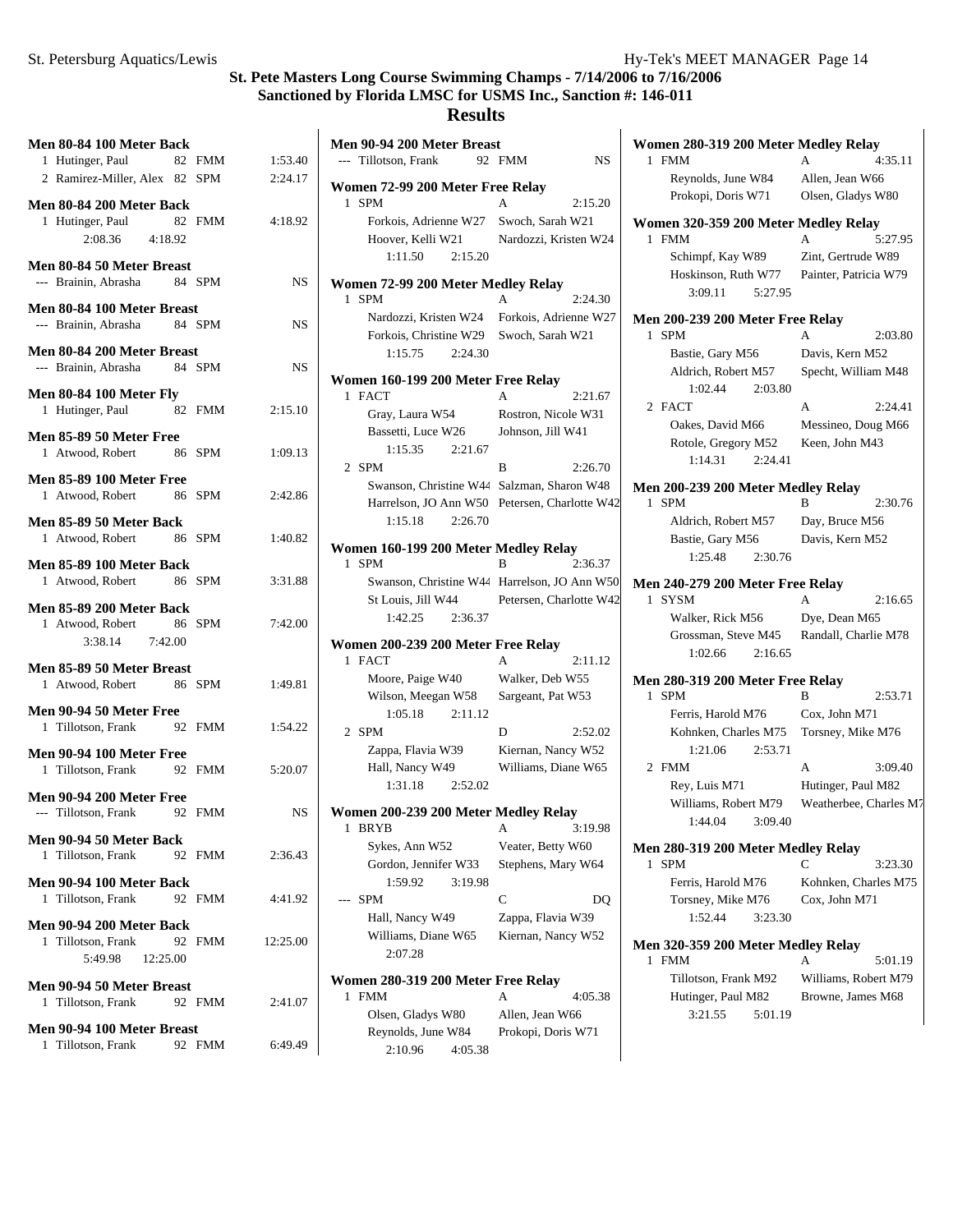**Women 280-319 200 Meter Medley Relay**

# **St. Pete Masters Long Course Swimming Champs - 7/14/2006 to 7/16/2006 Sanctioned by Florida LMSC for USMS Inc., Sanction #: 146-011**

#### **Results**

| Men 80-84 100 Meter Back                                                       |    |        |           |
|--------------------------------------------------------------------------------|----|--------|-----------|
| 1 Hutinger, Paul 82 FMM 1:53.40                                                |    |        |           |
| 2 Ramirez-Miller, Alex 82 SPM                                                  |    |        | 2:24.17   |
| Men 80-84 200 Meter Back<br>1 Hutinger, Paul 82 FMM 4:18.92<br>2:08.36 4:18.92 |    |        |           |
| Men 80-84 50 Meter Breast<br>--- Brainin, Abrasha 84 SPM                       |    |        | NS        |
| Men 80-84 100 Meter Breast<br>--- Brainin, Abrasha 84 SPM                      |    |        | <b>NS</b> |
| Men 80-84 200 Meter Breast<br>--- Brainin, Abrasha 84 SPM                      |    |        | NS        |
| <b>Men 80-84 100 Meter Fly</b><br>1 Hutinger, Paul 82 FMM 2:15.10              |    |        |           |
| <b>Men 85-89 50 Meter Free</b><br>1 Atwood, Robert 86 SPM                      |    |        | 1:09.13   |
| <b>Men 85-89 100 Meter Free</b><br>1 Atwood, Robert 86 SPM                     |    |        | 2:42.86   |
| Men 85-89 50 Meter Back<br>1 Atwood, Robert 86 SPM                             |    |        | 1:40.82   |
| Men 85-89 100 Meter Back<br>1 Atwood, Robert 86 SPM                            |    |        | 3:31.88   |
| Men 85-89 200 Meter Back<br>1 Atwood, Robert 86 SPM<br>3:38.14 7:42.00         |    |        | 7:42.00   |
| Men 85-89 50 Meter Breast<br>1 Atwood, Robert                                  |    | 86 SPM | 1:49.81   |
| <b>Men 90-94 50 Meter Free</b><br>1 Tillotson, Frank 92 FMM                    |    |        | 1:54.22   |
| Men 90-94 100 Meter Free<br>1 Tillotson, Frank 92 FMM                          |    |        | 5:20.07   |
| Men 90-94 200 Meter Free<br>--- Tillotson, Frank 92 FMM                        |    |        | NS        |
| Men 90-94 50 Meter Back<br>Tillotson, Frank<br>1                               |    | 92 FMM | 2:36.43   |
| Men 90-94 100 Meter Back<br>1 Tillotson, Frank                                 |    | 92 FMM | 4:41.92   |
| Men 90-94 200 Meter Back<br>Tillotson, Frank<br>1.<br>5:49.98 12:25.00         |    | 92 FMM | 12:25.00  |
| Men 90-94 50 Meter Breast<br>Tillotson, Frank<br>1                             |    | 92 FMM | 2:41.07   |
| Men 90-94 100 Meter Breast<br>Tillotson, Frank<br>1                            | 92 | FMM    | 6:49.49   |

| Men 90-94 200 Meter Breast                            |                                           |         |
|-------------------------------------------------------|-------------------------------------------|---------|
| --- Tillotson, Frank                                  | 92 FMM                                    | NS      |
| Women 72-99 200 Meter Free Relay                      |                                           |         |
| <b>SPM</b><br>1                                       | A                                         | 2:15.20 |
| Forkois, Adrienne W27                                 | Swoch, Sarah W21                          |         |
| Hoover, Kelli W21                                     | Nardozzi, Kristen W24                     |         |
| 1:11.50<br>2:15.20                                    |                                           |         |
| Women 72-99 200 Meter Medley Relay                    |                                           |         |
| <b>SPM</b><br>1                                       | A                                         | 2:24.30 |
| Nardozzi, Kristen W24                                 | Forkois, Adrienne W27                     |         |
| Forkois, Christine W29                                | Swoch, Sarah W21                          |         |
| 1:15.75<br>2:24.30                                    |                                           |         |
| Women 160-199 200 Meter Free Relay                    |                                           |         |
| <b>FACT</b><br>1                                      | A                                         | 2:21.67 |
| Gray, Laura W54                                       | Rostron, Nicole W31                       |         |
| Bassetti, Luce W26                                    | Johnson, Jill W41                         |         |
| 1:15.35<br>2:21.67                                    |                                           |         |
| 2 SPM                                                 | B                                         | 2:26.70 |
| Swanson, Christine W44 Salzman, Sharon W48            |                                           |         |
| Harrelson, JO Ann W50                                 | Petersen, Charlotte W42                   |         |
| 1:15.18<br>2:26.70                                    |                                           |         |
| Women 160-199 200 Meter Medley Relay                  |                                           |         |
| <b>SPM</b><br>1                                       | B                                         | 2:36.37 |
| Swanson, Christine W44 Harrelson, JO Ann W50          |                                           |         |
| St Louis, Jill W44                                    | Petersen, Charlotte W42                   |         |
| 1:42.25<br>2:36.37                                    |                                           |         |
| Women 200-239 200 Meter Free Relay                    |                                           |         |
| <b>FACT</b><br>1                                      | A                                         | 2:11.12 |
| Moore, Paige W40                                      | Walker, Deb W55                           |         |
| Wilson, Meegan W58                                    | Sargeant, Pat W53                         |         |
| 1:05.18<br>2:11.12                                    |                                           |         |
| 2 SPM                                                 | D                                         | 2:52.02 |
| Zappa, Flavia W39<br>Hall, Nancy W49                  | Kiernan, Nancy W52<br>Williams, Diane W65 |         |
| 1:31.18<br>2:52.02                                    |                                           |         |
|                                                       |                                           |         |
| Women 200-239 200 Meter Medley Relay                  |                                           |         |
| BRYB<br>1                                             | A                                         | 3:19.98 |
| Sykes, Ann W52                                        | Veater, Betty W60                         |         |
| Gordon, Jennifer W33<br>1:59.92<br>3:19.98            | Stephens, Mary W64                        |         |
| <b>SPM</b>                                            | C                                         | DQ      |
| Hall, Nancy W49                                       | Zappa, Flavia W39                         |         |
| Williams, Diane W65                                   | Kiernan, Nancy W52                        |         |
| 2:07.28                                               |                                           |         |
|                                                       |                                           |         |
| Women 280-319 200 Meter Free Relay<br><b>FMM</b><br>1 | А                                         | 4:05.38 |
| Olsen, Gladys W80                                     | Allen, Jean W66                           |         |
| Reynolds, June W84                                    | Prokopi, Doris W71                        |         |
| 2:10.96<br>4:05.38                                    |                                           |         |
|                                                       |                                           |         |

| 1            | <b>FMM</b>                           | 4:35.11<br>A           |  |
|--------------|--------------------------------------|------------------------|--|
|              | Reynolds, June W84                   | Allen, Jean W66        |  |
|              | Prokopi, Doris W71                   | Olsen, Gladys W80      |  |
|              | Women 320-359 200 Meter Medley Relay |                        |  |
| 1            | <b>FMM</b>                           | 5:27.95<br>A           |  |
|              | Schimpf, Kay W89                     | Zint, Gertrude W89     |  |
|              | Hoskinson, Ruth W77                  | Painter, Patricia W79  |  |
|              | 5:27.95<br>3:09.11                   |                        |  |
|              | Men 200-239 200 Meter Free Relay     |                        |  |
| 1            | <b>SPM</b>                           | 2:03.80<br>A           |  |
|              | Bastie, Gary M56                     | Davis, Kern M52        |  |
|              | Aldrich, Robert M57                  | Specht, William M48    |  |
|              | 1:02.44<br>2:03.80                   |                        |  |
|              | 2 FACT                               | A<br>2:24.41           |  |
|              | Oakes, David M66                     | Messineo, Doug M66     |  |
|              | Rotole, Gregory M52                  | Keen, John M43         |  |
|              | 1:14.31<br>2:24.41                   |                        |  |
|              | Men 200-239 200 Meter Medley Relay   |                        |  |
|              | 1 SPM                                | 2:30.76<br>R           |  |
|              | Aldrich, Robert M57                  | Day, Bruce M56         |  |
|              | Bastie, Gary M56                     | Davis, Kern M52        |  |
|              | 1:25.48<br>2:30.76                   |                        |  |
|              | Men 240-279 200 Meter Free Relay     |                        |  |
| 1            | <b>SYSM</b>                          | 2:16.65                |  |
|              | Walker, Rick M56                     | Dye, Dean M65          |  |
|              | Grossman, Steve M45                  | Randall, Charlie M78   |  |
|              | 1:02.66<br>2:16.65                   |                        |  |
|              | Men 280-319 200 Meter Free Relay     |                        |  |
| $\mathbf{1}$ | <b>SPM</b>                           | B<br>2:53.71           |  |
|              | Ferris, Harold M76                   | Cox, John M71          |  |
|              | Kohnken, Charles M75                 | Torsney, Mike M76      |  |
|              | 2:53.71<br>1:21.06                   |                        |  |
|              | 2 FMM                                | A<br>3:09.40           |  |
|              | Rey, Luis M71                        | Hutinger, Paul M82     |  |
|              | Williams, Robert M79                 | Weatherbee, Charles M7 |  |
|              | 1:44.04<br>3:09.40                   |                        |  |
|              | Men 280-319 200 Meter Medley Relay   |                        |  |
| $\mathbf{1}$ | <b>SPM</b>                           | 3:23.30<br>C           |  |
|              | Ferris, Harold M76                   | Kohnken, Charles M75   |  |
|              | Torsney, Mike M76                    | Cox, John M71          |  |
|              | 1:52.44<br>3:23.30                   |                        |  |
|              |                                      |                        |  |

#### **Men 320-359 200 Meter Medley Relay** 1 FMM A 5:01.19 Tillotson, Frank M92 Williams, Robert M79 Hutinger, Paul M82 Browne, James M68 3:21.55 5:01.19